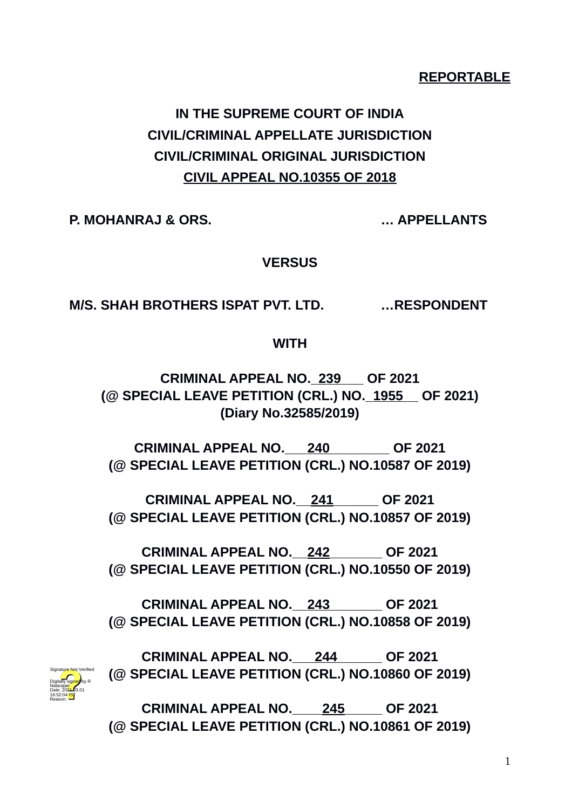## **REPORTABLE**

# **IN THE SUPREME COURT OF INDIA CIVIL/CRIMINAL APPELLATE JURISDICTION CIVIL/CRIMINAL ORIGINAL JURISDICTION CIVIL APPEAL NO.10355 OF 2018**

**P. MOHANRAJ & ORS. … APPELLANTS**

Digitally signed by R Natarajan Date: 2024-03.01 16:52:04 IST Reason:

Signature Not Verified

**VERSUS**

**M/S. SHAH BROTHERS ISPAT PVT. LTD. …RESPONDENT** 

**WITH**

**CRIMINAL APPEAL NO.\_239\_\_\_ OF 2021 (@ SPECIAL LEAVE PETITION (CRL.) NO.\_1955\_\_ OF 2021) (Diary No.32585/2019)**

**CRIMINAL APPEAL NO.\_\_\_240\_\_\_\_\_\_\_\_ OF 2021 (@ SPECIAL LEAVE PETITION (CRL.) NO.10587 OF 2019)**

**CRIMINAL APPEAL NO.\_\_241\_\_\_\_\_\_ OF 2021 (@ SPECIAL LEAVE PETITION (CRL.) NO.10857 OF 2019)**

**CRIMINAL APPEAL NO.\_\_242\_\_\_\_\_\_\_ OF 2021 (@ SPECIAL LEAVE PETITION (CRL.) NO.10550 OF 2019)**

**CRIMINAL APPEAL NO.\_\_243\_\_\_\_\_\_\_ OF 2021 (@ SPECIAL LEAVE PETITION (CRL.) NO.10858 OF 2019)**

**CRIMINAL APPEAL NO.\_\_\_244\_\_\_\_\_\_ OF 2021 (@ SPECIAL LEAVE PETITION (CRL.) NO.10860 OF 2019)**

**CRIMINAL APPEAL NO.\_\_\_\_245\_\_\_\_\_ OF 2021 (@ SPECIAL LEAVE PETITION (CRL.) NO.10861 OF 2019)**

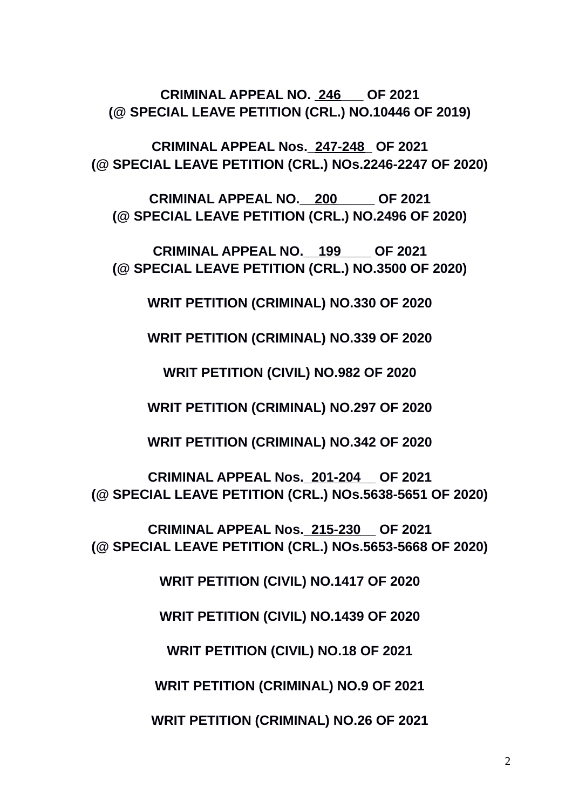2

# **WRIT PETITION (CRIMINAL) NO.9 OF 2021**

**WRIT PETITION (CRIMINAL) NO.26 OF 2021**

**WRIT PETITION (CIVIL) NO.18 OF 2021**

**(@ SPECIAL LEAVE PETITION (CRL.) NOs.5653-5668 OF 2020)**

**WRIT PETITION (CIVIL) NO.1417 OF 2020**

**WRIT PETITION (CIVIL) NO.1439 OF 2020**

**CRIMINAL APPEAL Nos.\_215-230\_\_ OF 2021**

**(@ SPECIAL LEAVE PETITION (CRL.) NOs.5638-5651 OF 2020)**

**CRIMINAL APPEAL Nos.\_201-204\_\_ OF 2021**

**WRIT PETITION (CRIMINAL) NO.342 OF 2020**

**WRIT PETITION (CRIMINAL) NO.297 OF 2020**

**WRIT PETITION (CIVIL) NO.982 OF 2020**

**WRIT PETITION (CRIMINAL) NO.339 OF 2020**

**WRIT PETITION (CRIMINAL) NO.330 OF 2020**

**CRIMINAL APPEAL NO.\_\_199\_\_\_\_ OF 2021 (@ SPECIAL LEAVE PETITION (CRL.) NO.3500 OF 2020)**

**CRIMINAL APPEAL NO.\_\_200\_\_\_\_\_ OF 2021 (@ SPECIAL LEAVE PETITION (CRL.) NO.2496 OF 2020)**

**CRIMINAL APPEAL Nos.\_247-248\_ OF 2021 (@ SPECIAL LEAVE PETITION (CRL.) NOs.2246-2247 OF 2020)**

**CRIMINAL APPEAL NO. 246\_\_\_ OF 2021 (@ SPECIAL LEAVE PETITION (CRL.) NO.10446 OF 2019)**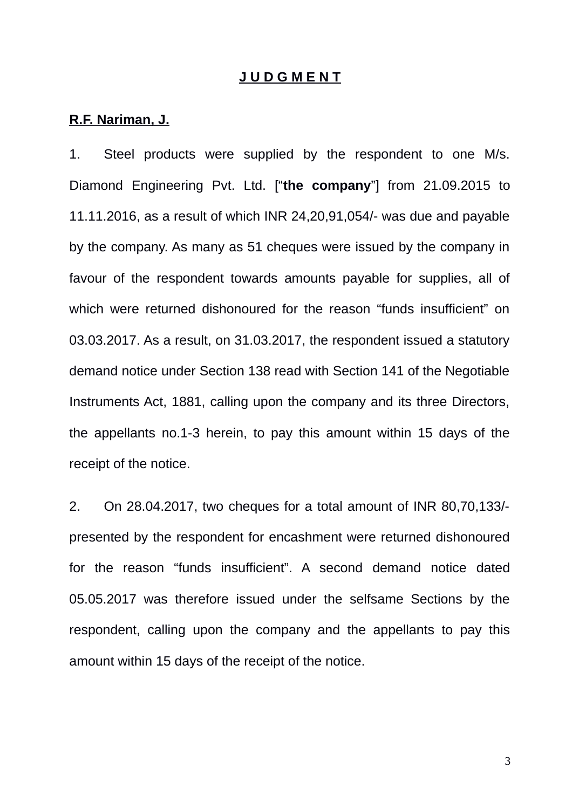#### **J U D G M E N T**

#### **R.F. Nariman, J.**

1. Steel products were supplied by the respondent to one M/s. Diamond Engineering Pvt. Ltd. ["**the company**"] from 21.09.2015 to 11.11.2016, as a result of which INR 24,20,91,054/- was due and payable by the company. As many as 51 cheques were issued by the company in favour of the respondent towards amounts payable for supplies, all of which were returned dishonoured for the reason "funds insufficient" on 03.03.2017. As a result, on 31.03.2017, the respondent issued a statutory demand notice under Section 138 read with Section 141 of the Negotiable Instruments Act, 1881, calling upon the company and its three Directors, the appellants no.1-3 herein, to pay this amount within 15 days of the receipt of the notice.

2. On 28.04.2017, two cheques for a total amount of INR 80,70,133/ presented by the respondent for encashment were returned dishonoured for the reason "funds insufficient". A second demand notice dated 05.05.2017 was therefore issued under the selfsame Sections by the respondent, calling upon the company and the appellants to pay this amount within 15 days of the receipt of the notice.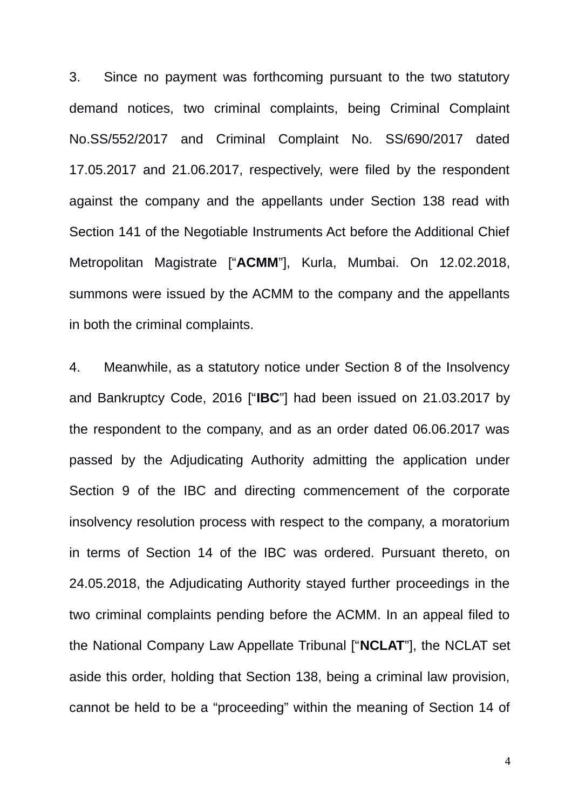3. Since no payment was forthcoming pursuant to the two statutory demand notices, two criminal complaints, being Criminal Complaint No.SS/552/2017 and Criminal Complaint No. SS/690/2017 dated 17.05.2017 and 21.06.2017, respectively, were filed by the respondent against the company and the appellants under Section 138 read with Section 141 of the Negotiable Instruments Act before the Additional Chief Metropolitan Magistrate ["**ACMM**"], Kurla, Mumbai. On 12.02.2018, summons were issued by the ACMM to the company and the appellants in both the criminal complaints.

4. Meanwhile, as a statutory notice under Section 8 of the Insolvency and Bankruptcy Code, 2016 ["**IBC**"] had been issued on 21.03.2017 by the respondent to the company, and as an order dated 06.06.2017 was passed by the Adjudicating Authority admitting the application under Section 9 of the IBC and directing commencement of the corporate insolvency resolution process with respect to the company, a moratorium in terms of Section 14 of the IBC was ordered. Pursuant thereto, on 24.05.2018, the Adjudicating Authority stayed further proceedings in the two criminal complaints pending before the ACMM. In an appeal filed to the National Company Law Appellate Tribunal ["**NCLAT**"], the NCLAT set aside this order, holding that Section 138, being a criminal law provision, cannot be held to be a "proceeding" within the meaning of Section 14 of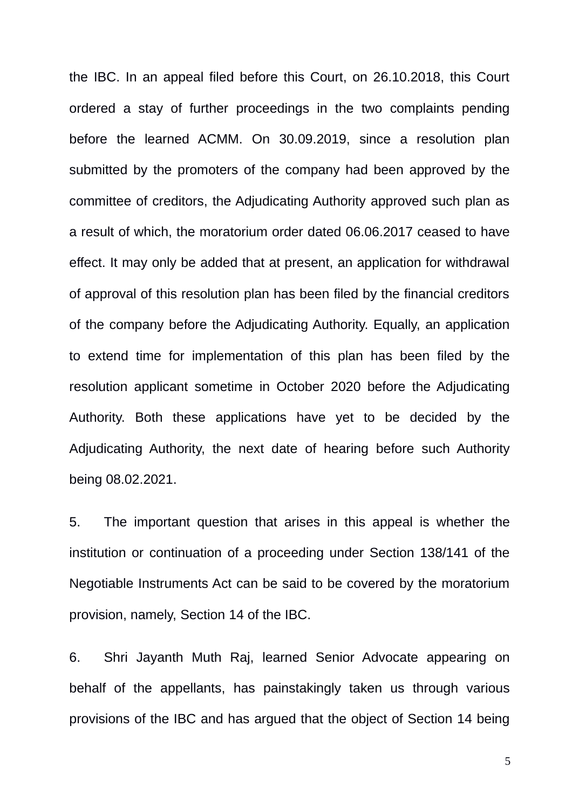the IBC. In an appeal filed before this Court, on 26.10.2018, this Court ordered a stay of further proceedings in the two complaints pending before the learned ACMM. On 30.09.2019, since a resolution plan submitted by the promoters of the company had been approved by the committee of creditors, the Adjudicating Authority approved such plan as a result of which, the moratorium order dated 06.06.2017 ceased to have effect. It may only be added that at present, an application for withdrawal of approval of this resolution plan has been filed by the financial creditors of the company before the Adjudicating Authority. Equally, an application to extend time for implementation of this plan has been filed by the resolution applicant sometime in October 2020 before the Adjudicating Authority. Both these applications have yet to be decided by the Adjudicating Authority, the next date of hearing before such Authority being 08.02.2021.

5. The important question that arises in this appeal is whether the institution or continuation of a proceeding under Section 138/141 of the Negotiable Instruments Act can be said to be covered by the moratorium provision, namely, Section 14 of the IBC.

6. Shri Jayanth Muth Raj, learned Senior Advocate appearing on behalf of the appellants, has painstakingly taken us through various provisions of the IBC and has argued that the object of Section 14 being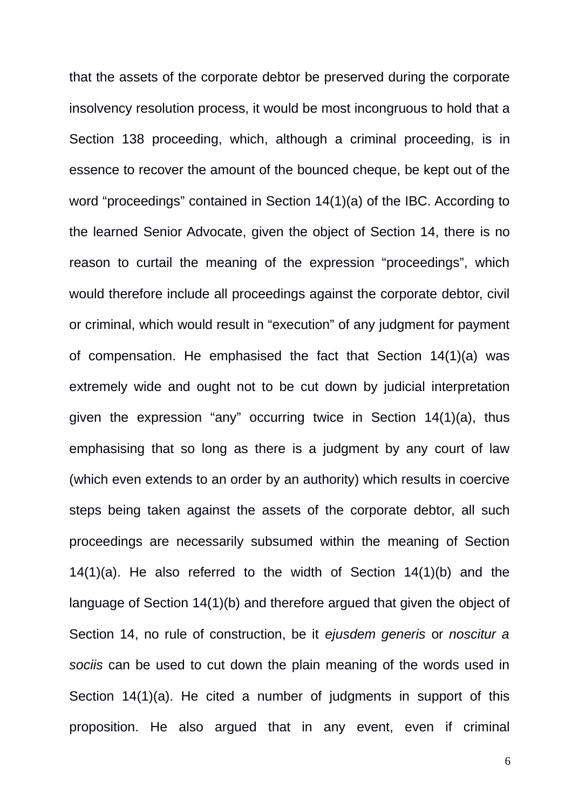that the assets of the corporate debtor be preserved during the corporate insolvency resolution process, it would be most incongruous to hold that a Section 138 proceeding, which, although a criminal proceeding, is in essence to recover the amount of the bounced cheque, be kept out of the word "proceedings" contained in Section 14(1)(a) of the IBC. According to the learned Senior Advocate, given the object of Section 14, there is no reason to curtail the meaning of the expression "proceedings", which would therefore include all proceedings against the corporate debtor, civil or criminal, which would result in "execution" of any judgment for payment of compensation. He emphasised the fact that Section 14(1)(a) was extremely wide and ought not to be cut down by judicial interpretation given the expression "any" occurring twice in Section 14(1)(a), thus emphasising that so long as there is a judgment by any court of law (which even extends to an order by an authority) which results in coercive steps being taken against the assets of the corporate debtor, all such proceedings are necessarily subsumed within the meaning of Section 14(1)(a). He also referred to the width of Section 14(1)(b) and the language of Section 14(1)(b) and therefore argued that given the object of Section 14, no rule of construction, be it *ejusdem generis* or *noscitur a sociis* can be used to cut down the plain meaning of the words used in Section 14(1)(a). He cited a number of judgments in support of this proposition. He also argued that in any event, even if criminal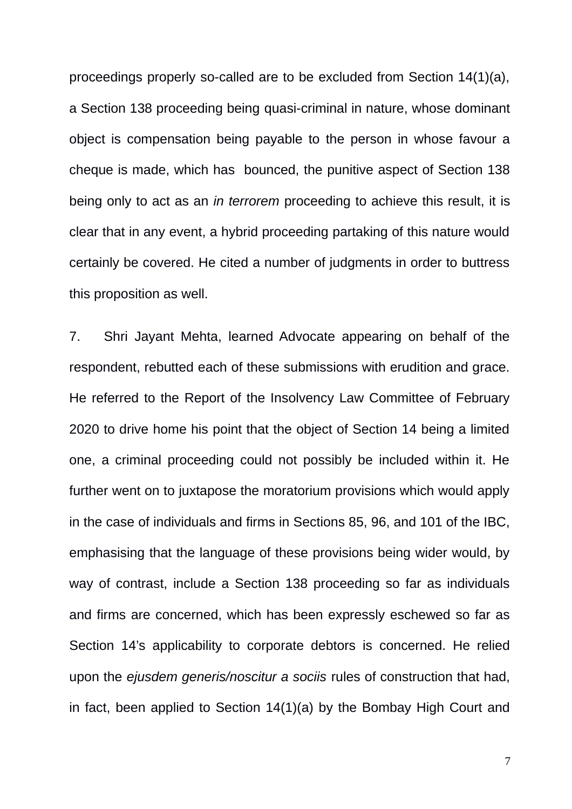proceedings properly so-called are to be excluded from Section 14(1)(a), a Section 138 proceeding being quasi-criminal in nature, whose dominant object is compensation being payable to the person in whose favour a cheque is made, which has bounced, the punitive aspect of Section 138 being only to act as an *in terrorem* proceeding to achieve this result, it is clear that in any event, a hybrid proceeding partaking of this nature would certainly be covered. He cited a number of judgments in order to buttress this proposition as well.

7. Shri Jayant Mehta, learned Advocate appearing on behalf of the respondent, rebutted each of these submissions with erudition and grace. He referred to the Report of the Insolvency Law Committee of February 2020 to drive home his point that the object of Section 14 being a limited one, a criminal proceeding could not possibly be included within it. He further went on to juxtapose the moratorium provisions which would apply in the case of individuals and firms in Sections 85, 96, and 101 of the IBC, emphasising that the language of these provisions being wider would, by way of contrast, include a Section 138 proceeding so far as individuals and firms are concerned, which has been expressly eschewed so far as Section 14's applicability to corporate debtors is concerned. He relied upon the *ejusdem generis/noscitur a sociis* rules of construction that had, in fact, been applied to Section 14(1)(a) by the Bombay High Court and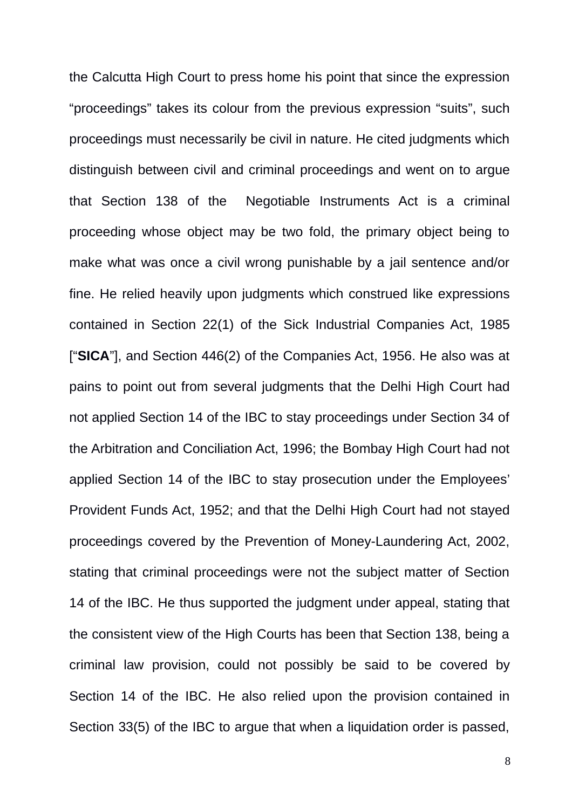the Calcutta High Court to press home his point that since the expression "proceedings" takes its colour from the previous expression "suits", such proceedings must necessarily be civil in nature. He cited judgments which distinguish between civil and criminal proceedings and went on to argue that Section 138 of the Negotiable Instruments Act is a criminal proceeding whose object may be two fold, the primary object being to make what was once a civil wrong punishable by a jail sentence and/or fine. He relied heavily upon judgments which construed like expressions contained in Section 22(1) of the Sick Industrial Companies Act, 1985 ["**SICA**"], and Section 446(2) of the Companies Act, 1956. He also was at pains to point out from several judgments that the Delhi High Court had not applied Section 14 of the IBC to stay proceedings under Section 34 of the Arbitration and Conciliation Act, 1996; the Bombay High Court had not applied Section 14 of the IBC to stay prosecution under the Employees' Provident Funds Act, 1952; and that the Delhi High Court had not stayed proceedings covered by the Prevention of Money-Laundering Act, 2002, stating that criminal proceedings were not the subject matter of Section 14 of the IBC. He thus supported the judgment under appeal, stating that the consistent view of the High Courts has been that Section 138, being a criminal law provision, could not possibly be said to be covered by Section 14 of the IBC. He also relied upon the provision contained in Section 33(5) of the IBC to argue that when a liquidation order is passed,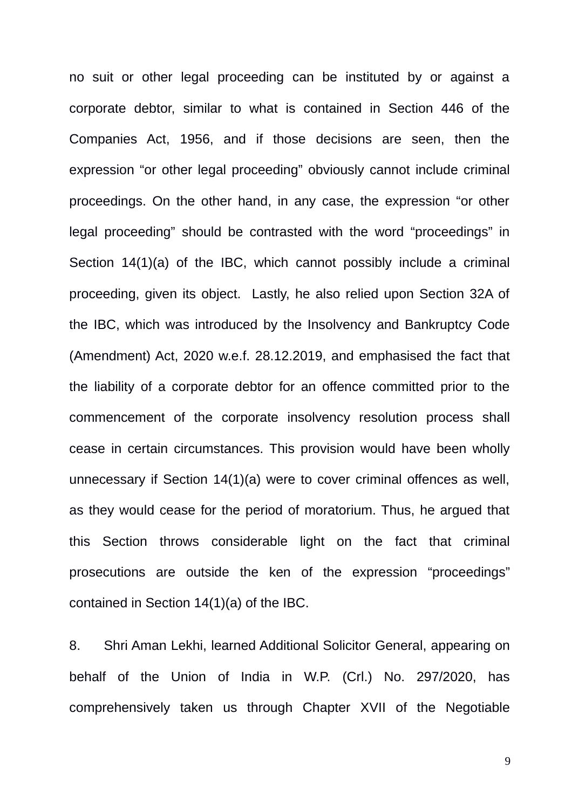no suit or other legal proceeding can be instituted by or against a corporate debtor, similar to what is contained in Section 446 of the Companies Act, 1956, and if those decisions are seen, then the expression "or other legal proceeding" obviously cannot include criminal proceedings. On the other hand, in any case, the expression "or other legal proceeding" should be contrasted with the word "proceedings" in Section 14(1)(a) of the IBC, which cannot possibly include a criminal proceeding, given its object. Lastly, he also relied upon Section 32A of the IBC, which was introduced by the Insolvency and Bankruptcy Code (Amendment) Act, 2020 w.e.f. 28.12.2019, and emphasised the fact that the liability of a corporate debtor for an offence committed prior to the commencement of the corporate insolvency resolution process shall cease in certain circumstances. This provision would have been wholly unnecessary if Section 14(1)(a) were to cover criminal offences as well, as they would cease for the period of moratorium. Thus, he argued that this Section throws considerable light on the fact that criminal prosecutions are outside the ken of the expression "proceedings" contained in Section 14(1)(a) of the IBC.

8. Shri Aman Lekhi, learned Additional Solicitor General, appearing on behalf of the Union of India in W.P. (Crl.) No. 297/2020, has comprehensively taken us through Chapter XVII of the Negotiable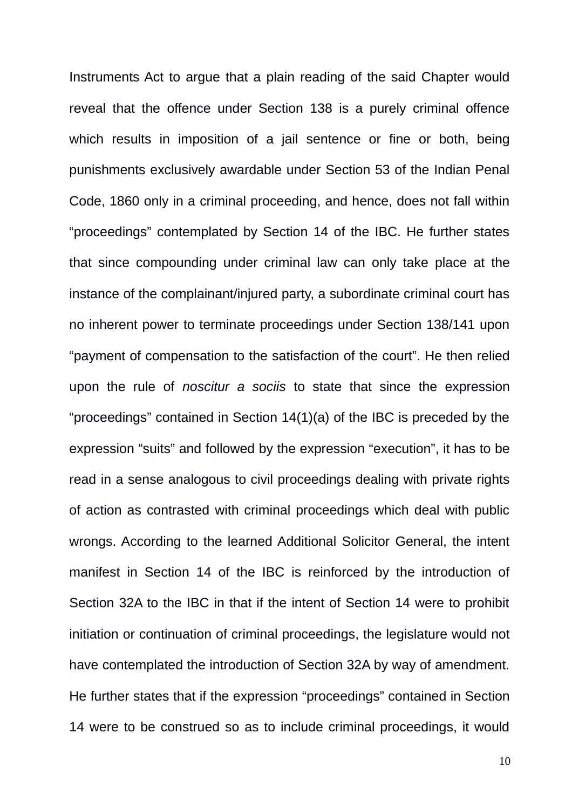Instruments Act to argue that a plain reading of the said Chapter would reveal that the offence under Section 138 is a purely criminal offence which results in imposition of a jail sentence or fine or both, being punishments exclusively awardable under Section 53 of the Indian Penal Code, 1860 only in a criminal proceeding, and hence, does not fall within "proceedings" contemplated by Section 14 of the IBC. He further states that since compounding under criminal law can only take place at the instance of the complainant/injured party, a subordinate criminal court has no inherent power to terminate proceedings under Section 138/141 upon "payment of compensation to the satisfaction of the court". He then relied upon the rule of *noscitur a sociis* to state that since the expression "proceedings" contained in Section 14(1)(a) of the IBC is preceded by the expression "suits" and followed by the expression "execution", it has to be read in a sense analogous to civil proceedings dealing with private rights of action as contrasted with criminal proceedings which deal with public wrongs. According to the learned Additional Solicitor General, the intent manifest in Section 14 of the IBC is reinforced by the introduction of Section 32A to the IBC in that if the intent of Section 14 were to prohibit initiation or continuation of criminal proceedings, the legislature would not have contemplated the introduction of Section 32A by way of amendment. He further states that if the expression "proceedings" contained in Section 14 were to be construed so as to include criminal proceedings, it would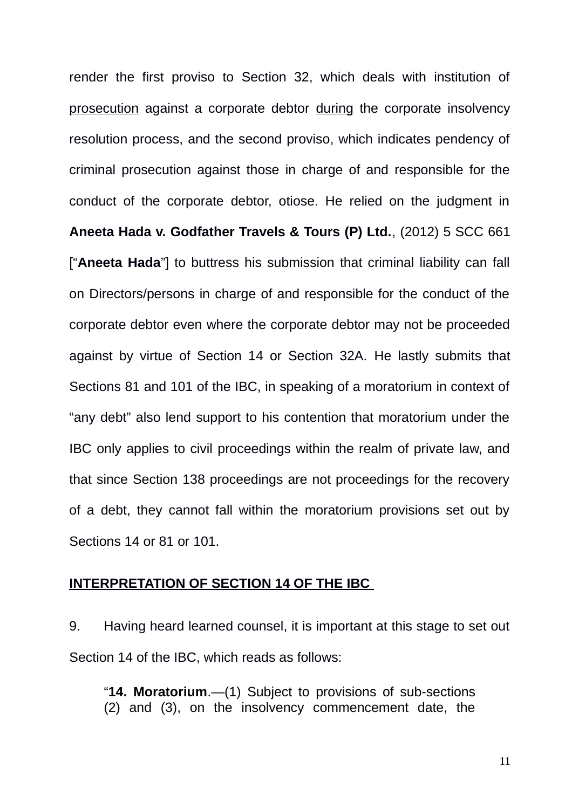render the first proviso to Section 32, which deals with institution of prosecution against a corporate debtor during the corporate insolvency resolution process, and the second proviso, which indicates pendency of criminal prosecution against those in charge of and responsible for the conduct of the corporate debtor, otiose. He relied on the judgment in **Aneeta Hada v. Godfather Travels & Tours (P) Ltd.**, (2012) 5 SCC 661 ["**Aneeta Hada**"] to buttress his submission that criminal liability can fall on Directors/persons in charge of and responsible for the conduct of the corporate debtor even where the corporate debtor may not be proceeded against by virtue of Section 14 or Section 32A. He lastly submits that Sections 81 and 101 of the IBC, in speaking of a moratorium in context of "any debt" also lend support to his contention that moratorium under the IBC only applies to civil proceedings within the realm of private law, and that since Section 138 proceedings are not proceedings for the recovery of a debt, they cannot fall within the moratorium provisions set out by Sections 14 or 81 or 101.

#### **INTERPRETATION OF SECTION 14 OF THE IBC**

9. Having heard learned counsel, it is important at this stage to set out Section 14 of the IBC, which reads as follows:

"**14. Moratorium**.—(1) Subject to provisions of sub-sections (2) and (3), on the insolvency commencement date, the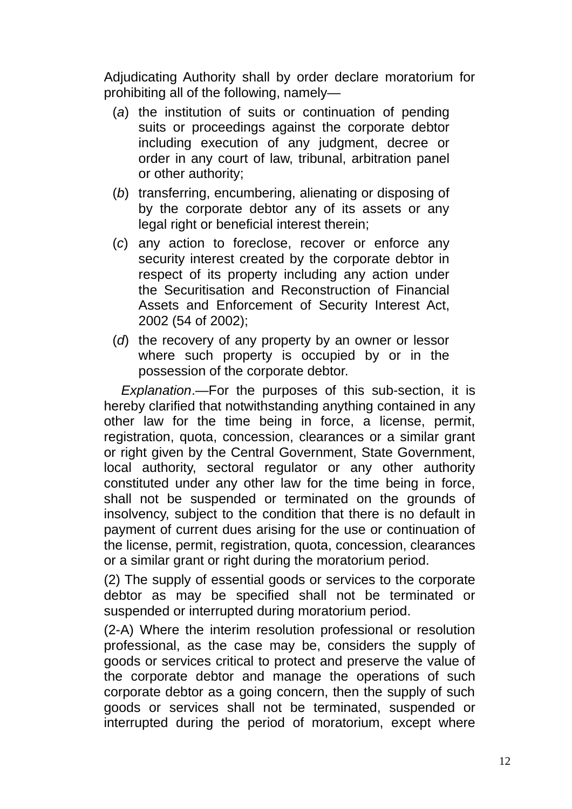Adjudicating Authority shall by order declare moratorium for prohibiting all of the following, namely—

- (*a*) the institution of suits or continuation of pending suits or proceedings against the corporate debtor including execution of any judgment, decree or order in any court of law, tribunal, arbitration panel or other authority;
- (*b*) transferring, encumbering, alienating or disposing of by the corporate debtor any of its assets or any legal right or beneficial interest therein;
- (*c*) any action to foreclose, recover or enforce any security interest created by the corporate debtor in respect of its property including any action under the Securitisation and Reconstruction of Financial Assets and Enforcement of Security Interest Act, 2002 (54 of 2002);
- (*d*) the recovery of any property by an owner or lessor where such property is occupied by or in the possession of the corporate debtor.

*Explanation*.—For the purposes of this sub-section, it is hereby clarified that notwithstanding anything contained in any other law for the time being in force, a license, permit, registration, quota, concession, clearances or a similar grant or right given by the Central Government, State Government, local authority, sectoral regulator or any other authority constituted under any other law for the time being in force, shall not be suspended or terminated on the grounds of insolvency, subject to the condition that there is no default in payment of current dues arising for the use or continuation of the license, permit, registration, quota, concession, clearances or a similar grant or right during the moratorium period.

(2) The supply of essential goods or services to the corporate debtor as may be specified shall not be terminated or suspended or interrupted during moratorium period.

(2-A) Where the interim resolution professional or resolution professional, as the case may be, considers the supply of goods or services critical to protect and preserve the value of the corporate debtor and manage the operations of such corporate debtor as a going concern, then the supply of such goods or services shall not be terminated, suspended or interrupted during the period of moratorium, except where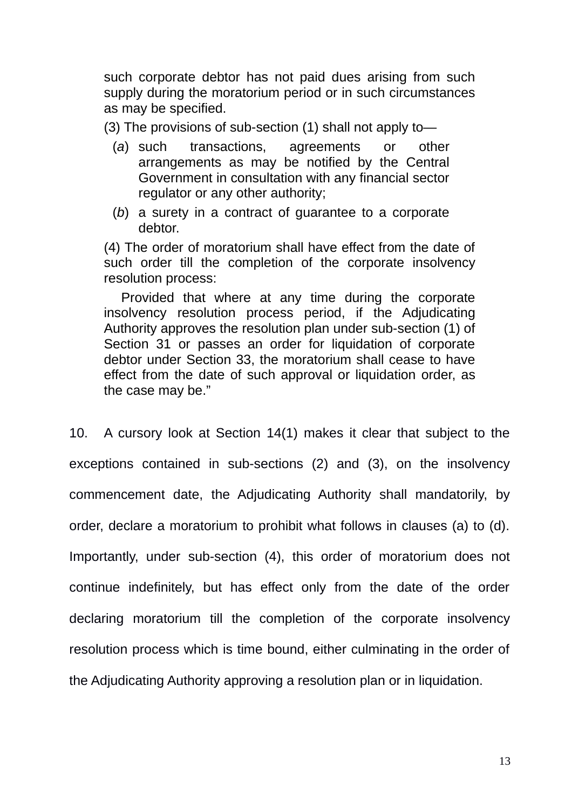such corporate debtor has not paid dues arising from such supply during the moratorium period or in such circumstances as may be specified.

(3) The provisions of sub-section (1) shall not apply to—

- (*a*) such transactions, agreements or other arrangements as may be notified by the Central Government in consultation with any financial sector regulator or any other authority;
- (*b*) a surety in a contract of guarantee to a corporate debtor.

(4) The order of moratorium shall have effect from the date of such order till the completion of the corporate insolvency resolution process:

Provided that where at any time during the corporate insolvency resolution process period, if the Adjudicating Authority approves the resolution plan under sub-section (1) of Section 31 or passes an order for liquidation of corporate debtor under Section 33, the moratorium shall cease to have effect from the date of such approval or liquidation order, as the case may be."

10. A cursory look at Section 14(1) makes it clear that subject to the exceptions contained in sub-sections (2) and (3), on the insolvency commencement date, the Adjudicating Authority shall mandatorily, by order, declare a moratorium to prohibit what follows in clauses (a) to (d). Importantly, under sub-section (4), this order of moratorium does not continue indefinitely, but has effect only from the date of the order declaring moratorium till the completion of the corporate insolvency resolution process which is time bound, either culminating in the order of the Adjudicating Authority approving a resolution plan or in liquidation.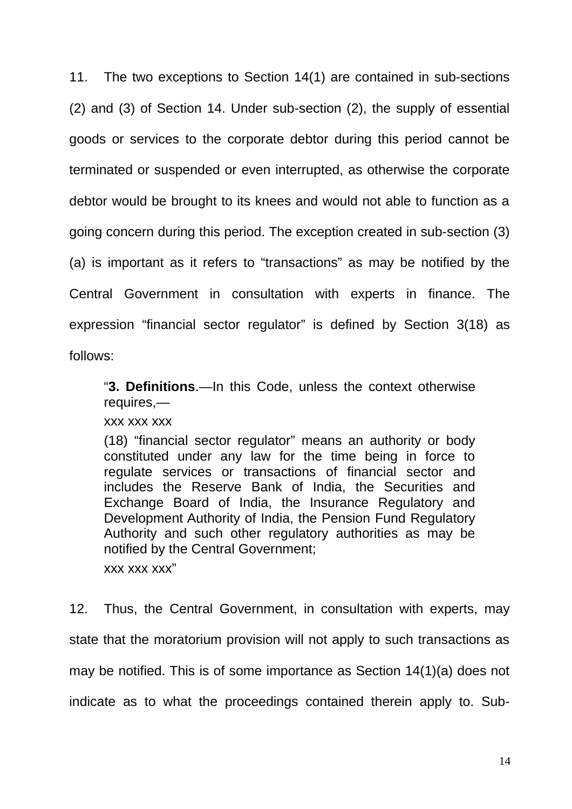11. The two exceptions to Section 14(1) are contained in sub-sections (2) and (3) of Section 14. Under sub-section (2), the supply of essential goods or services to the corporate debtor during this period cannot be terminated or suspended or even interrupted, as otherwise the corporate debtor would be brought to its knees and would not able to function as a going concern during this period. The exception created in sub-section (3) (a) is important as it refers to "transactions" as may be notified by the Central Government in consultation with experts in finance. The expression "financial sector regulator" is defined by Section 3(18) as follows:

"**3. Definitions**.—In this Code, unless the context otherwise requires,—

xxx xxx xxx

(18) "financial sector regulator" means an authority or body constituted under any law for the time being in force to regulate services or transactions of financial sector and includes the Reserve Bank of India, the Securities and Exchange Board of India, the Insurance Regulatory and Development Authority of India, the Pension Fund Regulatory Authority and such other regulatory authorities as may be notified by the Central Government;

xxx xxx xxx"

12. Thus, the Central Government, in consultation with experts, may state that the moratorium provision will not apply to such transactions as may be notified. This is of some importance as Section 14(1)(a) does not indicate as to what the proceedings contained therein apply to. Sub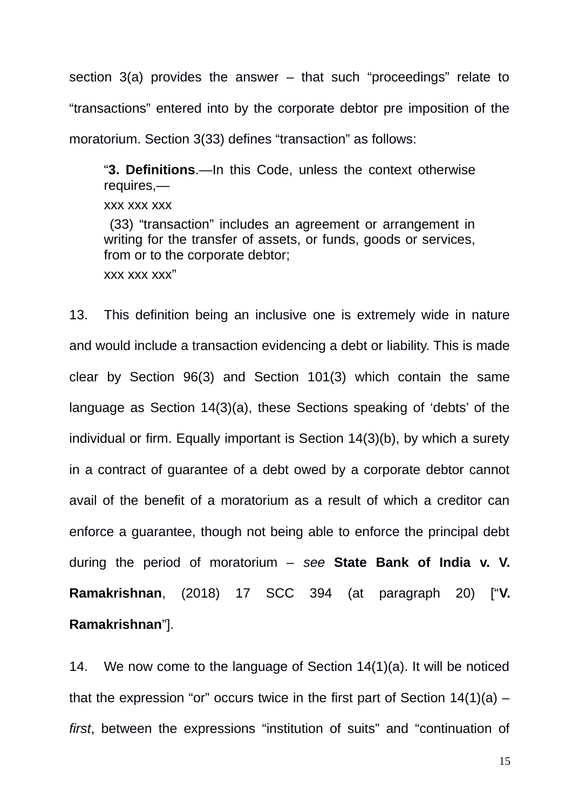section 3(a) provides the answer – that such "proceedings" relate to "transactions" entered into by the corporate debtor pre imposition of the moratorium. Section 3(33) defines "transaction" as follows:

"**3. Definitions**.—In this Code, unless the context otherwise requires,—

xxx xxx xxx

 (33) "transaction" includes an agreement or arrangement in writing for the transfer of assets, or funds, goods or services, from or to the corporate debtor; xxx xxx xxx"

13. This definition being an inclusive one is extremely wide in nature and would include a transaction evidencing a debt or liability. This is made clear by Section 96(3) and Section 101(3) which contain the same language as Section 14(3)(a), these Sections speaking of 'debts' of the individual or firm. Equally important is Section 14(3)(b), by which a surety in a contract of guarantee of a debt owed by a corporate debtor cannot avail of the benefit of a moratorium as a result of which a creditor can enforce a guarantee, though not being able to enforce the principal debt during the period of moratorium – *see* **State Bank of India v. V. Ramakrishnan**, (2018) 17 SCC 394 (at paragraph 20) ["**V. Ramakrishnan**"].

14. We now come to the language of Section 14(1)(a). It will be noticed that the expression "or" occurs twice in the first part of Section  $14(1)(a)$  – *first*, between the expressions "institution of suits" and "continuation of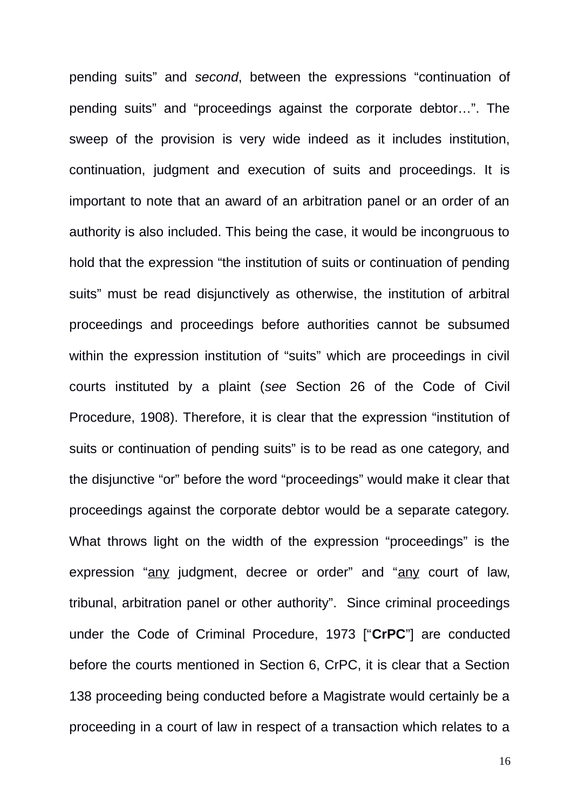pending suits" and *second*, between the expressions "continuation of pending suits" and "proceedings against the corporate debtor…". The sweep of the provision is very wide indeed as it includes institution, continuation, judgment and execution of suits and proceedings. It is important to note that an award of an arbitration panel or an order of an authority is also included. This being the case, it would be incongruous to hold that the expression "the institution of suits or continuation of pending suits" must be read disjunctively as otherwise, the institution of arbitral proceedings and proceedings before authorities cannot be subsumed within the expression institution of "suits" which are proceedings in civil courts instituted by a plaint (*see* Section 26 of the Code of Civil Procedure, 1908). Therefore, it is clear that the expression "institution of suits or continuation of pending suits" is to be read as one category, and the disjunctive "or" before the word "proceedings" would make it clear that proceedings against the corporate debtor would be a separate category. What throws light on the width of the expression "proceedings" is the expression "any judgment, decree or order" and "any court of law, tribunal, arbitration panel or other authority". Since criminal proceedings under the Code of Criminal Procedure, 1973 ["**CrPC**"] are conducted before the courts mentioned in Section 6, CrPC, it is clear that a Section 138 proceeding being conducted before a Magistrate would certainly be a proceeding in a court of law in respect of a transaction which relates to a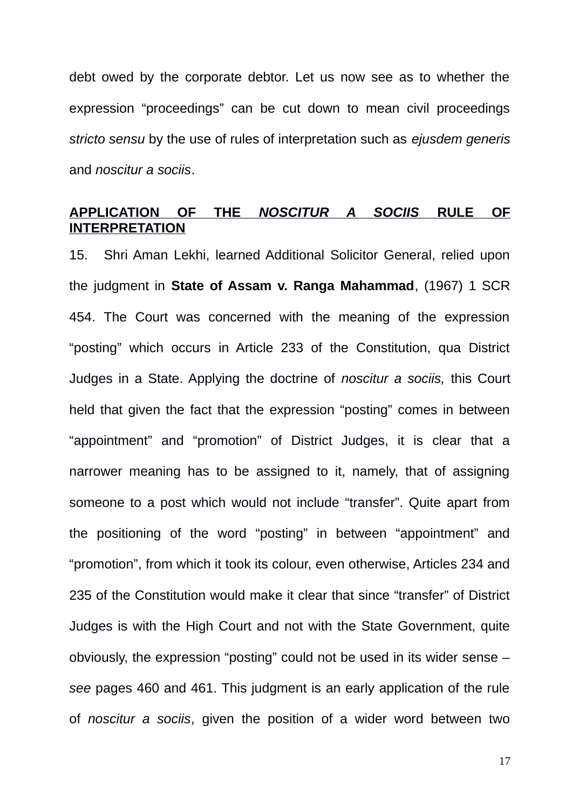debt owed by the corporate debtor. Let us now see as to whether the expression "proceedings" can be cut down to mean civil proceedings *stricto sensu* by the use of rules of interpretation such as *ejusdem generis* and *noscitur a sociis*.

#### **APPLICATION OF THE** *NOSCITUR A SOCIIS* **RULE OF INTERPRETATION**

15. Shri Aman Lekhi, learned Additional Solicitor General, relied upon the judgment in **State of Assam v. Ranga Mahammad**, (1967) 1 SCR 454. The Court was concerned with the meaning of the expression "posting" which occurs in Article 233 of the Constitution, qua District Judges in a State. Applying the doctrine of *noscitur a sociis,* this Court held that given the fact that the expression "posting" comes in between "appointment" and "promotion" of District Judges, it is clear that a narrower meaning has to be assigned to it, namely, that of assigning someone to a post which would not include "transfer". Quite apart from the positioning of the word "posting" in between "appointment" and "promotion", from which it took its colour, even otherwise, Articles 234 and 235 of the Constitution would make it clear that since "transfer" of District Judges is with the High Court and not with the State Government, quite obviously, the expression "posting" could not be used in its wider sense – *see* pages 460 and 461. This judgment is an early application of the rule of *noscitur a sociis*, given the position of a wider word between two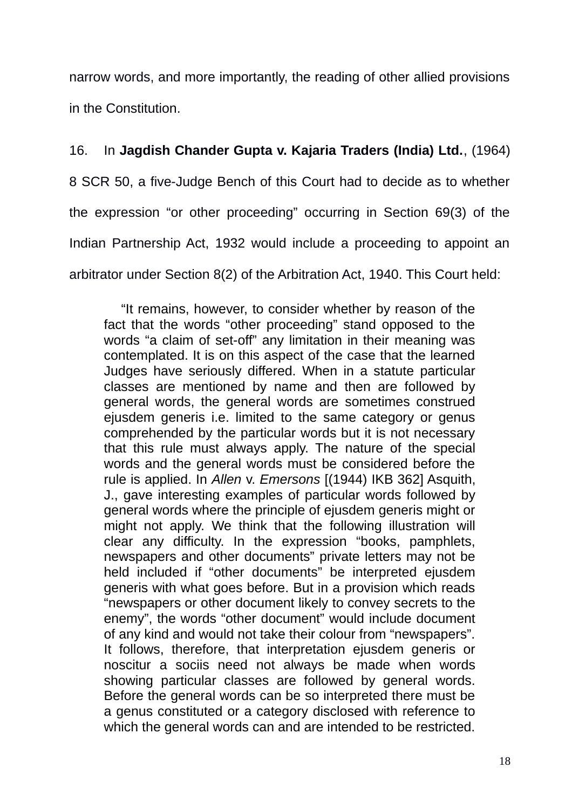narrow words, and more importantly, the reading of other allied provisions in the Constitution.

# 16. In **Jagdish Chander Gupta v. Kajaria Traders (India) Ltd.**, (1964)

8 SCR 50, a five-Judge Bench of this Court had to decide as to whether the expression "or other proceeding" occurring in Section 69(3) of the Indian Partnership Act, 1932 would include a proceeding to appoint an arbitrator under Section 8(2) of the Arbitration Act, 1940. This Court held:

"It remains, however, to consider whether by reason of the fact that the words "other proceeding" stand opposed to the words "a claim of set-off" any limitation in their meaning was contemplated. It is on this aspect of the case that the learned Judges have seriously differed. When in a statute particular classes are mentioned by name and then are followed by general words, the general words are sometimes construed ejusdem generis i.e. limited to the same category or genus comprehended by the particular words but it is not necessary that this rule must always apply. The nature of the special words and the general words must be considered before the rule is applied. In *Allen* v. *Emersons* [(1944) IKB 362] Asquith, J., gave interesting examples of particular words followed by general words where the principle of ejusdem generis might or might not apply. We think that the following illustration will clear any difficulty. In the expression "books, pamphlets, newspapers and other documents" private letters may not be held included if "other documents" be interpreted ejusdem generis with what goes before. But in a provision which reads "newspapers or other document likely to convey secrets to the enemy", the words "other document" would include document of any kind and would not take their colour from "newspapers". It follows, therefore, that interpretation ejusdem generis or noscitur a sociis need not always be made when words showing particular classes are followed by general words. Before the general words can be so interpreted there must be a genus constituted or a category disclosed with reference to which the general words can and are intended to be restricted.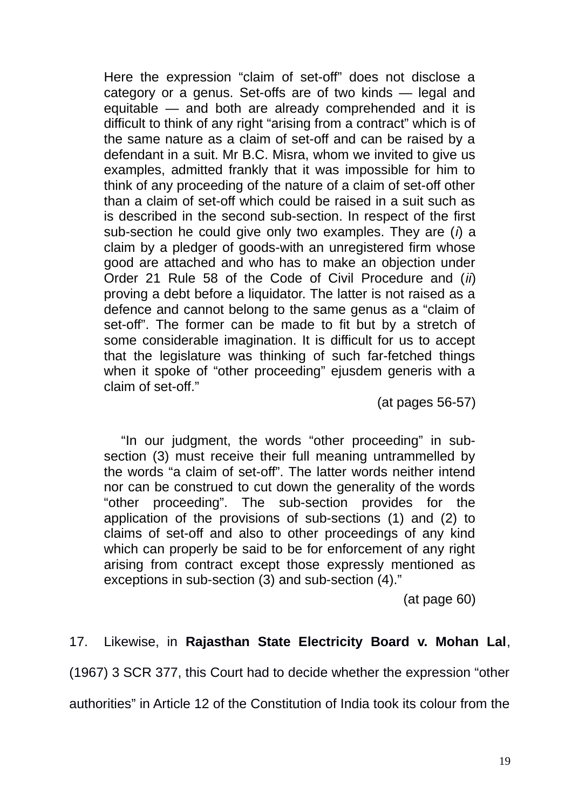Here the expression "claim of set-off" does not disclose a category or a genus. Set-offs are of two kinds — legal and equitable — and both are already comprehended and it is difficult to think of any right "arising from a contract" which is of the same nature as a claim of set-off and can be raised by a defendant in a suit. Mr B.C. Misra, whom we invited to give us examples, admitted frankly that it was impossible for him to think of any proceeding of the nature of a claim of set-off other than a claim of set-off which could be raised in a suit such as is described in the second sub-section. In respect of the first sub-section he could give only two examples. They are (*i*) a claim by a pledger of goods-with an unregistered firm whose good are attached and who has to make an objection under Order 21 Rule 58 of the Code of Civil Procedure and (*ii*) proving a debt before a liquidator. The latter is not raised as a defence and cannot belong to the same genus as a "claim of set-off". The former can be made to fit but by a stretch of some considerable imagination. It is difficult for us to accept that the legislature was thinking of such far-fetched things when it spoke of "other proceeding" ejusdem generis with a claim of set-off."

(at pages 56-57)

"In our judgment, the words "other proceeding" in subsection (3) must receive their full meaning untrammelled by the words "a claim of set-off". The latter words neither intend nor can be construed to cut down the generality of the words "other proceeding". The sub-section provides for the application of the provisions of sub-sections (1) and (2) to claims of set-off and also to other proceedings of any kind which can properly be said to be for enforcement of any right arising from contract except those expressly mentioned as exceptions in sub-section (3) and sub-section (4)."

(at page 60)

# 17. Likewise, in **Rajasthan State Electricity Board v. Mohan Lal**,

(1967) 3 SCR 377, this Court had to decide whether the expression "other

authorities" in Article 12 of the Constitution of India took its colour from the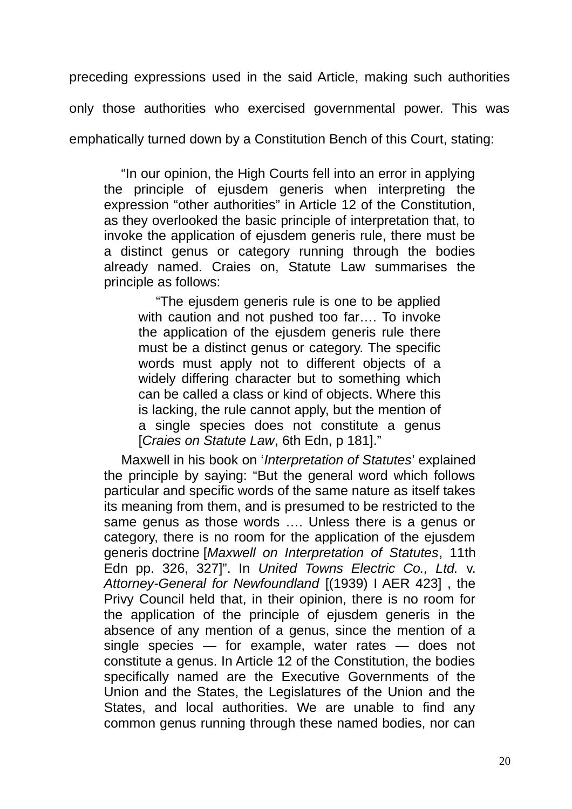preceding expressions used in the said Article, making such authorities only those authorities who exercised governmental power. This was emphatically turned down by a Constitution Bench of this Court, stating:

"In our opinion, the High Courts fell into an error in applying the principle of ejusdem generis when interpreting the expression "other authorities" in Article 12 of the Constitution, as they overlooked the basic principle of interpretation that, to invoke the application of ejusdem generis rule, there must be a distinct genus or category running through the bodies already named. Craies on, Statute Law summarises the principle as follows:

"The ejusdem generis rule is one to be applied with caution and not pushed too far…. To invoke the application of the ejusdem generis rule there must be a distinct genus or category. The specific words must apply not to different objects of a widely differing character but to something which can be called a class or kind of objects. Where this is lacking, the rule cannot apply, but the mention of a single species does not constitute a genus [*Craies on Statute Law*, 6th Edn, p 181]."

Maxwell in his book on '*Interpretation of Statutes*' explained the principle by saying: "But the general word which follows particular and specific words of the same nature as itself takes its meaning from them, and is presumed to be restricted to the same genus as those words …. Unless there is a genus or category, there is no room for the application of the ejusdem generis doctrine [*Maxwell on Interpretation of Statutes*, 11th Edn pp. 326, 327]". In *United Towns Electric Co., Ltd.* v. *Attorney-General for Newfoundland* [(1939) I AER 423] , the Privy Council held that, in their opinion, there is no room for the application of the principle of ejusdem generis in the absence of any mention of a genus, since the mention of a single species — for example, water rates — does not constitute a genus. In Article 12 of the Constitution, the bodies specifically named are the Executive Governments of the Union and the States, the Legislatures of the Union and the States, and local authorities. We are unable to find any common genus running through these named bodies, nor can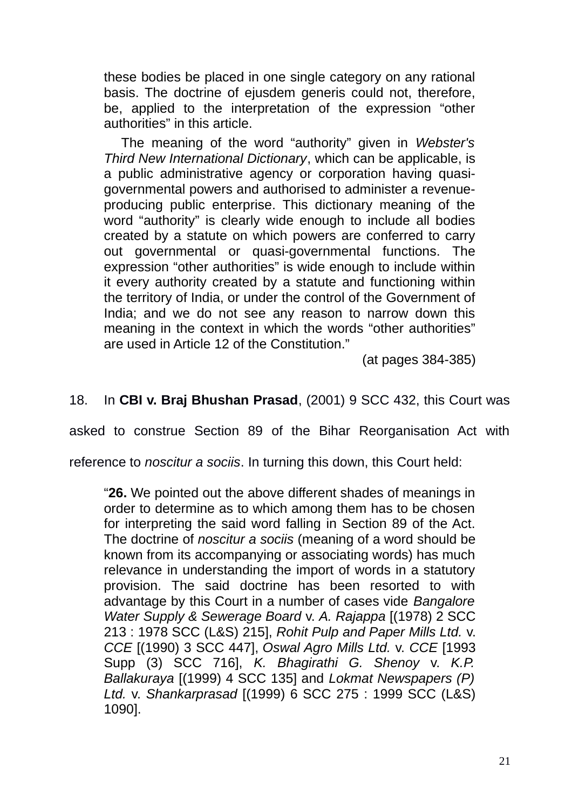these bodies be placed in one single category on any rational basis. The doctrine of ejusdem generis could not, therefore, be, applied to the interpretation of the expression "other authorities" in this article.

The meaning of the word "authority" given in *Webster's Third New International Dictionary*, which can be applicable, is a public administrative agency or corporation having quasigovernmental powers and authorised to administer a revenueproducing public enterprise. This dictionary meaning of the word "authority" is clearly wide enough to include all bodies created by a statute on which powers are conferred to carry out governmental or quasi-governmental functions. The expression "other authorities" is wide enough to include within it every authority created by a statute and functioning within the territory of India, or under the control of the Government of India; and we do not see any reason to narrow down this meaning in the context in which the words "other authorities" are used in Article 12 of the Constitution."

(at pages 384-385)

### 18. In **CBI v. Braj Bhushan Prasad**, (2001) 9 SCC 432, this Court was

asked to construe Section 89 of the Bihar Reorganisation Act with

reference to *noscitur a sociis*. In turning this down, this Court held:

"**26.** We pointed out the above different shades of meanings in order to determine as to which among them has to be chosen for interpreting the said word falling in Section 89 of the Act. The doctrine of *noscitur a sociis* (meaning of a word should be known from its accompanying or associating words) has much relevance in understanding the import of words in a statutory provision. The said doctrine has been resorted to with advantage by this Court in a number of cases vide *Bangalore Water Supply & Sewerage Board* v. *A. Rajappa* [(1978) 2 SCC 213 : 1978 SCC (L&S) 215], *Rohit Pulp and Paper Mills Ltd.* v. *CCE* [(1990) 3 SCC 447], *Oswal Agro Mills Ltd.* v. *CCE* [1993 Supp (3) SCC 716], *K. Bhagirathi G. Shenoy* v. *K.P. Ballakuraya* [(1999) 4 SCC 135] and *Lokmat Newspapers (P) Ltd.* v. *Shankarprasad* [(1999) 6 SCC 275 : 1999 SCC (L&S) 1090].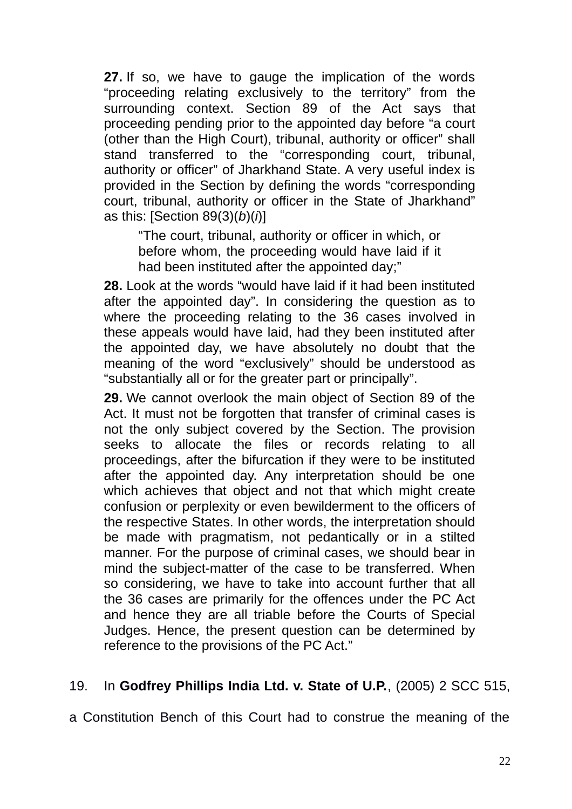**27.** If so, we have to gauge the implication of the words "proceeding relating exclusively to the territory" from the surrounding context. Section 89 of the Act says that proceeding pending prior to the appointed day before "a court (other than the High Court), tribunal, authority or officer" shall stand transferred to the "corresponding court, tribunal, authority or officer" of Jharkhand State. A very useful index is provided in the Section by defining the words "corresponding court, tribunal, authority or officer in the State of Jharkhand" as this: [Section 89(3)(*b*)(*i*)]

"The court, tribunal, authority or officer in which, or before whom, the proceeding would have laid if it had been instituted after the appointed day;"

**28.** Look at the words "would have laid if it had been instituted after the appointed day". In considering the question as to where the proceeding relating to the 36 cases involved in these appeals would have laid, had they been instituted after the appointed day, we have absolutely no doubt that the meaning of the word "exclusively" should be understood as "substantially all or for the greater part or principally".

**29.** We cannot overlook the main object of Section 89 of the Act. It must not be forgotten that transfer of criminal cases is not the only subject covered by the Section. The provision seeks to allocate the files or records relating to all proceedings, after the bifurcation if they were to be instituted after the appointed day. Any interpretation should be one which achieves that object and not that which might create confusion or perplexity or even bewilderment to the officers of the respective States. In other words, the interpretation should be made with pragmatism, not pedantically or in a stilted manner. For the purpose of criminal cases, we should bear in mind the subject-matter of the case to be transferred. When so considering, we have to take into account further that all the 36 cases are primarily for the offences under the PC Act and hence they are all triable before the Courts of Special Judges. Hence, the present question can be determined by reference to the provisions of the PC Act."

## 19. In **Godfrey Phillips India Ltd. v. State of U.P.**, (2005) 2 SCC 515,

a Constitution Bench of this Court had to construe the meaning of the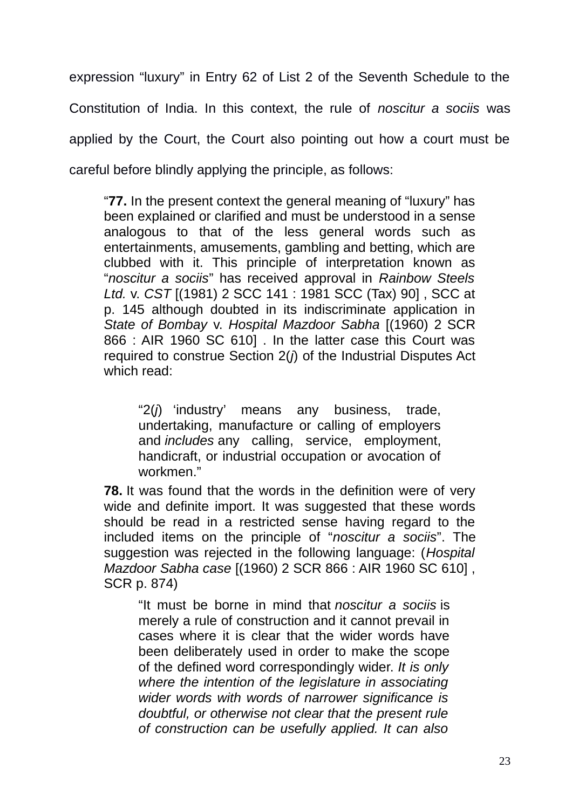expression "luxury" in Entry 62 of List 2 of the Seventh Schedule to the Constitution of India. In this context, the rule of *noscitur a sociis* was applied by the Court, the Court also pointing out how a court must be careful before blindly applying the principle, as follows:

"**77.** In the present context the general meaning of "luxury" has been explained or clarified and must be understood in a sense analogous to that of the less general words such as entertainments, amusements, gambling and betting, which are clubbed with it. This principle of interpretation known as "*noscitur a sociis*" has received approval in *Rainbow Steels Ltd.* v. *CST* [(1981) 2 SCC 141 : 1981 SCC (Tax) 90] , SCC at p. 145 although doubted in its indiscriminate application in *State of Bombay* v. *Hospital Mazdoor Sabha* [(1960) 2 SCR 866 : AIR 1960 SC 610] . In the latter case this Court was required to construe Section 2(*j*) of the Industrial Disputes Act which read:

"2(*j*) 'industry' means any business, trade, undertaking, manufacture or calling of employers and *includes* any calling, service, employment, handicraft, or industrial occupation or avocation of workmen."

**78.** It was found that the words in the definition were of very wide and definite import. It was suggested that these words should be read in a restricted sense having regard to the included items on the principle of "*noscitur a sociis*". The suggestion was rejected in the following language: (*Hospital Mazdoor Sabha case* [(1960) 2 SCR 866 : AIR 1960 SC 610] , SCR p. 874)

"It must be borne in mind that *noscitur a sociis* is merely a rule of construction and it cannot prevail in cases where it is clear that the wider words have been deliberately used in order to make the scope of the defined word correspondingly wider. *It is only where the intention of the legislature in associating wider words with words of narrower significance is doubtful, or otherwise not clear that the present rule of construction can be usefully applied. It can also*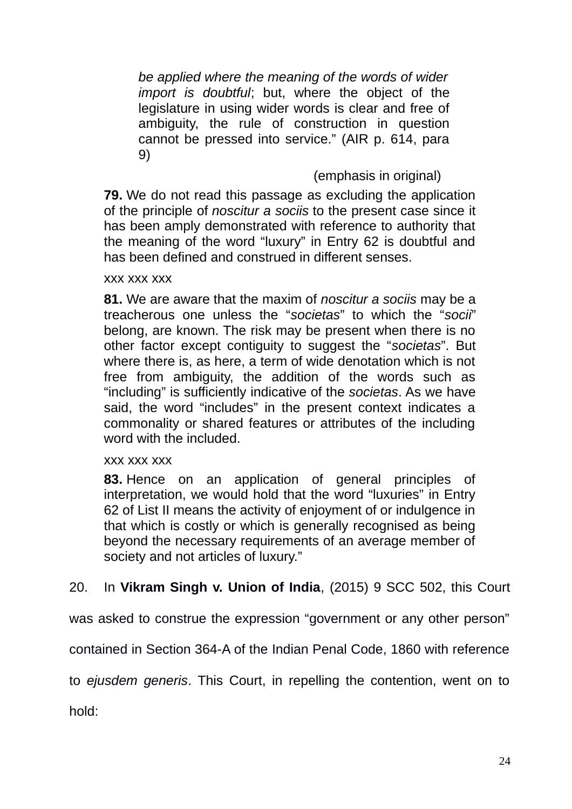*be applied where the meaning of the words of wider import is doubtful*; but, where the object of the legislature in using wider words is clear and free of ambiguity, the rule of construction in question cannot be pressed into service." (AIR p. 614, para 9)

## (emphasis in original)

**79.** We do not read this passage as excluding the application of the principle of *noscitur a sociis* to the present case since it has been amply demonstrated with reference to authority that the meaning of the word "luxury" in Entry 62 is doubtful and has been defined and construed in different senses.

#### xxx xxx xxx

**81.** We are aware that the maxim of *noscitur a sociis* may be a treacherous one unless the "*societas*" to which the "*socii*" belong, are known. The risk may be present when there is no other factor except contiguity to suggest the "*societas*". But where there is, as here, a term of wide denotation which is not free from ambiguity, the addition of the words such as "including" is sufficiently indicative of the *societas*. As we have said, the word "includes" in the present context indicates a commonality or shared features or attributes of the including word with the included.

#### xxx xxx xxx

**83.** Hence on an application of general principles of interpretation, we would hold that the word "luxuries" in Entry 62 of List II means the activity of enjoyment of or indulgence in that which is costly or which is generally recognised as being beyond the necessary requirements of an average member of society and not articles of luxury."

# 20. In **Vikram Singh v. Union of India**, (2015) 9 SCC 502, this Court

was asked to construe the expression "government or any other person"

contained in Section 364-A of the Indian Penal Code, 1860 with reference

to *ejusdem generis*. This Court, in repelling the contention, went on to

hold: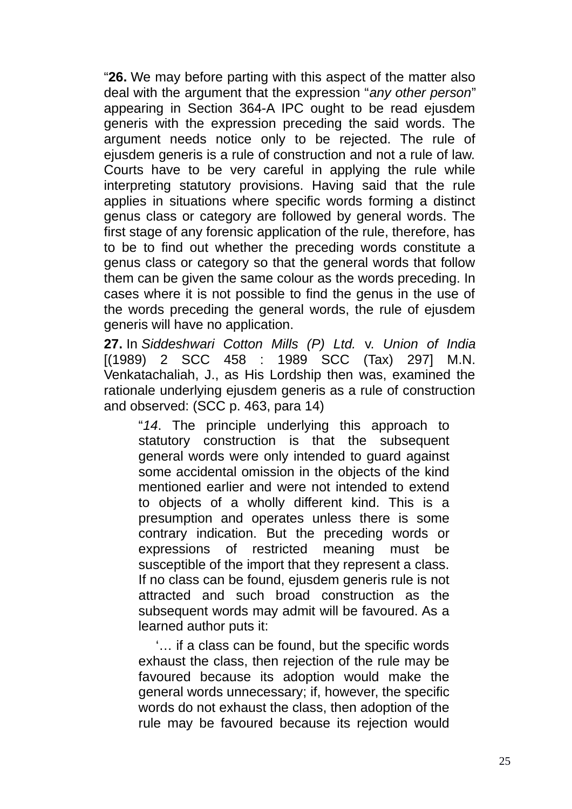"**26.** We may before parting with this aspect of the matter also deal with the argument that the expression "*any other person*" appearing in Section 364-A IPC ought to be read ejusdem generis with the expression preceding the said words. The argument needs notice only to be rejected. The rule of ejusdem generis is a rule of construction and not a rule of law. Courts have to be very careful in applying the rule while interpreting statutory provisions. Having said that the rule applies in situations where specific words forming a distinct genus class or category are followed by general words. The first stage of any forensic application of the rule, therefore, has to be to find out whether the preceding words constitute a genus class or category so that the general words that follow them can be given the same colour as the words preceding. In cases where it is not possible to find the genus in the use of the words preceding the general words, the rule of ejusdem generis will have no application.

**27.** In *Siddeshwari Cotton Mills (P) Ltd.* v. *Union of India* [(1989) 2 SCC 458 : 1989 SCC (Tax) 297] M.N. Venkatachaliah, J., as His Lordship then was, examined the rationale underlying ejusdem generis as a rule of construction and observed: (SCC p. 463, para 14)

"*14*. The principle underlying this approach to statutory construction is that the subsequent general words were only intended to guard against some accidental omission in the objects of the kind mentioned earlier and were not intended to extend to objects of a wholly different kind. This is a presumption and operates unless there is some contrary indication. But the preceding words or expressions of restricted meaning must be susceptible of the import that they represent a class. If no class can be found, ejusdem generis rule is not attracted and such broad construction as the subsequent words may admit will be favoured. As a learned author puts it:

'… if a class can be found, but the specific words exhaust the class, then rejection of the rule may be favoured because its adoption would make the general words unnecessary; if, however, the specific words do not exhaust the class, then adoption of the rule may be favoured because its rejection would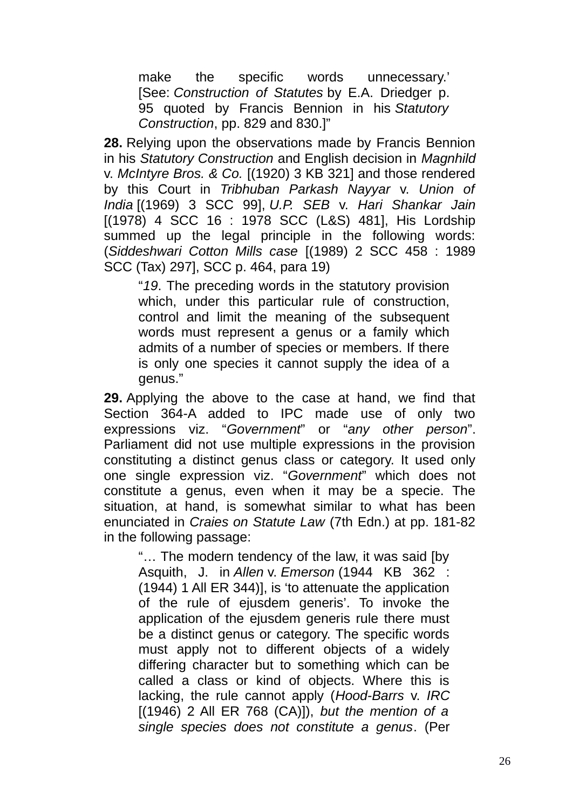make the specific words unnecessary.' [See: *Construction of Statutes* by E.A. Driedger p. 95 quoted by Francis Bennion in his *Statutory Construction*, pp. 829 and 830.]"

**28.** Relying upon the observations made by Francis Bennion in his *Statutory Construction* and English decision in *Magnhild* v. *McIntyre Bros. & Co.* [(1920) 3 KB 321] and those rendered by this Court in *Tribhuban Parkash Nayyar* v. *Union of India* [(1969) 3 SCC 99], *U.P. SEB* v. *Hari Shankar Jain* [(1978) 4 SCC 16 : 1978 SCC (L&S) 481], His Lordship summed up the legal principle in the following words: (*Siddeshwari Cotton Mills case* [(1989) 2 SCC 458 : 1989 SCC (Tax) 297], SCC p. 464, para 19)

"*19*. The preceding words in the statutory provision which, under this particular rule of construction, control and limit the meaning of the subsequent words must represent a genus or a family which admits of a number of species or members. If there is only one species it cannot supply the idea of a genus."

**29.** Applying the above to the case at hand, we find that Section 364-A added to IPC made use of only two expressions viz. "*Government*" or "*any other person*". Parliament did not use multiple expressions in the provision constituting a distinct genus class or category. It used only one single expression viz. "*Government*" which does not constitute a genus, even when it may be a specie. The situation, at hand, is somewhat similar to what has been enunciated in *Craies on Statute Law* (7th Edn.) at pp. 181-82 in the following passage:

"… The modern tendency of the law, it was said [by Asquith, J. in *Allen* v. *Emerson* (1944 KB 362 : (1944) 1 All ER 344)], is 'to attenuate the application of the rule of ejusdem generis'. To invoke the application of the ejusdem generis rule there must be a distinct genus or category. The specific words must apply not to different objects of a widely differing character but to something which can be called a class or kind of objects. Where this is lacking, the rule cannot apply (*Hood-Barrs* v. *IRC* [(1946) 2 All ER 768 (CA)]), *but the mention of a single species does not constitute a genus*. (Per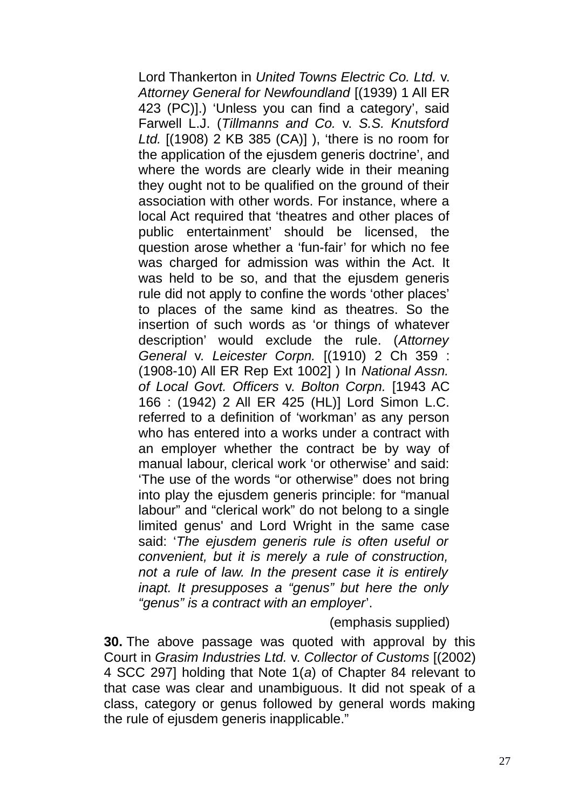Lord Thankerton in *United Towns Electric Co. Ltd.* v. *Attorney General for Newfoundland* [(1939) 1 All ER 423 (PC)].) 'Unless you can find a category', said Farwell L.J. (*Tillmanns and Co.* v. *S.S. Knutsford Ltd.* [(1908) 2 KB 385 (CA)] ), 'there is no room for the application of the ejusdem generis doctrine', and where the words are clearly wide in their meaning they ought not to be qualified on the ground of their association with other words. For instance, where a local Act required that 'theatres and other places of public entertainment' should be licensed, the question arose whether a 'fun-fair' for which no fee was charged for admission was within the Act. It was held to be so, and that the ejusdem generis rule did not apply to confine the words 'other places' to places of the same kind as theatres. So the insertion of such words as 'or things of whatever description' would exclude the rule. (*Attorney General* v. *Leicester Corpn.* [(1910) 2 Ch 359 : (1908-10) All ER Rep Ext 1002] ) In *National Assn. of Local Govt. Officers* v. *Bolton Corpn.* [1943 AC 166 : (1942) 2 All ER 425 (HL)] Lord Simon L.C. referred to a definition of 'workman' as any person who has entered into a works under a contract with an employer whether the contract be by way of manual labour, clerical work 'or otherwise' and said: 'The use of the words "or otherwise" does not bring into play the ejusdem generis principle: for "manual labour" and "clerical work" do not belong to a single limited genus' and Lord Wright in the same case said: '*The ejusdem generis rule is often useful or convenient, but it is merely a rule of construction, not a rule of law. In the present case it is entirely inapt. It presupposes a "genus" but here the only "genus" is a contract with an employer*'.

(emphasis supplied)

**30.** The above passage was quoted with approval by this Court in *Grasim Industries Ltd.* v. *Collector of Customs* [(2002) 4 SCC 297] holding that Note 1(*a*) of Chapter 84 relevant to that case was clear and unambiguous. It did not speak of a class, category or genus followed by general words making the rule of ejusdem generis inapplicable."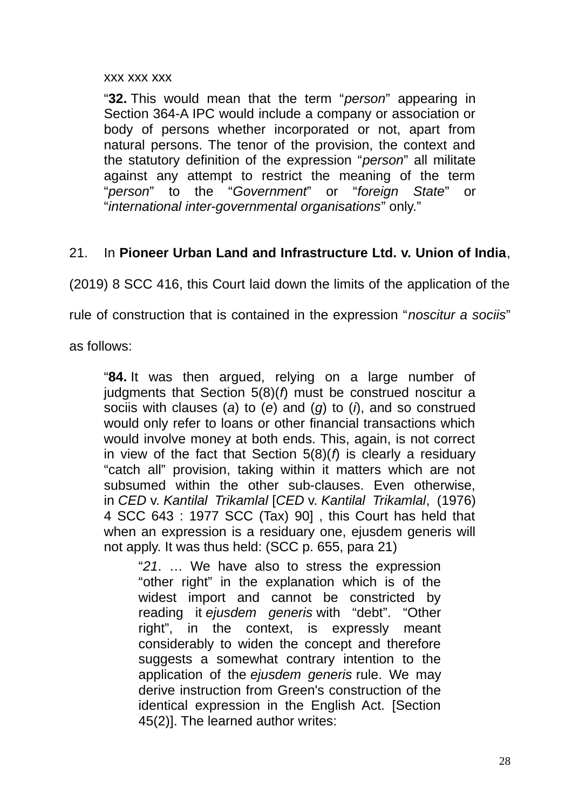#### xxx xxx xxx

"**32.** This would mean that the term "*person*" appearing in Section 364-A IPC would include a company or association or body of persons whether incorporated or not, apart from natural persons. The tenor of the provision, the context and the statutory definition of the expression "*person*" all militate against any attempt to restrict the meaning of the term "*person*" to the "*Government*" or "*foreign State*" or "*international inter-governmental organisations*" only."

## 21. In **Pioneer Urban Land and Infrastructure Ltd. v. Union of India**,

(2019) 8 SCC 416, this Court laid down the limits of the application of the

rule of construction that is contained in the expression "*noscitur a sociis*"

as follows:

"**84.** It was then argued, relying on a large number of judgments that Section 5(8)(*f*) must be construed noscitur a sociis with clauses (*a*) to (*e*) and (*g*) to (*i*), and so construed would only refer to loans or other financial transactions which would involve money at both ends. This, again, is not correct in view of the fact that Section 5(8)(*f*) is clearly a residuary "catch all" provision, taking within it matters which are not subsumed within the other sub-clauses. Even otherwise, in *CED* v. *Kantilal Trikamlal* [*CED* v. *Kantilal Trikamlal*, (1976) 4 SCC 643 : 1977 SCC (Tax) 90] , this Court has held that when an expression is a residuary one, ejusdem generis will not apply. It was thus held: (SCC p. 655, para 21)

"*21*. … We have also to stress the expression "other right" in the explanation which is of the widest import and cannot be constricted by reading it *ejusdem generis* with "debt". "Other right", in the context, is expressly meant considerably to widen the concept and therefore suggests a somewhat contrary intention to the application of the *ejusdem generis* rule. We may derive instruction from Green's construction of the identical expression in the English Act. [Section 45(2)]. The learned author writes: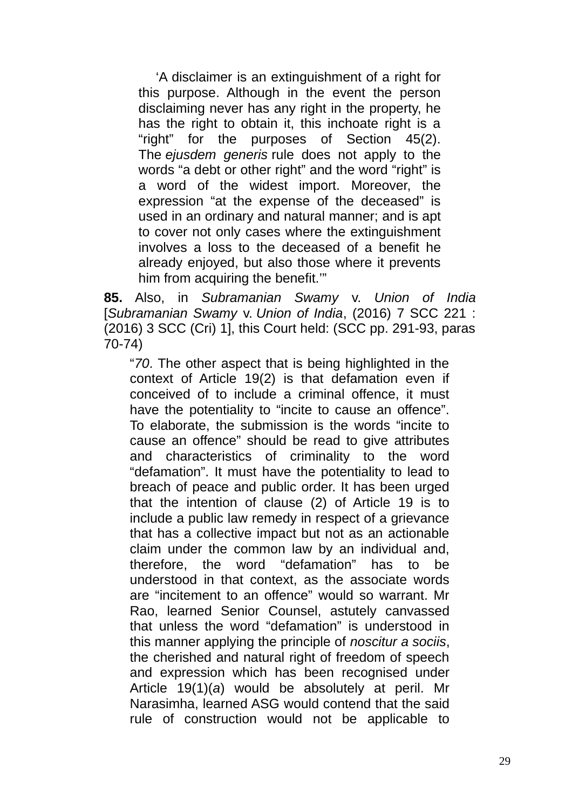'A disclaimer is an extinguishment of a right for this purpose. Although in the event the person disclaiming never has any right in the property, he has the right to obtain it, this inchoate right is a "right" for the purposes of Section 45(2). The *ejusdem generis* rule does not apply to the words "a debt or other right" and the word "right" is a word of the widest import. Moreover, the expression "at the expense of the deceased" is used in an ordinary and natural manner; and is apt to cover not only cases where the extinguishment involves a loss to the deceased of a benefit he already enjoyed, but also those where it prevents him from acquiring the benefit.'"

**85.** Also, in *Subramanian Swamy* v. *Union of India* [*Subramanian Swamy* v. *Union of India*, (2016) 7 SCC 221 : (2016) 3 SCC (Cri) 1], this Court held: (SCC pp. 291-93, paras 70-74)

"*70*. The other aspect that is being highlighted in the context of Article 19(2) is that defamation even if conceived of to include a criminal offence, it must have the potentiality to "incite to cause an offence". To elaborate, the submission is the words "incite to cause an offence" should be read to give attributes and characteristics of criminality to the word "defamation". It must have the potentiality to lead to breach of peace and public order. It has been urged that the intention of clause (2) of Article 19 is to include a public law remedy in respect of a grievance that has a collective impact but not as an actionable claim under the common law by an individual and, therefore, the word "defamation" has to be understood in that context, as the associate words are "incitement to an offence" would so warrant. Mr Rao, learned Senior Counsel, astutely canvassed that unless the word "defamation" is understood in this manner applying the principle of *noscitur a sociis*, the cherished and natural right of freedom of speech and expression which has been recognised under Article 19(1)(*a*) would be absolutely at peril. Mr Narasimha, learned ASG would contend that the said rule of construction would not be applicable to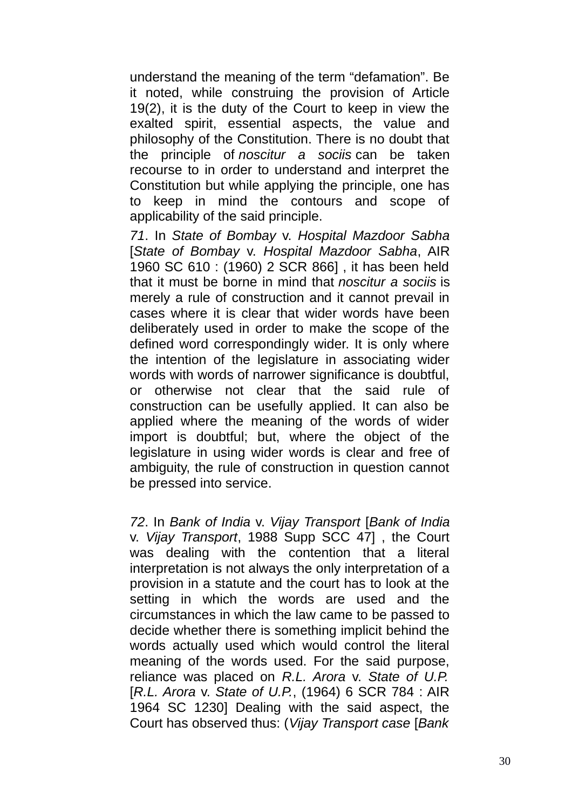understand the meaning of the term "defamation". Be it noted, while construing the provision of Article 19(2), it is the duty of the Court to keep in view the exalted spirit, essential aspects, the value and philosophy of the Constitution. There is no doubt that the principle of *noscitur a sociis* can be taken recourse to in order to understand and interpret the Constitution but while applying the principle, one has to keep in mind the contours and scope of applicability of the said principle.

*71*. In *State of Bombay* v. *Hospital Mazdoor Sabha* [*State of Bombay* v. *Hospital Mazdoor Sabha*, AIR 1960 SC 610 : (1960) 2 SCR 866] , it has been held that it must be borne in mind that *noscitur a sociis* is merely a rule of construction and it cannot prevail in cases where it is clear that wider words have been deliberately used in order to make the scope of the defined word correspondingly wider. It is only where the intention of the legislature in associating wider words with words of narrower significance is doubtful. or otherwise not clear that the said rule of construction can be usefully applied. It can also be applied where the meaning of the words of wider import is doubtful; but, where the object of the legislature in using wider words is clear and free of ambiguity, the rule of construction in question cannot be pressed into service.

*72*. In *Bank of India* v. *Vijay Transport* [*Bank of India* v. *Vijay Transport*, 1988 Supp SCC 47] , the Court was dealing with the contention that a literal interpretation is not always the only interpretation of a provision in a statute and the court has to look at the setting in which the words are used and the circumstances in which the law came to be passed to decide whether there is something implicit behind the words actually used which would control the literal meaning of the words used. For the said purpose, reliance was placed on *R.L. Arora* v. *State of U.P.* [*R.L. Arora* v. *State of U.P.*, (1964) 6 SCR 784 : AIR 1964 SC 1230] Dealing with the said aspect, the Court has observed thus: (*Vijay Transport case* [*Bank*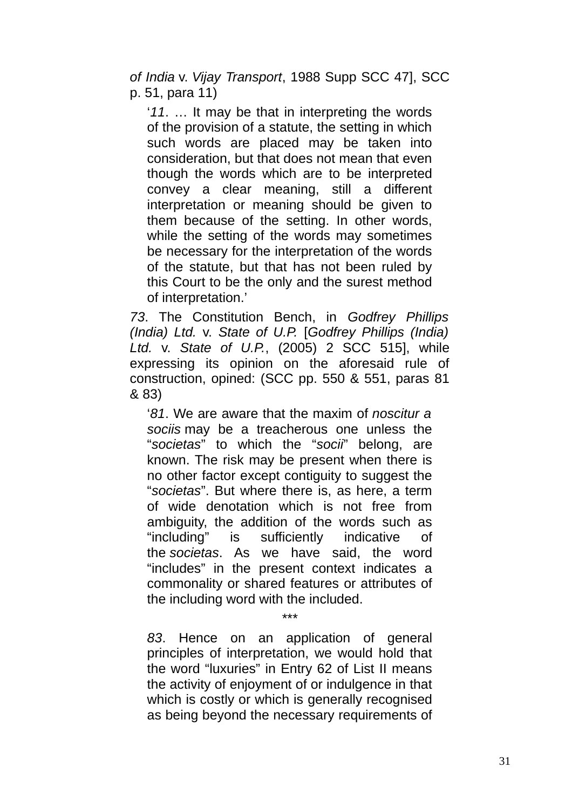*of India* v. *Vijay Transport*, 1988 Supp SCC 47], SCC p. 51, para 11)

'*11*. … It may be that in interpreting the words of the provision of a statute, the setting in which such words are placed may be taken into consideration, but that does not mean that even though the words which are to be interpreted convey a clear meaning, still a different interpretation or meaning should be given to them because of the setting. In other words, while the setting of the words may sometimes be necessary for the interpretation of the words of the statute, but that has not been ruled by this Court to be the only and the surest method of interpretation.'

*73*. The Constitution Bench, in *Godfrey Phillips (India) Ltd.* v. *State of U.P.* [*Godfrey Phillips (India) Ltd.* v. *State of U.P.*, (2005) 2 SCC 515], while expressing its opinion on the aforesaid rule of construction, opined: (SCC pp. 550 & 551, paras 81 & 83)

'*81*. We are aware that the maxim of *noscitur a sociis* may be a treacherous one unless the "*societas*" to which the "*socii*" belong, are known. The risk may be present when there is no other factor except contiguity to suggest the "*societas*". But where there is, as here, a term of wide denotation which is not free from ambiguity, the addition of the words such as "including" is sufficiently indicative of the *societas*. As we have said, the word "includes" in the present context indicates a commonality or shared features or attributes of the including word with the included.

*83*. Hence on an application of general principles of interpretation, we would hold that the word "luxuries" in Entry 62 of List II means the activity of enjoyment of or indulgence in that which is costly or which is generally recognised as being beyond the necessary requirements of

\*\*\*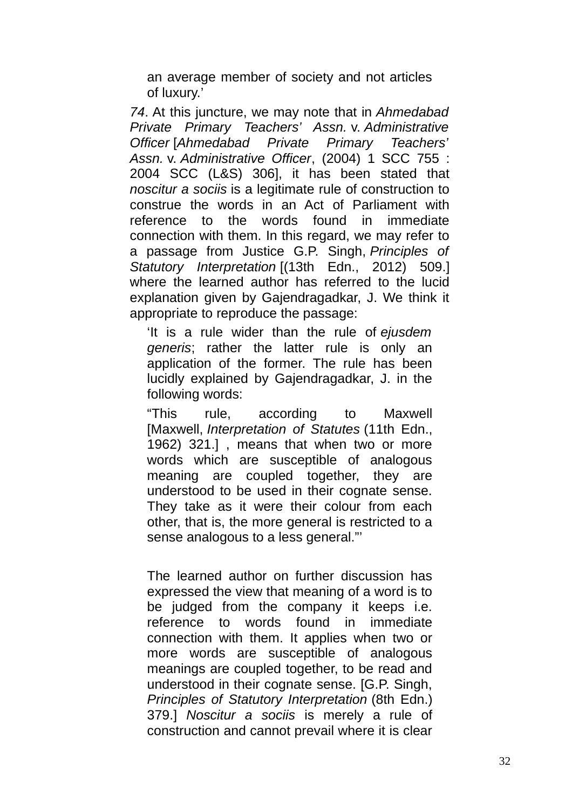an average member of society and not articles of luxury.'

*74*. At this juncture, we may note that in *Ahmedabad Private Primary Teachers' Assn.* v. *Administrative Officer* [*Ahmedabad Private Primary Teachers' Assn.* v. *Administrative Officer*, (2004) 1 SCC 755 : 2004 SCC (L&S) 306], it has been stated that *noscitur a sociis* is a legitimate rule of construction to construe the words in an Act of Parliament with reference to the words found in immediate connection with them. In this regard, we may refer to a passage from Justice G.P. Singh, *Principles of Statutory Interpretation* [(13th Edn., 2012) 509.] where the learned author has referred to the lucid explanation given by Gajendragadkar, J. We think it appropriate to reproduce the passage:

'It is a rule wider than the rule of *ejusdem generis*; rather the latter rule is only an application of the former. The rule has been lucidly explained by Gajendragadkar, J. in the following words:

"This rule, according to Maxwell [Maxwell, *Interpretation of Statutes* (11th Edn., 1962) 321.] , means that when two or more words which are susceptible of analogous meaning are coupled together, they are understood to be used in their cognate sense. They take as it were their colour from each other, that is, the more general is restricted to a sense analogous to a less general."'

The learned author on further discussion has expressed the view that meaning of a word is to be judged from the company it keeps i.e. reference to words found in immediate connection with them. It applies when two or more words are susceptible of analogous meanings are coupled together, to be read and understood in their cognate sense. [G.P. Singh, *Principles of Statutory Interpretation* (8th Edn.) 379.] *Noscitur a sociis* is merely a rule of construction and cannot prevail where it is clear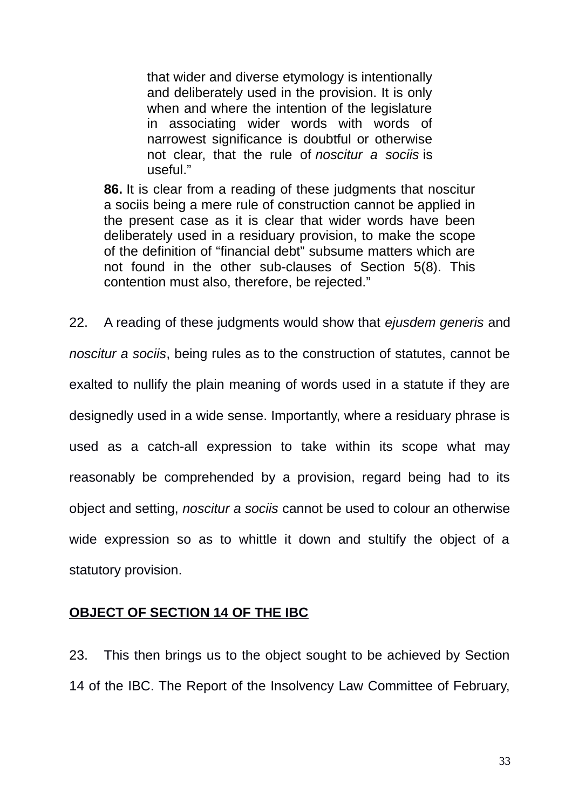that wider and diverse etymology is intentionally and deliberately used in the provision. It is only when and where the intention of the legislature in associating wider words with words of narrowest significance is doubtful or otherwise not clear, that the rule of *noscitur a sociis* is useful."

**86.** It is clear from a reading of these judgments that noscitur a sociis being a mere rule of construction cannot be applied in the present case as it is clear that wider words have been deliberately used in a residuary provision, to make the scope of the definition of "financial debt" subsume matters which are not found in the other sub-clauses of Section 5(8). This contention must also, therefore, be rejected."

22. A reading of these judgments would show that *ejusdem generis* and *noscitur a sociis*, being rules as to the construction of statutes, cannot be exalted to nullify the plain meaning of words used in a statute if they are designedly used in a wide sense. Importantly, where a residuary phrase is used as a catch-all expression to take within its scope what may reasonably be comprehended by a provision, regard being had to its object and setting, *noscitur a sociis* cannot be used to colour an otherwise wide expression so as to whittle it down and stultify the object of a statutory provision.

#### **OBJECT OF SECTION 14 OF THE IBC**

23. This then brings us to the object sought to be achieved by Section 14 of the IBC. The Report of the Insolvency Law Committee of February,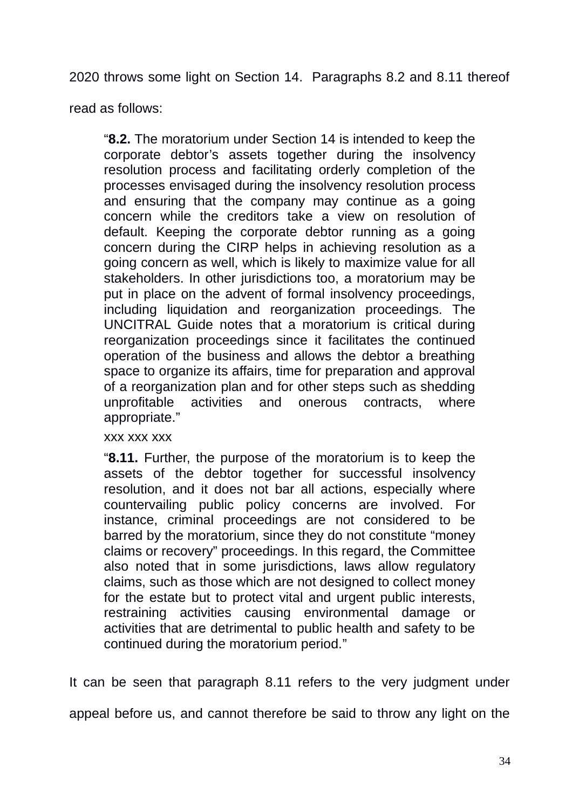2020 throws some light on Section 14. Paragraphs 8.2 and 8.11 thereof

read as follows:

"**8.2.** The moratorium under Section 14 is intended to keep the corporate debtor's assets together during the insolvency resolution process and facilitating orderly completion of the processes envisaged during the insolvency resolution process and ensuring that the company may continue as a going concern while the creditors take a view on resolution of default. Keeping the corporate debtor running as a going concern during the CIRP helps in achieving resolution as a going concern as well, which is likely to maximize value for all stakeholders. In other jurisdictions too, a moratorium may be put in place on the advent of formal insolvency proceedings, including liquidation and reorganization proceedings. The UNCITRAL Guide notes that a moratorium is critical during reorganization proceedings since it facilitates the continued operation of the business and allows the debtor a breathing space to organize its affairs, time for preparation and approval of a reorganization plan and for other steps such as shedding unprofitable activities and onerous contracts, where appropriate."

xxx xxx xxx

"**8.11.** Further, the purpose of the moratorium is to keep the assets of the debtor together for successful insolvency resolution, and it does not bar all actions, especially where countervailing public policy concerns are involved. For instance, criminal proceedings are not considered to be barred by the moratorium, since they do not constitute "money claims or recovery" proceedings. In this regard, the Committee also noted that in some jurisdictions, laws allow regulatory claims, such as those which are not designed to collect money for the estate but to protect vital and urgent public interests, restraining activities causing environmental damage or activities that are detrimental to public health and safety to be continued during the moratorium period."

It can be seen that paragraph 8.11 refers to the very judgment under

appeal before us, and cannot therefore be said to throw any light on the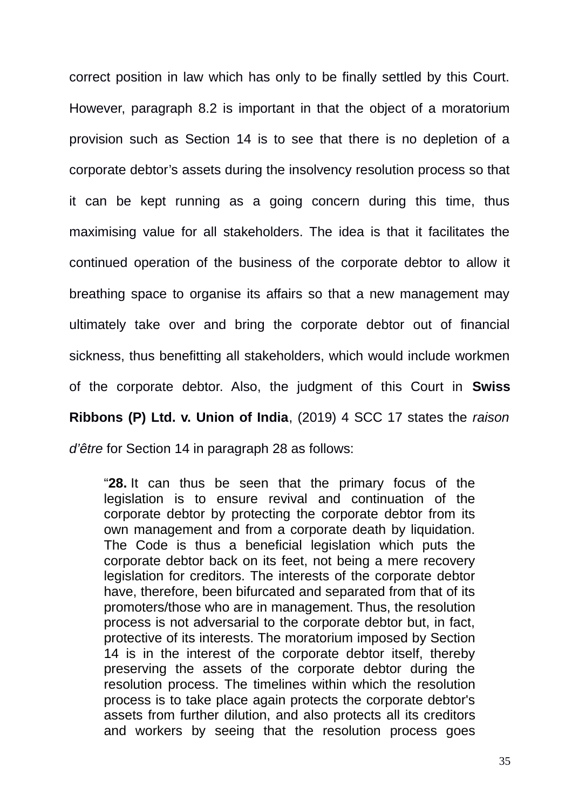correct position in law which has only to be finally settled by this Court. However, paragraph 8.2 is important in that the object of a moratorium provision such as Section 14 is to see that there is no depletion of a corporate debtor's assets during the insolvency resolution process so that it can be kept running as a going concern during this time, thus maximising value for all stakeholders. The idea is that it facilitates the continued operation of the business of the corporate debtor to allow it breathing space to organise its affairs so that a new management may ultimately take over and bring the corporate debtor out of financial sickness, thus benefitting all stakeholders, which would include workmen of the corporate debtor. Also, the judgment of this Court in **Swiss Ribbons (P) Ltd. v. Union of India**, (2019) 4 SCC 17 states the *raison d'être* for Section 14 in paragraph 28 as follows:

"**28.** It can thus be seen that the primary focus of the legislation is to ensure revival and continuation of the corporate debtor by protecting the corporate debtor from its own management and from a corporate death by liquidation. The Code is thus a beneficial legislation which puts the corporate debtor back on its feet, not being a mere recovery legislation for creditors. The interests of the corporate debtor have, therefore, been bifurcated and separated from that of its promoters/those who are in management. Thus, the resolution process is not adversarial to the corporate debtor but, in fact, protective of its interests. The moratorium imposed by Section 14 is in the interest of the corporate debtor itself, thereby preserving the assets of the corporate debtor during the resolution process. The timelines within which the resolution process is to take place again protects the corporate debtor's assets from further dilution, and also protects all its creditors and workers by seeing that the resolution process goes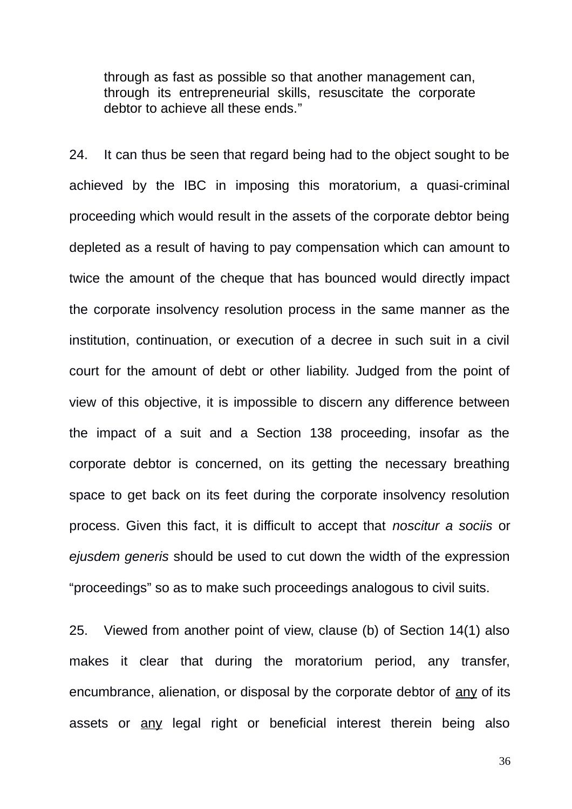through as fast as possible so that another management can, through its entrepreneurial skills, resuscitate the corporate debtor to achieve all these ends."

24. It can thus be seen that regard being had to the object sought to be achieved by the IBC in imposing this moratorium, a quasi-criminal proceeding which would result in the assets of the corporate debtor being depleted as a result of having to pay compensation which can amount to twice the amount of the cheque that has bounced would directly impact the corporate insolvency resolution process in the same manner as the institution, continuation, or execution of a decree in such suit in a civil court for the amount of debt or other liability. Judged from the point of view of this objective, it is impossible to discern any difference between the impact of a suit and a Section 138 proceeding, insofar as the corporate debtor is concerned, on its getting the necessary breathing space to get back on its feet during the corporate insolvency resolution process. Given this fact, it is difficult to accept that *noscitur a sociis* or *ejusdem generis* should be used to cut down the width of the expression "proceedings" so as to make such proceedings analogous to civil suits.

25. Viewed from another point of view, clause (b) of Section 14(1) also makes it clear that during the moratorium period, any transfer, encumbrance, alienation, or disposal by the corporate debtor of any of its assets or any legal right or beneficial interest therein being also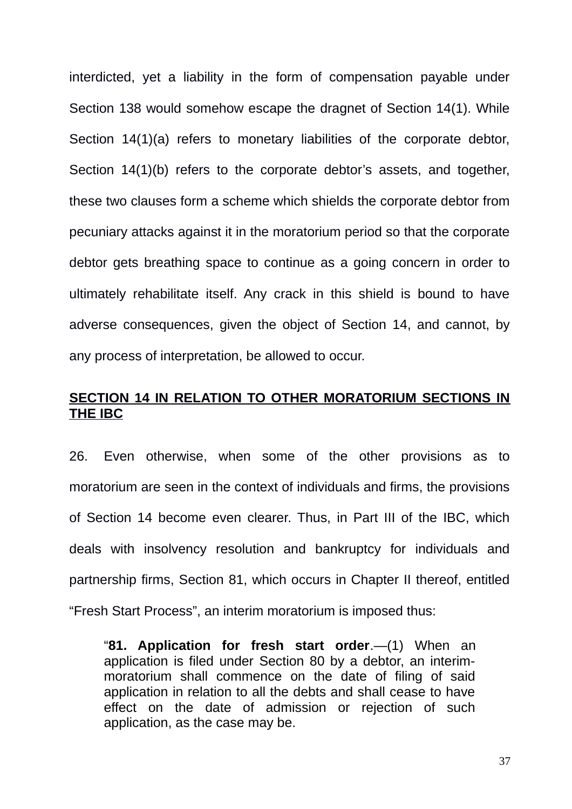interdicted, yet a liability in the form of compensation payable under Section 138 would somehow escape the dragnet of Section 14(1). While Section 14(1)(a) refers to monetary liabilities of the corporate debtor, Section 14(1)(b) refers to the corporate debtor's assets, and together, these two clauses form a scheme which shields the corporate debtor from pecuniary attacks against it in the moratorium period so that the corporate debtor gets breathing space to continue as a going concern in order to ultimately rehabilitate itself. Any crack in this shield is bound to have adverse consequences, given the object of Section 14, and cannot, by any process of interpretation, be allowed to occur.

### **SECTION 14 IN RELATION TO OTHER MORATORIUM SECTIONS IN THE IBC**

26. Even otherwise, when some of the other provisions as to moratorium are seen in the context of individuals and firms, the provisions of Section 14 become even clearer. Thus, in Part III of the IBC, which deals with insolvency resolution and bankruptcy for individuals and partnership firms, Section 81, which occurs in Chapter II thereof, entitled "Fresh Start Process", an interim moratorium is imposed thus:

"**81. Application for fresh start order**.—(1) When an application is filed under Section 80 by a debtor, an interimmoratorium shall commence on the date of filing of said application in relation to all the debts and shall cease to have effect on the date of admission or rejection of such application, as the case may be.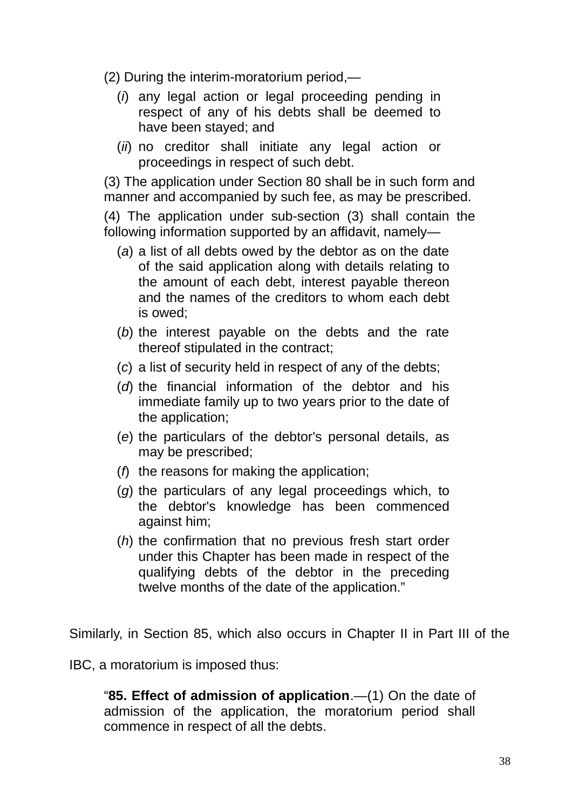(2) During the interim-moratorium period,—

- (*i*) any legal action or legal proceeding pending in respect of any of his debts shall be deemed to have been stayed; and
- (*ii*) no creditor shall initiate any legal action or proceedings in respect of such debt.

(3) The application under Section 80 shall be in such form and manner and accompanied by such fee, as may be prescribed.

(4) The application under sub-section (3) shall contain the following information supported by an affidavit, namely—

- (*a*) a list of all debts owed by the debtor as on the date of the said application along with details relating to the amount of each debt, interest payable thereon and the names of the creditors to whom each debt is owed;
- (*b*) the interest payable on the debts and the rate thereof stipulated in the contract;
- (*c*) a list of security held in respect of any of the debts;
- (*d*) the financial information of the debtor and his immediate family up to two years prior to the date of the application;
- (*e*) the particulars of the debtor's personal details, as may be prescribed;
- (*f*) the reasons for making the application;
- (*g*) the particulars of any legal proceedings which, to the debtor's knowledge has been commenced against him;
- (*h*) the confirmation that no previous fresh start order under this Chapter has been made in respect of the qualifying debts of the debtor in the preceding twelve months of the date of the application."

Similarly, in Section 85, which also occurs in Chapter II in Part III of the

IBC, a moratorium is imposed thus:

"**85. Effect of admission of application**.—(1) On the date of admission of the application, the moratorium period shall commence in respect of all the debts.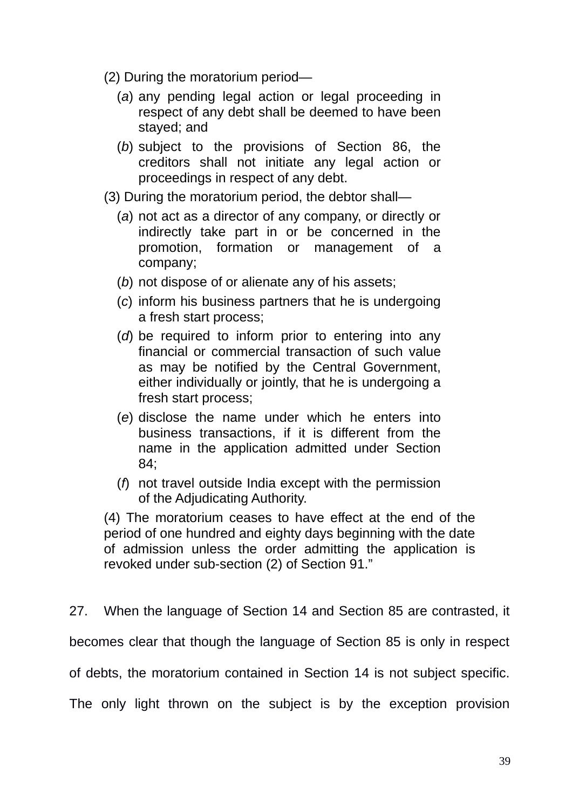- (2) During the moratorium period—
	- (*a*) any pending legal action or legal proceeding in respect of any debt shall be deemed to have been stayed; and
	- (*b*) subject to the provisions of Section 86, the creditors shall not initiate any legal action or proceedings in respect of any debt.
- (3) During the moratorium period, the debtor shall—
	- (*a*) not act as a director of any company, or directly or indirectly take part in or be concerned in the promotion, formation or management of a company;
	- (*b*) not dispose of or alienate any of his assets;
	- (*c*) inform his business partners that he is undergoing a fresh start process;
	- (*d*) be required to inform prior to entering into any financial or commercial transaction of such value as may be notified by the Central Government, either individually or jointly, that he is undergoing a fresh start process;
	- (*e*) disclose the name under which he enters into business transactions, if it is different from the name in the application admitted under Section 84;
	- (*f*) not travel outside India except with the permission of the Adjudicating Authority.

(4) The moratorium ceases to have effect at the end of the period of one hundred and eighty days beginning with the date of admission unless the order admitting the application is revoked under sub-section (2) of Section 91."

27. When the language of Section 14 and Section 85 are contrasted, it becomes clear that though the language of Section 85 is only in respect of debts, the moratorium contained in Section 14 is not subject specific. The only light thrown on the subject is by the exception provision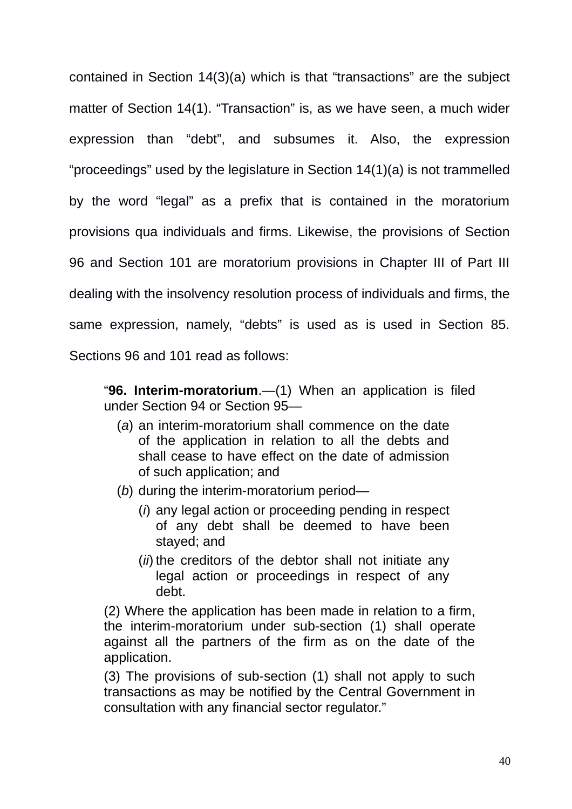contained in Section 14(3)(a) which is that "transactions" are the subject matter of Section 14(1). "Transaction" is, as we have seen, a much wider expression than "debt", and subsumes it. Also, the expression "proceedings" used by the legislature in Section 14(1)(a) is not trammelled by the word "legal" as a prefix that is contained in the moratorium provisions qua individuals and firms. Likewise, the provisions of Section 96 and Section 101 are moratorium provisions in Chapter III of Part III dealing with the insolvency resolution process of individuals and firms, the same expression, namely, "debts" is used as is used in Section 85. Sections 96 and 101 read as follows:

"**96. Interim-moratorium**.—(1) When an application is filed under Section 94 or Section 95—

- (*a*) an interim-moratorium shall commence on the date of the application in relation to all the debts and shall cease to have effect on the date of admission of such application; and
- (*b*) during the interim-moratorium period—
	- (*i*) any legal action or proceeding pending in respect of any debt shall be deemed to have been stayed; and
	- (*ii*) the creditors of the debtor shall not initiate any legal action or proceedings in respect of any debt.

(2) Where the application has been made in relation to a firm, the interim-moratorium under sub-section (1) shall operate against all the partners of the firm as on the date of the application.

(3) The provisions of sub-section (1) shall not apply to such transactions as may be notified by the Central Government in consultation with any financial sector regulator."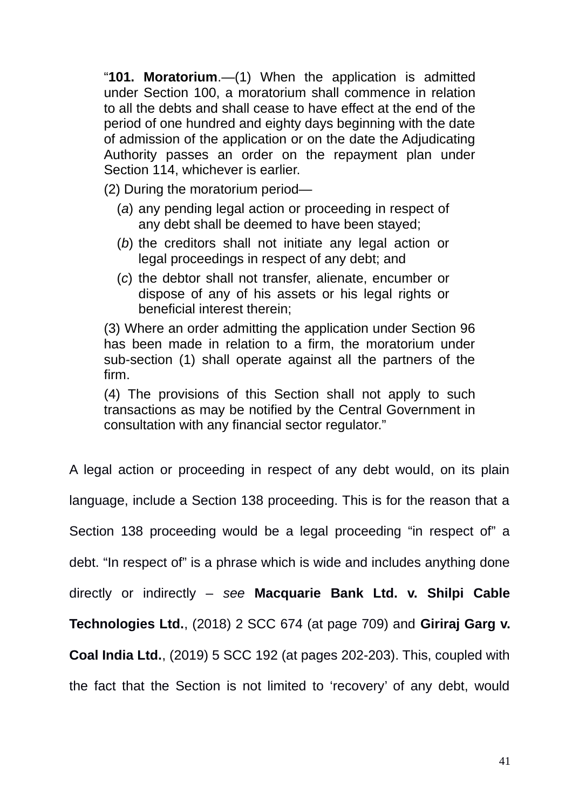"**101. Moratorium**.—(1) When the application is admitted under Section 100, a moratorium shall commence in relation to all the debts and shall cease to have effect at the end of the period of one hundred and eighty days beginning with the date of admission of the application or on the date the Adjudicating Authority passes an order on the repayment plan under Section 114, whichever is earlier.

(2) During the moratorium period—

- (*a*) any pending legal action or proceeding in respect of any debt shall be deemed to have been stayed;
- (*b*) the creditors shall not initiate any legal action or legal proceedings in respect of any debt; and
- (*c*) the debtor shall not transfer, alienate, encumber or dispose of any of his assets or his legal rights or beneficial interest therein;

(3) Where an order admitting the application under Section 96 has been made in relation to a firm, the moratorium under sub-section (1) shall operate against all the partners of the firm.

(4) The provisions of this Section shall not apply to such transactions as may be notified by the Central Government in consultation with any financial sector regulator."

A legal action or proceeding in respect of any debt would, on its plain language, include a Section 138 proceeding. This is for the reason that a Section 138 proceeding would be a legal proceeding "in respect of" a debt. "In respect of" is a phrase which is wide and includes anything done directly or indirectly – *see* **Macquarie Bank Ltd. v. Shilpi Cable Technologies Ltd.**, (2018) 2 SCC 674 (at page 709) and **Giriraj Garg v. Coal India Ltd.**, (2019) 5 SCC 192 (at pages 202-203). This, coupled with the fact that the Section is not limited to 'recovery' of any debt, would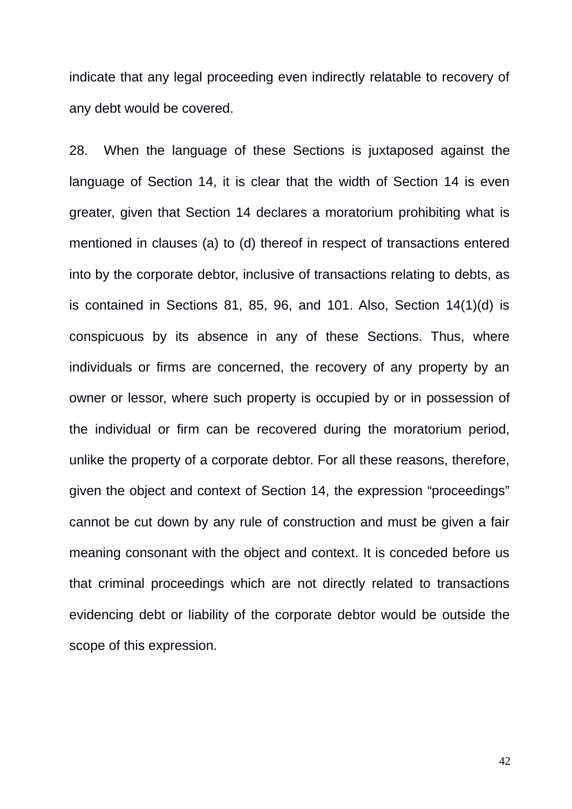indicate that any legal proceeding even indirectly relatable to recovery of any debt would be covered.

28. When the language of these Sections is juxtaposed against the language of Section 14, it is clear that the width of Section 14 is even greater, given that Section 14 declares a moratorium prohibiting what is mentioned in clauses (a) to (d) thereof in respect of transactions entered into by the corporate debtor, inclusive of transactions relating to debts, as is contained in Sections 81, 85, 96, and 101. Also, Section 14(1)(d) is conspicuous by its absence in any of these Sections. Thus, where individuals or firms are concerned, the recovery of any property by an owner or lessor, where such property is occupied by or in possession of the individual or firm can be recovered during the moratorium period, unlike the property of a corporate debtor. For all these reasons, therefore, given the object and context of Section 14, the expression "proceedings" cannot be cut down by any rule of construction and must be given a fair meaning consonant with the object and context. It is conceded before us that criminal proceedings which are not directly related to transactions evidencing debt or liability of the corporate debtor would be outside the scope of this expression.

42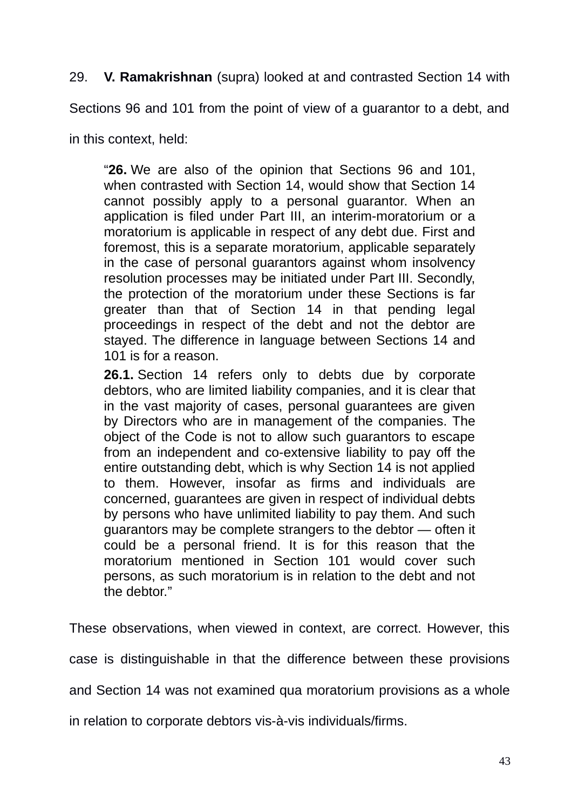29. **V. Ramakrishnan** (supra) looked at and contrasted Section 14 with

Sections 96 and 101 from the point of view of a guarantor to a debt, and

in this context, held:

"**26.** We are also of the opinion that Sections 96 and 101, when contrasted with Section 14, would show that Section 14 cannot possibly apply to a personal guarantor. When an application is filed under Part III, an interim-moratorium or a moratorium is applicable in respect of any debt due. First and foremost, this is a separate moratorium, applicable separately in the case of personal guarantors against whom insolvency resolution processes may be initiated under Part III. Secondly, the protection of the moratorium under these Sections is far greater than that of Section 14 in that pending legal proceedings in respect of the debt and not the debtor are stayed. The difference in language between Sections 14 and 101 is for a reason.

**26.1.** Section 14 refers only to debts due by corporate debtors, who are limited liability companies, and it is clear that in the vast majority of cases, personal guarantees are given by Directors who are in management of the companies. The object of the Code is not to allow such guarantors to escape from an independent and co-extensive liability to pay off the entire outstanding debt, which is why Section 14 is not applied to them. However, insofar as firms and individuals are concerned, guarantees are given in respect of individual debts by persons who have unlimited liability to pay them. And such guarantors may be complete strangers to the debtor — often it could be a personal friend. It is for this reason that the moratorium mentioned in Section 101 would cover such persons, as such moratorium is in relation to the debt and not the debtor."

These observations, when viewed in context, are correct. However, this

case is distinguishable in that the difference between these provisions

and Section 14 was not examined qua moratorium provisions as a whole

in relation to corporate debtors vis-à-vis individuals/firms.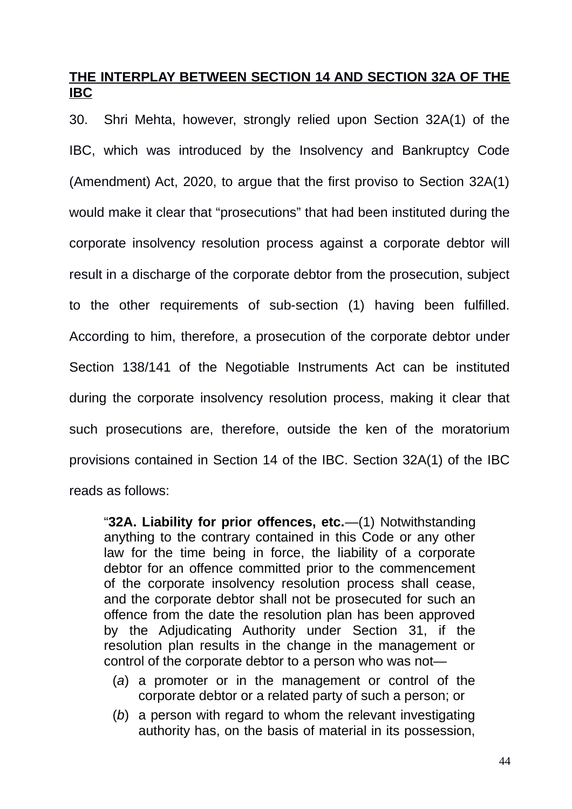## **THE INTERPLAY BETWEEN SECTION 14 AND SECTION 32A OF THE IBC**

30. Shri Mehta, however, strongly relied upon Section 32A(1) of the IBC, which was introduced by the Insolvency and Bankruptcy Code (Amendment) Act, 2020, to argue that the first proviso to Section 32A(1) would make it clear that "prosecutions" that had been instituted during the corporate insolvency resolution process against a corporate debtor will result in a discharge of the corporate debtor from the prosecution, subject to the other requirements of sub-section (1) having been fulfilled. According to him, therefore, a prosecution of the corporate debtor under Section 138/141 of the Negotiable Instruments Act can be instituted during the corporate insolvency resolution process, making it clear that such prosecutions are, therefore, outside the ken of the moratorium provisions contained in Section 14 of the IBC. Section 32A(1) of the IBC reads as follows:

"**32A. Liability for prior offences, etc.**—(1) Notwithstanding anything to the contrary contained in this Code or any other law for the time being in force, the liability of a corporate debtor for an offence committed prior to the commencement of the corporate insolvency resolution process shall cease, and the corporate debtor shall not be prosecuted for such an offence from the date the resolution plan has been approved by the Adjudicating Authority under Section 31, if the resolution plan results in the change in the management or control of the corporate debtor to a person who was not—

- (*a*) a promoter or in the management or control of the corporate debtor or a related party of such a person; or
- (*b*) a person with regard to whom the relevant investigating authority has, on the basis of material in its possession,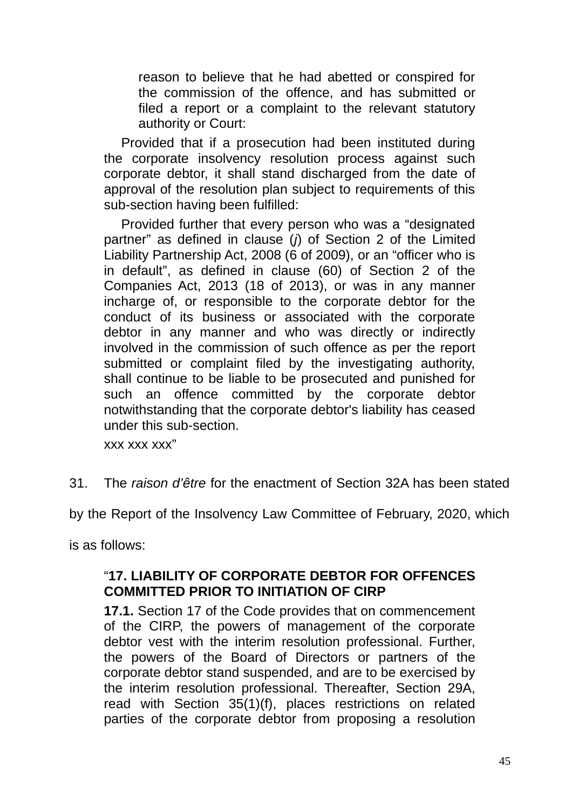reason to believe that he had abetted or conspired for the commission of the offence, and has submitted or filed a report or a complaint to the relevant statutory authority or Court:

Provided that if a prosecution had been instituted during the corporate insolvency resolution process against such corporate debtor, it shall stand discharged from the date of approval of the resolution plan subject to requirements of this sub-section having been fulfilled:

Provided further that every person who was a "designated partner" as defined in clause (*j*) of Section 2 of the Limited Liability Partnership Act, 2008 (6 of 2009), or an "officer who is in default", as defined in clause (60) of Section 2 of the Companies Act, 2013 (18 of 2013), or was in any manner incharge of, or responsible to the corporate debtor for the conduct of its business or associated with the corporate debtor in any manner and who was directly or indirectly involved in the commission of such offence as per the report submitted or complaint filed by the investigating authority, shall continue to be liable to be prosecuted and punished for such an offence committed by the corporate debtor notwithstanding that the corporate debtor's liability has ceased under this sub-section.

xxx xxx xxx"

31. The *raison d'être* for the enactment of Section 32A has been stated

by the Report of the Insolvency Law Committee of February, 2020, which

is as follows:

### "**17. LIABILITY OF CORPORATE DEBTOR FOR OFFENCES COMMITTED PRIOR TO INITIATION OF CIRP**

**17.1.** Section 17 of the Code provides that on commencement of the CIRP, the powers of management of the corporate debtor vest with the interim resolution professional. Further, the powers of the Board of Directors or partners of the corporate debtor stand suspended, and are to be exercised by the interim resolution professional. Thereafter, Section 29A, read with Section 35(1)(f), places restrictions on related parties of the corporate debtor from proposing a resolution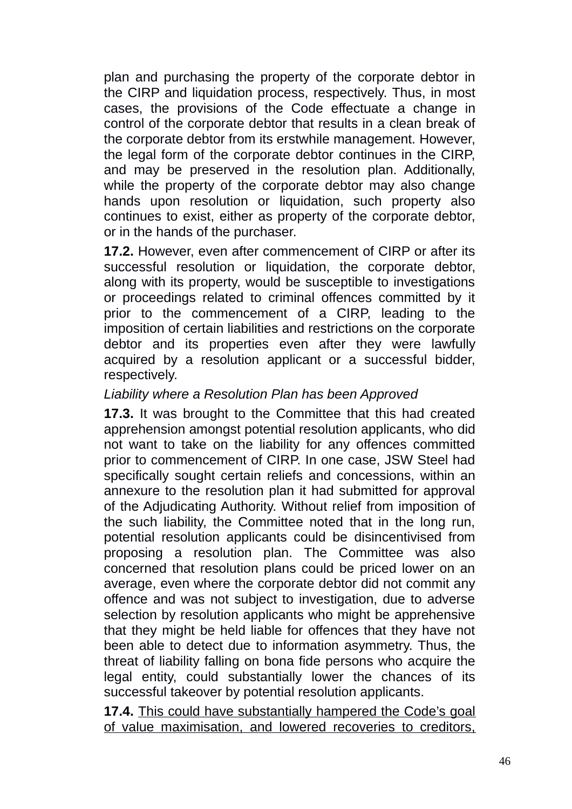plan and purchasing the property of the corporate debtor in the CIRP and liquidation process, respectively. Thus, in most cases, the provisions of the Code effectuate a change in control of the corporate debtor that results in a clean break of the corporate debtor from its erstwhile management. However, the legal form of the corporate debtor continues in the CIRP, and may be preserved in the resolution plan. Additionally, while the property of the corporate debtor may also change hands upon resolution or liquidation, such property also continues to exist, either as property of the corporate debtor, or in the hands of the purchaser.

**17.2.** However, even after commencement of CIRP or after its successful resolution or liquidation, the corporate debtor, along with its property, would be susceptible to investigations or proceedings related to criminal offences committed by it prior to the commencement of a CIRP, leading to the imposition of certain liabilities and restrictions on the corporate debtor and its properties even after they were lawfully acquired by a resolution applicant or a successful bidder, respectively.

## *Liability where a Resolution Plan has been Approved*

**17.3.** It was brought to the Committee that this had created apprehension amongst potential resolution applicants, who did not want to take on the liability for any offences committed prior to commencement of CIRP. In one case, JSW Steel had specifically sought certain reliefs and concessions, within an annexure to the resolution plan it had submitted for approval of the Adjudicating Authority. Without relief from imposition of the such liability, the Committee noted that in the long run, potential resolution applicants could be disincentivised from proposing a resolution plan. The Committee was also concerned that resolution plans could be priced lower on an average, even where the corporate debtor did not commit any offence and was not subject to investigation, due to adverse selection by resolution applicants who might be apprehensive that they might be held liable for offences that they have not been able to detect due to information asymmetry. Thus, the threat of liability falling on bona fide persons who acquire the legal entity, could substantially lower the chances of its successful takeover by potential resolution applicants.

**17.4.** This could have substantially hampered the Code's goal of value maximisation, and lowered recoveries to creditors,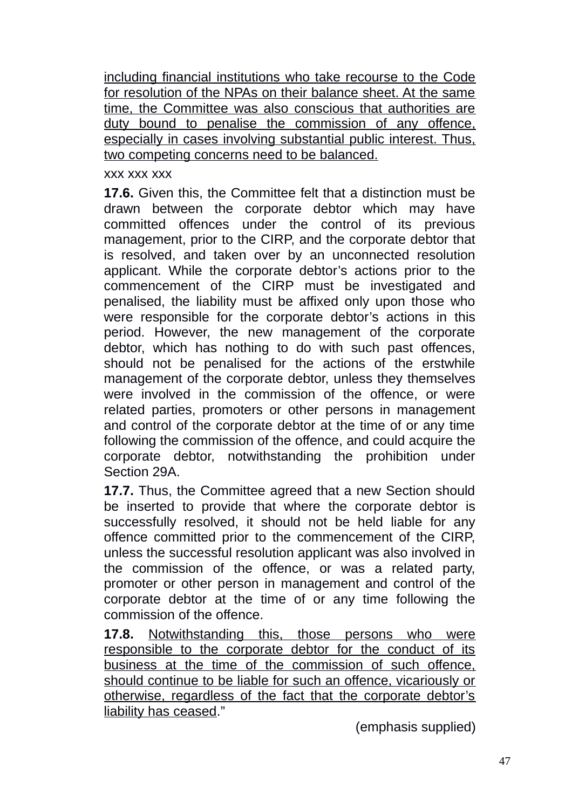including financial institutions who take recourse to the Code for resolution of the NPAs on their balance sheet. At the same time, the Committee was also conscious that authorities are duty bound to penalise the commission of any offence, especially in cases involving substantial public interest. Thus, two competing concerns need to be balanced.

### xxx xxx xxx

**17.6.** Given this, the Committee felt that a distinction must be drawn between the corporate debtor which may have committed offences under the control of its previous management, prior to the CIRP, and the corporate debtor that is resolved, and taken over by an unconnected resolution applicant. While the corporate debtor's actions prior to the commencement of the CIRP must be investigated and penalised, the liability must be affixed only upon those who were responsible for the corporate debtor's actions in this period. However, the new management of the corporate debtor, which has nothing to do with such past offences, should not be penalised for the actions of the erstwhile management of the corporate debtor, unless they themselves were involved in the commission of the offence, or were related parties, promoters or other persons in management and control of the corporate debtor at the time of or any time following the commission of the offence, and could acquire the corporate debtor, notwithstanding the prohibition under Section 29A.

**17.7.** Thus, the Committee agreed that a new Section should be inserted to provide that where the corporate debtor is successfully resolved, it should not be held liable for any offence committed prior to the commencement of the CIRP, unless the successful resolution applicant was also involved in the commission of the offence, or was a related party, promoter or other person in management and control of the corporate debtor at the time of or any time following the commission of the offence.

**17.8.** Notwithstanding this, those persons who were responsible to the corporate debtor for the conduct of its business at the time of the commission of such offence, should continue to be liable for such an offence, vicariously or otherwise, regardless of the fact that the corporate debtor's liability has ceased."

(emphasis supplied)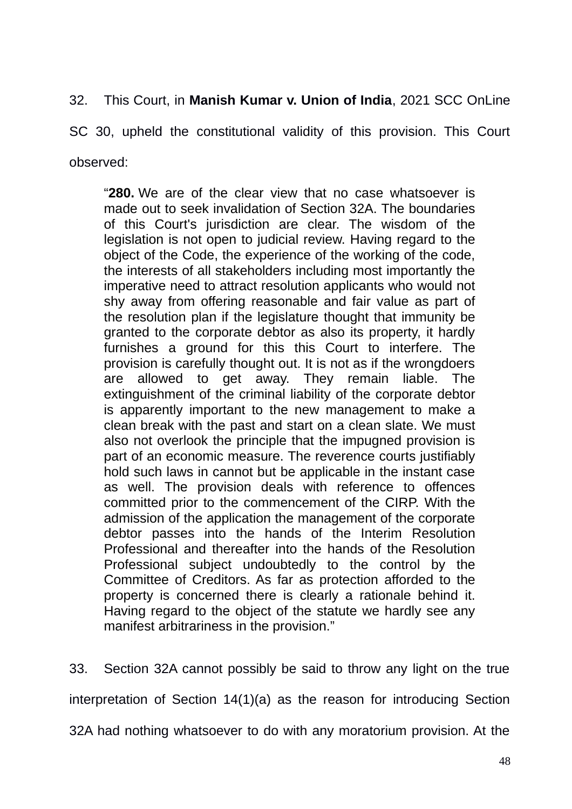32. This Court, in **Manish Kumar v. Union of India**, 2021 SCC OnLine

SC 30, upheld the constitutional validity of this provision. This Court observed:

"**280.** We are of the clear view that no case whatsoever is made out to seek invalidation of Section 32A. The boundaries of this Court's jurisdiction are clear. The wisdom of the legislation is not open to judicial review. Having regard to the object of the Code, the experience of the working of the code, the interests of all stakeholders including most importantly the imperative need to attract resolution applicants who would not shy away from offering reasonable and fair value as part of the resolution plan if the legislature thought that immunity be granted to the corporate debtor as also its property, it hardly furnishes a ground for this this Court to interfere. The provision is carefully thought out. It is not as if the wrongdoers are allowed to get away. They remain liable. The extinguishment of the criminal liability of the corporate debtor is apparently important to the new management to make a clean break with the past and start on a clean slate. We must also not overlook the principle that the impugned provision is part of an economic measure. The reverence courts justifiably hold such laws in cannot but be applicable in the instant case as well. The provision deals with reference to offences committed prior to the commencement of the CIRP. With the admission of the application the management of the corporate debtor passes into the hands of the Interim Resolution Professional and thereafter into the hands of the Resolution Professional subject undoubtedly to the control by the Committee of Creditors. As far as protection afforded to the property is concerned there is clearly a rationale behind it. Having regard to the object of the statute we hardly see any manifest arbitrariness in the provision."

33. Section 32A cannot possibly be said to throw any light on the true interpretation of Section 14(1)(a) as the reason for introducing Section 32A had nothing whatsoever to do with any moratorium provision. At the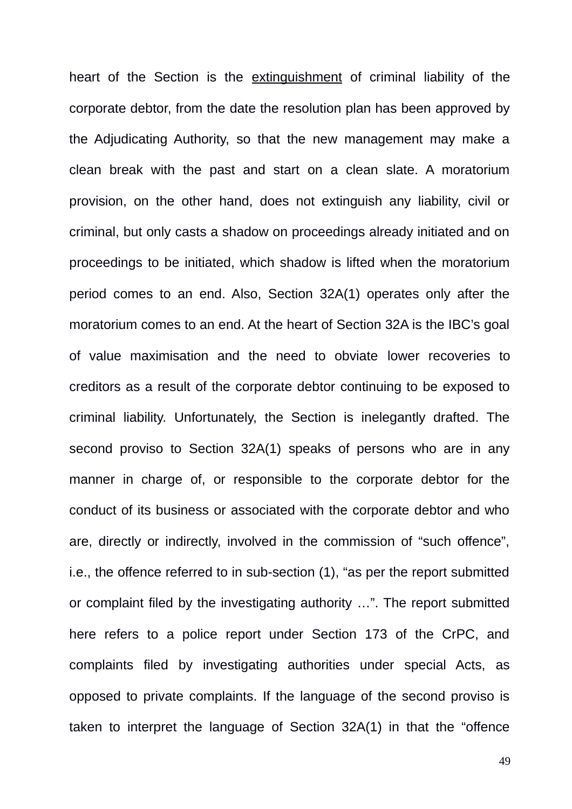heart of the Section is the extinguishment of criminal liability of the corporate debtor, from the date the resolution plan has been approved by the Adjudicating Authority, so that the new management may make a clean break with the past and start on a clean slate. A moratorium provision, on the other hand, does not extinguish any liability, civil or criminal, but only casts a shadow on proceedings already initiated and on proceedings to be initiated, which shadow is lifted when the moratorium period comes to an end. Also, Section 32A(1) operates only after the moratorium comes to an end. At the heart of Section 32A is the IBC's goal of value maximisation and the need to obviate lower recoveries to creditors as a result of the corporate debtor continuing to be exposed to criminal liability. Unfortunately, the Section is inelegantly drafted. The second proviso to Section 32A(1) speaks of persons who are in any manner in charge of, or responsible to the corporate debtor for the conduct of its business or associated with the corporate debtor and who are, directly or indirectly, involved in the commission of "such offence", i.e., the offence referred to in sub-section (1), "as per the report submitted or complaint filed by the investigating authority …". The report submitted here refers to a police report under Section 173 of the CrPC, and complaints filed by investigating authorities under special Acts, as opposed to private complaints. If the language of the second proviso is taken to interpret the language of Section 32A(1) in that the "offence

49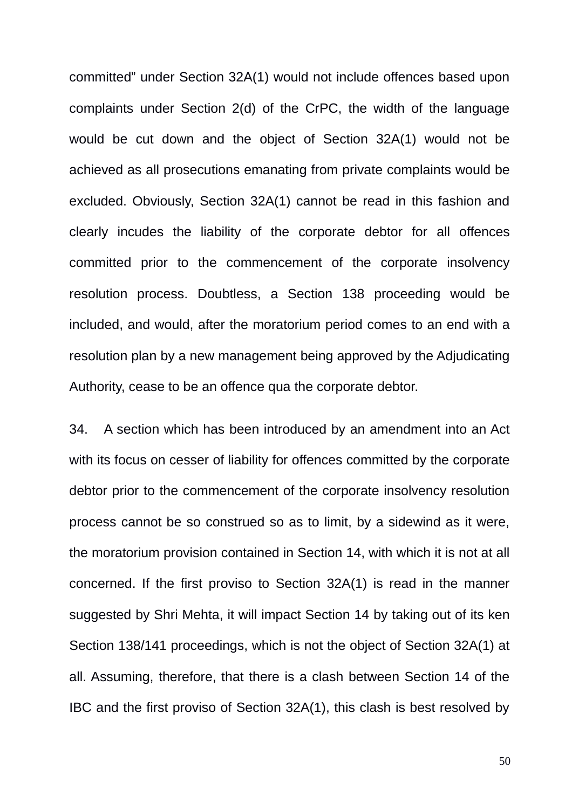committed" under Section 32A(1) would not include offences based upon complaints under Section 2(d) of the CrPC, the width of the language would be cut down and the object of Section 32A(1) would not be achieved as all prosecutions emanating from private complaints would be excluded. Obviously, Section 32A(1) cannot be read in this fashion and clearly incudes the liability of the corporate debtor for all offences committed prior to the commencement of the corporate insolvency resolution process. Doubtless, a Section 138 proceeding would be included, and would, after the moratorium period comes to an end with a resolution plan by a new management being approved by the Adjudicating Authority, cease to be an offence qua the corporate debtor.

34. A section which has been introduced by an amendment into an Act with its focus on cesser of liability for offences committed by the corporate debtor prior to the commencement of the corporate insolvency resolution process cannot be so construed so as to limit, by a sidewind as it were, the moratorium provision contained in Section 14, with which it is not at all concerned. If the first proviso to Section 32A(1) is read in the manner suggested by Shri Mehta, it will impact Section 14 by taking out of its ken Section 138/141 proceedings, which is not the object of Section 32A(1) at all. Assuming, therefore, that there is a clash between Section 14 of the IBC and the first proviso of Section 32A(1), this clash is best resolved by

50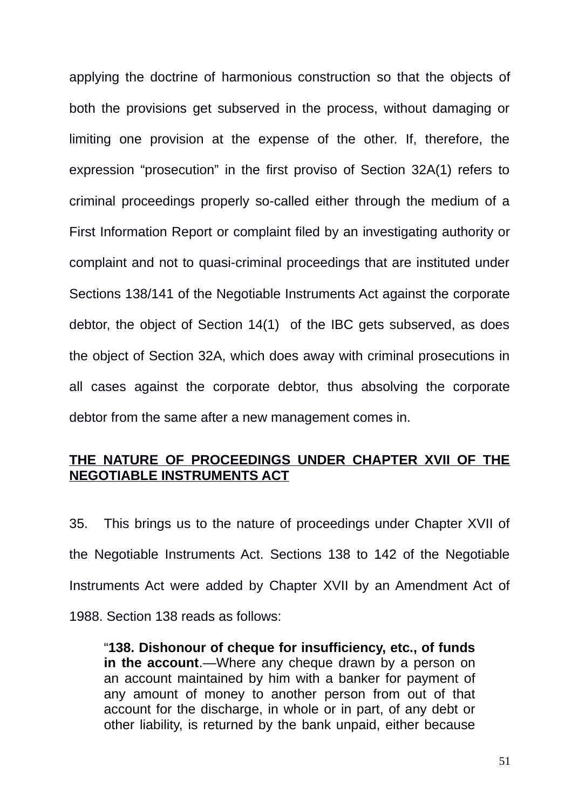applying the doctrine of harmonious construction so that the objects of both the provisions get subserved in the process, without damaging or limiting one provision at the expense of the other. If, therefore, the expression "prosecution" in the first proviso of Section 32A(1) refers to criminal proceedings properly so-called either through the medium of a First Information Report or complaint filed by an investigating authority or complaint and not to quasi-criminal proceedings that are instituted under Sections 138/141 of the Negotiable Instruments Act against the corporate debtor, the object of Section 14(1) of the IBC gets subserved, as does the object of Section 32A, which does away with criminal prosecutions in all cases against the corporate debtor, thus absolving the corporate debtor from the same after a new management comes in.

### **THE NATURE OF PROCEEDINGS UNDER CHAPTER XVII OF THE NEGOTIABLE INSTRUMENTS ACT**

35. This brings us to the nature of proceedings under Chapter XVII of the Negotiable Instruments Act. Sections 138 to 142 of the Negotiable Instruments Act were added by Chapter XVII by an Amendment Act of 1988. Section 138 reads as follows:

"**138. Dishonour of cheque for insufficiency, etc., of funds in the account**.—Where any cheque drawn by a person on an account maintained by him with a banker for payment of any amount of money to another person from out of that account for the discharge, in whole or in part, of any debt or other liability, is returned by the bank unpaid, either because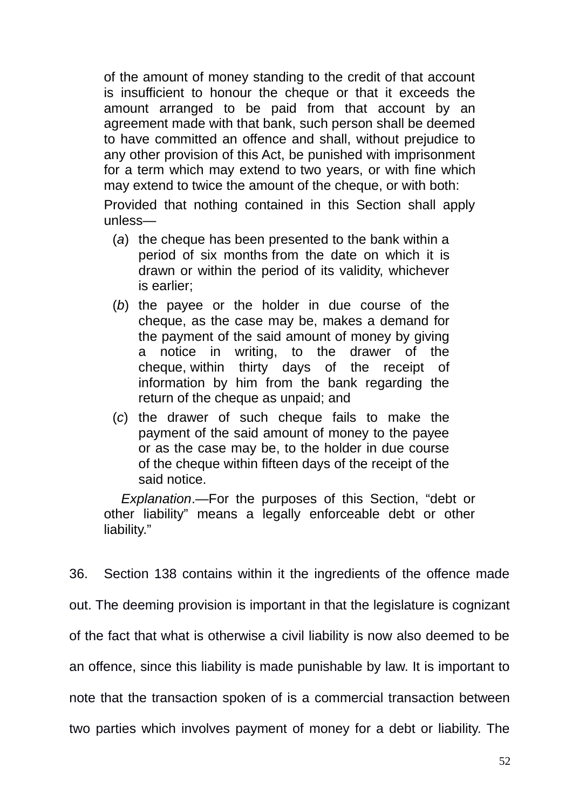of the amount of money standing to the credit of that account is insufficient to honour the cheque or that it exceeds the amount arranged to be paid from that account by an agreement made with that bank, such person shall be deemed to have committed an offence and shall, without prejudice to any other provision of this Act, be punished with imprisonment for a term which may extend to two years, or with fine which may extend to twice the amount of the cheque, or with both:

Provided that nothing contained in this Section shall apply unless—

- (*a*) the cheque has been presented to the bank within a period of six months from the date on which it is drawn or within the period of its validity, whichever is earlier;
- (*b*) the payee or the holder in due course of the cheque, as the case may be, makes a demand for the payment of the said amount of money by giving a notice in writing, to the drawer of the cheque, within thirty days of the receipt of information by him from the bank regarding the return of the cheque as unpaid; and
- (*c*) the drawer of such cheque fails to make the payment of the said amount of money to the payee or as the case may be, to the holder in due course of the cheque within fifteen days of the receipt of the said notice.

*Explanation*.—For the purposes of this Section, "debt or other liability" means a legally enforceable debt or other liability."

36. Section 138 contains within it the ingredients of the offence made out. The deeming provision is important in that the legislature is cognizant of the fact that what is otherwise a civil liability is now also deemed to be an offence, since this liability is made punishable by law. It is important to note that the transaction spoken of is a commercial transaction between two parties which involves payment of money for a debt or liability. The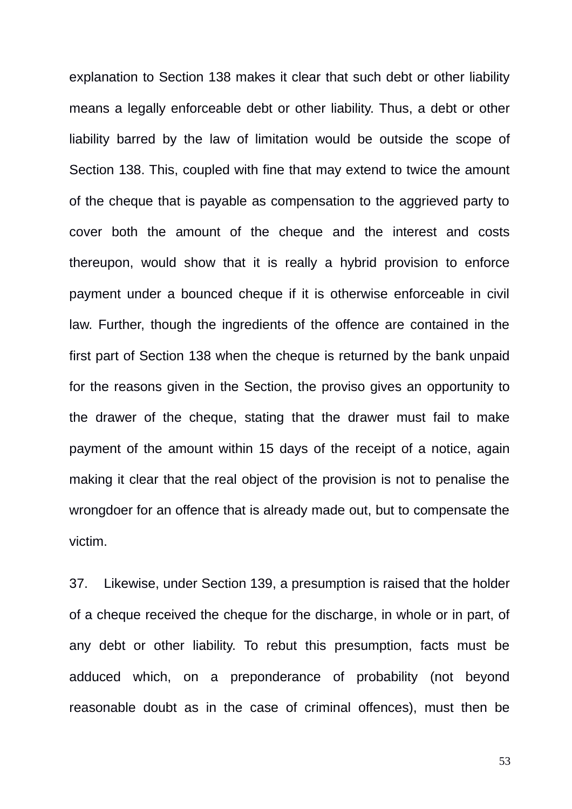explanation to Section 138 makes it clear that such debt or other liability means a legally enforceable debt or other liability. Thus, a debt or other liability barred by the law of limitation would be outside the scope of Section 138. This, coupled with fine that may extend to twice the amount of the cheque that is payable as compensation to the aggrieved party to cover both the amount of the cheque and the interest and costs thereupon, would show that it is really a hybrid provision to enforce payment under a bounced cheque if it is otherwise enforceable in civil law. Further, though the ingredients of the offence are contained in the first part of Section 138 when the cheque is returned by the bank unpaid for the reasons given in the Section, the proviso gives an opportunity to the drawer of the cheque, stating that the drawer must fail to make payment of the amount within 15 days of the receipt of a notice, again making it clear that the real object of the provision is not to penalise the wrongdoer for an offence that is already made out, but to compensate the victim.

37. Likewise, under Section 139, a presumption is raised that the holder of a cheque received the cheque for the discharge, in whole or in part, of any debt or other liability. To rebut this presumption, facts must be adduced which, on a preponderance of probability (not beyond reasonable doubt as in the case of criminal offences), must then be

53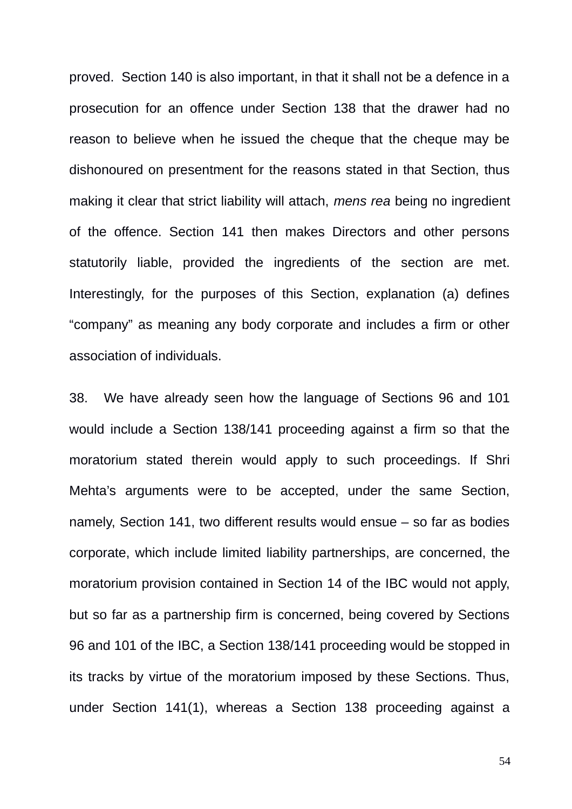proved. Section 140 is also important, in that it shall not be a defence in a prosecution for an offence under Section 138 that the drawer had no reason to believe when he issued the cheque that the cheque may be dishonoured on presentment for the reasons stated in that Section, thus making it clear that strict liability will attach, *mens rea* being no ingredient of the offence. Section 141 then makes Directors and other persons statutorily liable, provided the ingredients of the section are met. Interestingly, for the purposes of this Section, explanation (a) defines "company" as meaning any body corporate and includes a firm or other association of individuals.

38. We have already seen how the language of Sections 96 and 101 would include a Section 138/141 proceeding against a firm so that the moratorium stated therein would apply to such proceedings. If Shri Mehta's arguments were to be accepted, under the same Section, namely, Section 141, two different results would ensue – so far as bodies corporate, which include limited liability partnerships, are concerned, the moratorium provision contained in Section 14 of the IBC would not apply, but so far as a partnership firm is concerned, being covered by Sections 96 and 101 of the IBC, a Section 138/141 proceeding would be stopped in its tracks by virtue of the moratorium imposed by these Sections. Thus, under Section 141(1), whereas a Section 138 proceeding against a

54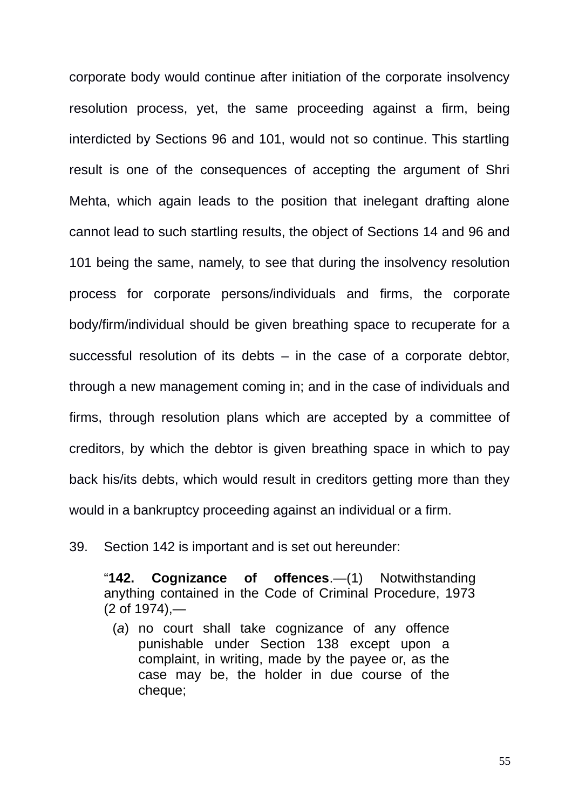corporate body would continue after initiation of the corporate insolvency resolution process, yet, the same proceeding against a firm, being interdicted by Sections 96 and 101, would not so continue. This startling result is one of the consequences of accepting the argument of Shri Mehta, which again leads to the position that inelegant drafting alone cannot lead to such startling results, the object of Sections 14 and 96 and 101 being the same, namely, to see that during the insolvency resolution process for corporate persons/individuals and firms, the corporate body/firm/individual should be given breathing space to recuperate for a successful resolution of its debts – in the case of a corporate debtor, through a new management coming in; and in the case of individuals and firms, through resolution plans which are accepted by a committee of creditors, by which the debtor is given breathing space in which to pay back his/its debts, which would result in creditors getting more than they would in a bankruptcy proceeding against an individual or a firm.

39. Section 142 is important and is set out hereunder:

"**142. Cognizance of offences**.—(1) Notwithstanding anything contained in the Code of Criminal Procedure, 1973 (2 of 1974),—

(*a*) no court shall take cognizance of any offence punishable under Section 138 except upon a complaint, in writing, made by the payee or, as the case may be, the holder in due course of the cheque: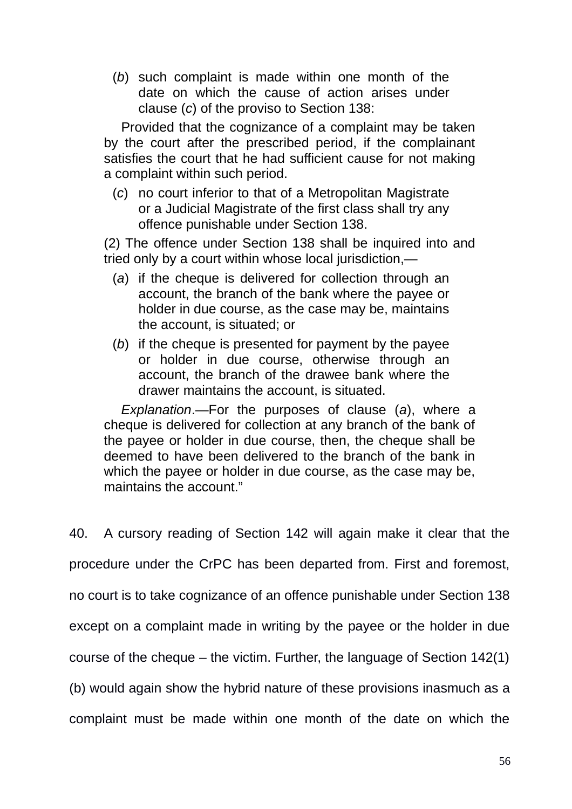(*b*) such complaint is made within one month of the date on which the cause of action arises under clause (*c*) of the proviso to Section 138:

Provided that the cognizance of a complaint may be taken by the court after the prescribed period, if the complainant satisfies the court that he had sufficient cause for not making a complaint within such period.

(*c*) no court inferior to that of a Metropolitan Magistrate or a Judicial Magistrate of the first class shall try any offence punishable under Section 138.

(2) The offence under Section 138 shall be inquired into and tried only by a court within whose local jurisdiction,—

- (*a*) if the cheque is delivered for collection through an account, the branch of the bank where the payee or holder in due course, as the case may be, maintains the account, is situated; or
- (*b*) if the cheque is presented for payment by the payee or holder in due course, otherwise through an account, the branch of the drawee bank where the drawer maintains the account, is situated.

*Explanation*.—For the purposes of clause (*a*), where a cheque is delivered for collection at any branch of the bank of the payee or holder in due course, then, the cheque shall be deemed to have been delivered to the branch of the bank in which the payee or holder in due course, as the case may be, maintains the account."

40. A cursory reading of Section 142 will again make it clear that the procedure under the CrPC has been departed from. First and foremost, no court is to take cognizance of an offence punishable under Section 138 except on a complaint made in writing by the payee or the holder in due course of the cheque – the victim. Further, the language of Section 142(1) (b) would again show the hybrid nature of these provisions inasmuch as a complaint must be made within one month of the date on which the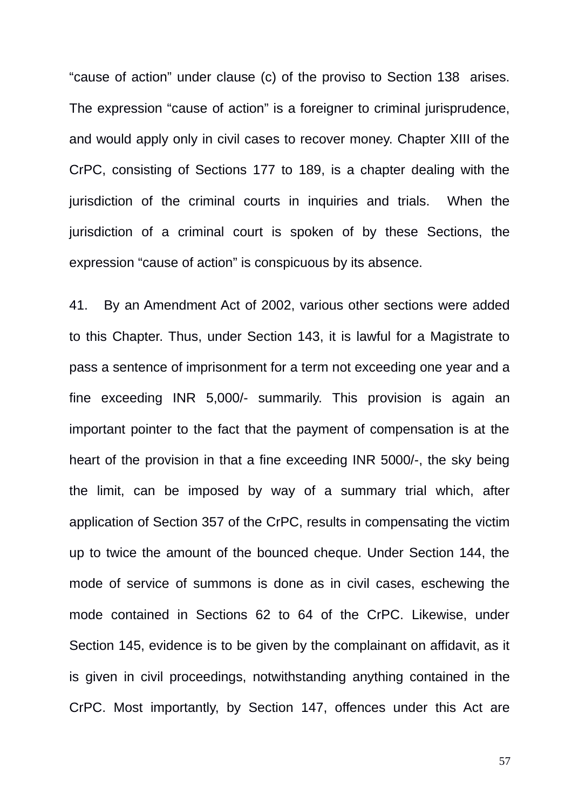"cause of action" under clause (c) of the proviso to Section 138 arises. The expression "cause of action" is a foreigner to criminal jurisprudence, and would apply only in civil cases to recover money. Chapter XIII of the CrPC, consisting of Sections 177 to 189, is a chapter dealing with the jurisdiction of the criminal courts in inquiries and trials. When the jurisdiction of a criminal court is spoken of by these Sections, the expression "cause of action" is conspicuous by its absence.

41. By an Amendment Act of 2002, various other sections were added to this Chapter. Thus, under Section 143, it is lawful for a Magistrate to pass a sentence of imprisonment for a term not exceeding one year and a fine exceeding INR 5,000/- summarily. This provision is again an important pointer to the fact that the payment of compensation is at the heart of the provision in that a fine exceeding INR 5000/-, the sky being the limit, can be imposed by way of a summary trial which, after application of Section 357 of the CrPC, results in compensating the victim up to twice the amount of the bounced cheque. Under Section 144, the mode of service of summons is done as in civil cases, eschewing the mode contained in Sections 62 to 64 of the CrPC. Likewise, under Section 145, evidence is to be given by the complainant on affidavit, as it is given in civil proceedings, notwithstanding anything contained in the CrPC. Most importantly, by Section 147, offences under this Act are

57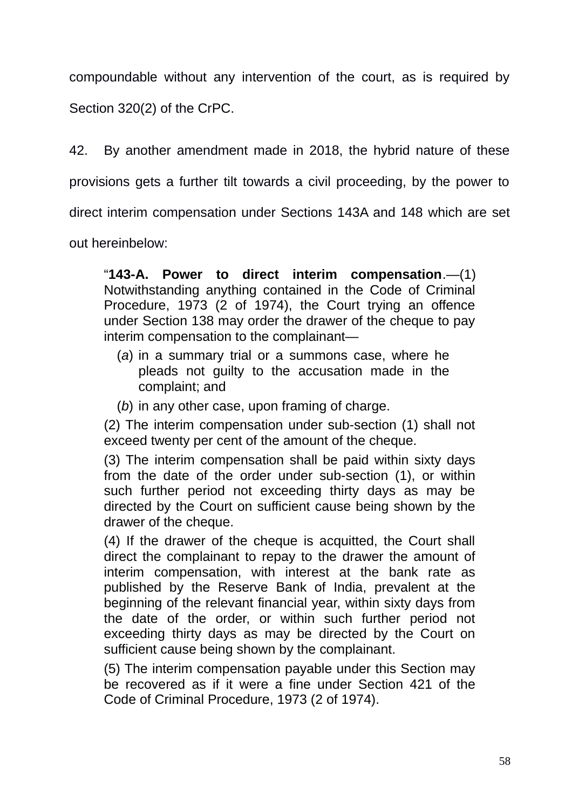compoundable without any intervention of the court, as is required by Section 320(2) of the CrPC.

42. By another amendment made in 2018, the hybrid nature of these provisions gets a further tilt towards a civil proceeding, by the power to direct interim compensation under Sections 143A and 148 which are set out hereinbelow:

"**143-A. Power to direct interim compensation**.—(1) Notwithstanding anything contained in the Code of Criminal Procedure, 1973 (2 of 1974), the Court trying an offence under Section 138 may order the drawer of the cheque to pay interim compensation to the complainant—

- (*a*) in a summary trial or a summons case, where he pleads not guilty to the accusation made in the complaint; and
- (*b*) in any other case, upon framing of charge.

(2) The interim compensation under sub-section (1) shall not exceed twenty per cent of the amount of the cheque.

(3) The interim compensation shall be paid within sixty days from the date of the order under sub-section (1), or within such further period not exceeding thirty days as may be directed by the Court on sufficient cause being shown by the drawer of the cheque.

(4) If the drawer of the cheque is acquitted, the Court shall direct the complainant to repay to the drawer the amount of interim compensation, with interest at the bank rate as published by the Reserve Bank of India, prevalent at the beginning of the relevant financial year, within sixty days from the date of the order, or within such further period not exceeding thirty days as may be directed by the Court on sufficient cause being shown by the complainant.

(5) The interim compensation payable under this Section may be recovered as if it were a fine under Section 421 of the Code of Criminal Procedure, 1973 (2 of 1974).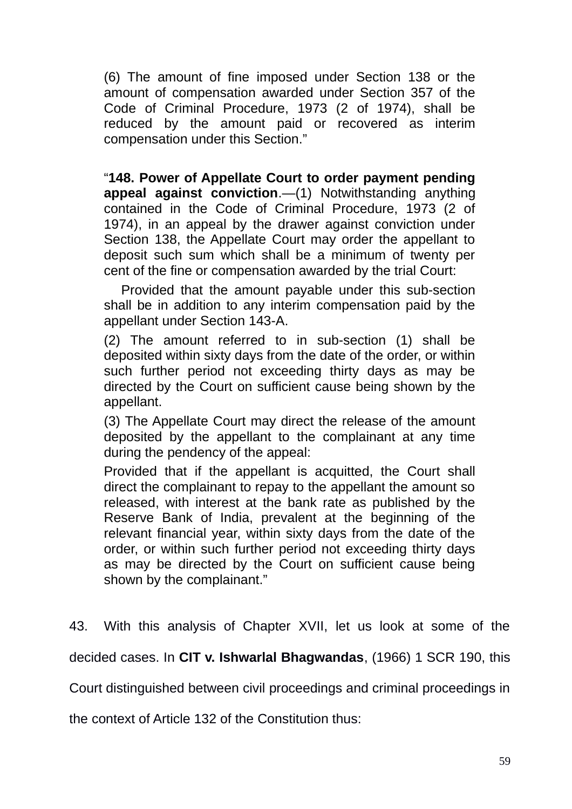(6) The amount of fine imposed under Section 138 or the amount of compensation awarded under Section 357 of the Code of Criminal Procedure, 1973 (2 of 1974), shall be reduced by the amount paid or recovered as interim compensation under this Section."

"**148. Power of Appellate Court to order payment pending appeal against conviction**.—(1) Notwithstanding anything contained in the Code of Criminal Procedure, 1973 (2 of 1974), in an appeal by the drawer against conviction under Section 138, the Appellate Court may order the appellant to deposit such sum which shall be a minimum of twenty per cent of the fine or compensation awarded by the trial Court:

Provided that the amount payable under this sub-section shall be in addition to any interim compensation paid by the appellant under Section 143-A.

(2) The amount referred to in sub-section (1) shall be deposited within sixty days from the date of the order, or within such further period not exceeding thirty days as may be directed by the Court on sufficient cause being shown by the appellant.

(3) The Appellate Court may direct the release of the amount deposited by the appellant to the complainant at any time during the pendency of the appeal:

Provided that if the appellant is acquitted, the Court shall direct the complainant to repay to the appellant the amount so released, with interest at the bank rate as published by the Reserve Bank of India, prevalent at the beginning of the relevant financial year, within sixty days from the date of the order, or within such further period not exceeding thirty days as may be directed by the Court on sufficient cause being shown by the complainant."

43. With this analysis of Chapter XVII, let us look at some of the

decided cases. In **CIT v. Ishwarlal Bhagwandas**, (1966) 1 SCR 190, this

Court distinguished between civil proceedings and criminal proceedings in

the context of Article 132 of the Constitution thus: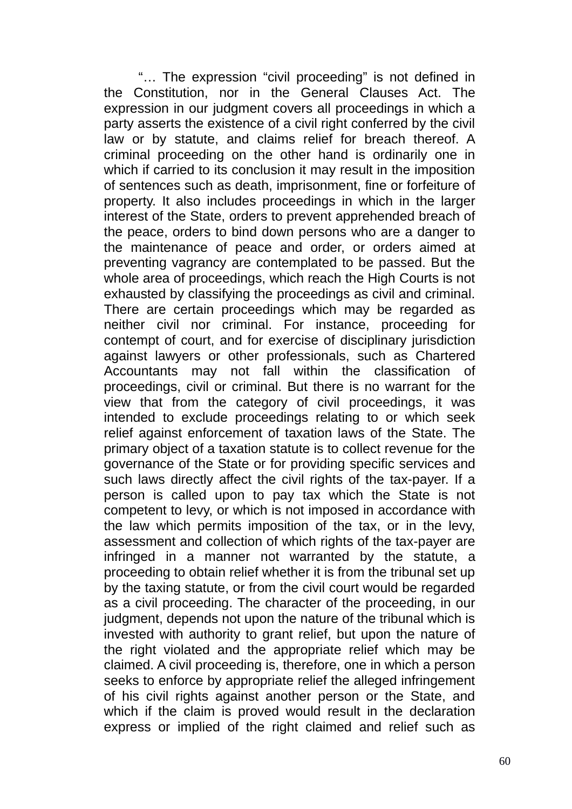"… The expression "civil proceeding" is not defined in the Constitution, nor in the General Clauses Act. The expression in our judgment covers all proceedings in which a party asserts the existence of a civil right conferred by the civil law or by statute, and claims relief for breach thereof. A criminal proceeding on the other hand is ordinarily one in which if carried to its conclusion it may result in the imposition of sentences such as death, imprisonment, fine or forfeiture of property. It also includes proceedings in which in the larger interest of the State, orders to prevent apprehended breach of the peace, orders to bind down persons who are a danger to the maintenance of peace and order, or orders aimed at preventing vagrancy are contemplated to be passed. But the whole area of proceedings, which reach the High Courts is not exhausted by classifying the proceedings as civil and criminal. There are certain proceedings which may be regarded as neither civil nor criminal. For instance, proceeding for contempt of court, and for exercise of disciplinary jurisdiction against lawyers or other professionals, such as Chartered Accountants may not fall within the classification of proceedings, civil or criminal. But there is no warrant for the view that from the category of civil proceedings, it was intended to exclude proceedings relating to or which seek relief against enforcement of taxation laws of the State. The primary object of a taxation statute is to collect revenue for the governance of the State or for providing specific services and such laws directly affect the civil rights of the tax-payer. If a person is called upon to pay tax which the State is not competent to levy, or which is not imposed in accordance with the law which permits imposition of the tax, or in the levy, assessment and collection of which rights of the tax-payer are infringed in a manner not warranted by the statute, a proceeding to obtain relief whether it is from the tribunal set up by the taxing statute, or from the civil court would be regarded as a civil proceeding. The character of the proceeding, in our judgment, depends not upon the nature of the tribunal which is invested with authority to grant relief, but upon the nature of the right violated and the appropriate relief which may be claimed. A civil proceeding is, therefore, one in which a person seeks to enforce by appropriate relief the alleged infringement of his civil rights against another person or the State, and which if the claim is proved would result in the declaration express or implied of the right claimed and relief such as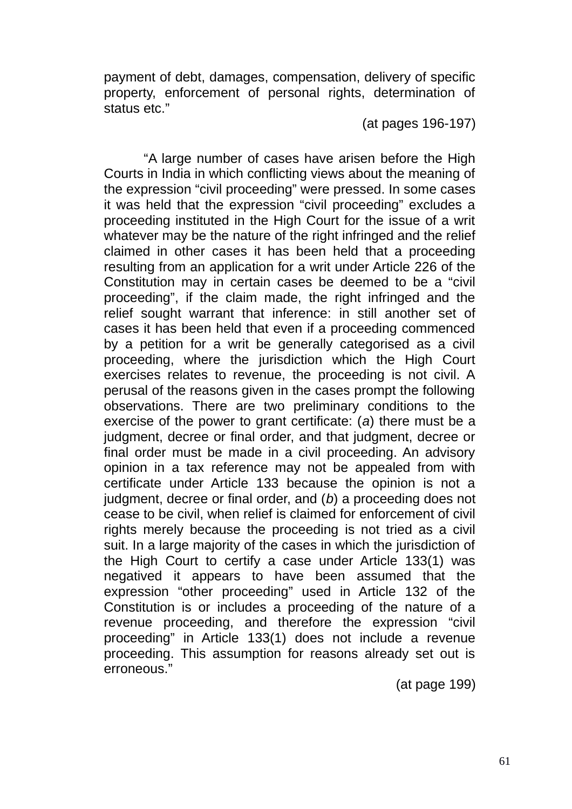payment of debt, damages, compensation, delivery of specific property, enforcement of personal rights, determination of status etc."

### (at pages 196-197)

 "A large number of cases have arisen before the High Courts in India in which conflicting views about the meaning of the expression "civil proceeding" were pressed. In some cases it was held that the expression "civil proceeding" excludes a proceeding instituted in the High Court for the issue of a writ whatever may be the nature of the right infringed and the relief claimed in other cases it has been held that a proceeding resulting from an application for a writ under Article 226 of the Constitution may in certain cases be deemed to be a "civil proceeding", if the claim made, the right infringed and the relief sought warrant that inference: in still another set of cases it has been held that even if a proceeding commenced by a petition for a writ be generally categorised as a civil proceeding, where the jurisdiction which the High Court exercises relates to revenue, the proceeding is not civil. A perusal of the reasons given in the cases prompt the following observations. There are two preliminary conditions to the exercise of the power to grant certificate: (*a*) there must be a judgment, decree or final order, and that judgment, decree or final order must be made in a civil proceeding. An advisory opinion in a tax reference may not be appealed from with certificate under Article 133 because the opinion is not a judgment, decree or final order, and (*b*) a proceeding does not cease to be civil, when relief is claimed for enforcement of civil rights merely because the proceeding is not tried as a civil suit. In a large majority of the cases in which the jurisdiction of the High Court to certify a case under Article 133(1) was negatived it appears to have been assumed that the expression "other proceeding" used in Article 132 of the Constitution is or includes a proceeding of the nature of a revenue proceeding, and therefore the expression "civil proceeding" in Article 133(1) does not include a revenue proceeding. This assumption for reasons already set out is erroneous."

(at page 199)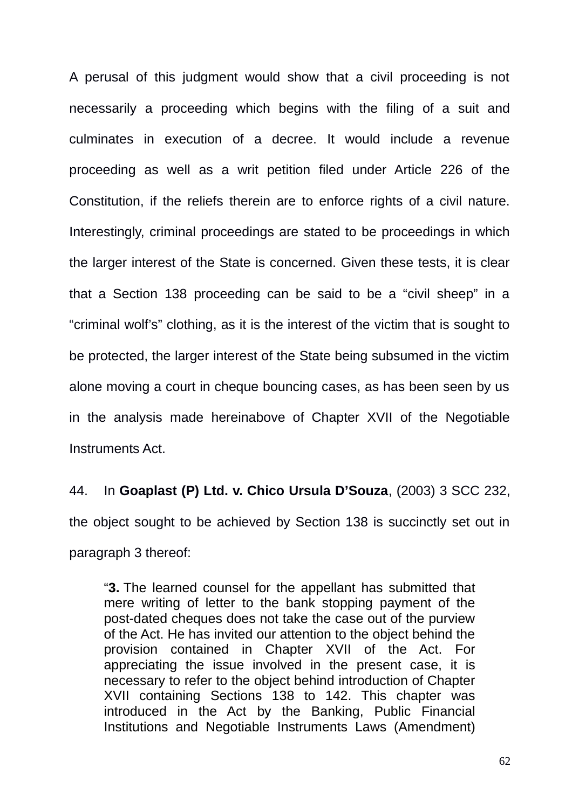A perusal of this judgment would show that a civil proceeding is not necessarily a proceeding which begins with the filing of a suit and culminates in execution of a decree. It would include a revenue proceeding as well as a writ petition filed under Article 226 of the Constitution, if the reliefs therein are to enforce rights of a civil nature. Interestingly, criminal proceedings are stated to be proceedings in which the larger interest of the State is concerned. Given these tests, it is clear that a Section 138 proceeding can be said to be a "civil sheep" in a "criminal wolf's" clothing, as it is the interest of the victim that is sought to be protected, the larger interest of the State being subsumed in the victim alone moving a court in cheque bouncing cases, as has been seen by us in the analysis made hereinabove of Chapter XVII of the Negotiable Instruments Act.

44. In **Goaplast (P) Ltd. v. Chico Ursula D'Souza**, (2003) 3 SCC 232, the object sought to be achieved by Section 138 is succinctly set out in paragraph 3 thereof:

"**3.** The learned counsel for the appellant has submitted that mere writing of letter to the bank stopping payment of the post-dated cheques does not take the case out of the purview of the Act. He has invited our attention to the object behind the provision contained in Chapter XVII of the Act. For appreciating the issue involved in the present case, it is necessary to refer to the object behind introduction of Chapter XVII containing Sections 138 to 142. This chapter was introduced in the Act by the Banking, Public Financial Institutions and Negotiable Instruments Laws (Amendment)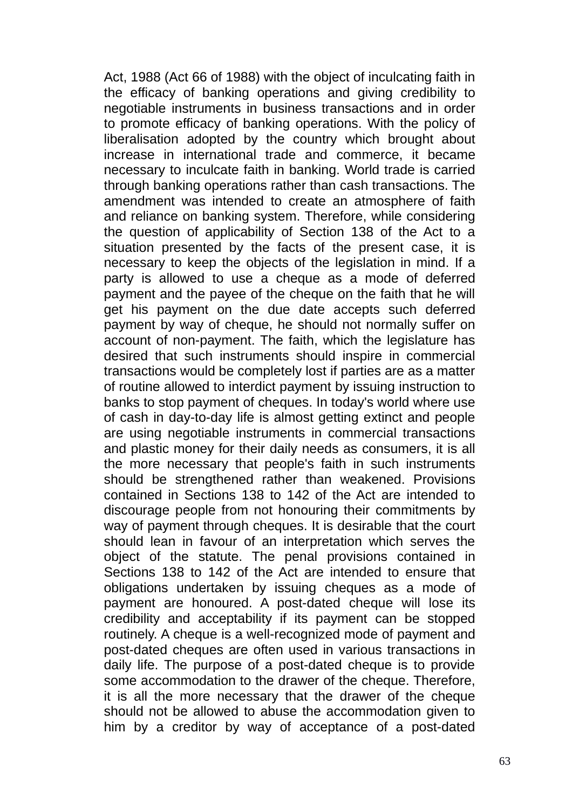Act, 1988 (Act 66 of 1988) with the object of inculcating faith in the efficacy of banking operations and giving credibility to negotiable instruments in business transactions and in order to promote efficacy of banking operations. With the policy of liberalisation adopted by the country which brought about increase in international trade and commerce, it became necessary to inculcate faith in banking. World trade is carried through banking operations rather than cash transactions. The amendment was intended to create an atmosphere of faith and reliance on banking system. Therefore, while considering the question of applicability of Section 138 of the Act to a situation presented by the facts of the present case, it is necessary to keep the objects of the legislation in mind. If a party is allowed to use a cheque as a mode of deferred payment and the payee of the cheque on the faith that he will get his payment on the due date accepts such deferred payment by way of cheque, he should not normally suffer on account of non-payment. The faith, which the legislature has desired that such instruments should inspire in commercial transactions would be completely lost if parties are as a matter of routine allowed to interdict payment by issuing instruction to banks to stop payment of cheques. In today's world where use of cash in day-to-day life is almost getting extinct and people are using negotiable instruments in commercial transactions and plastic money for their daily needs as consumers, it is all the more necessary that people's faith in such instruments should be strengthened rather than weakened. Provisions contained in Sections 138 to 142 of the Act are intended to discourage people from not honouring their commitments by way of payment through cheques. It is desirable that the court should lean in favour of an interpretation which serves the object of the statute. The penal provisions contained in Sections 138 to 142 of the Act are intended to ensure that obligations undertaken by issuing cheques as a mode of payment are honoured. A post-dated cheque will lose its credibility and acceptability if its payment can be stopped routinely. A cheque is a well-recognized mode of payment and post-dated cheques are often used in various transactions in daily life. The purpose of a post-dated cheque is to provide some accommodation to the drawer of the cheque. Therefore, it is all the more necessary that the drawer of the cheque should not be allowed to abuse the accommodation given to him by a creditor by way of acceptance of a post-dated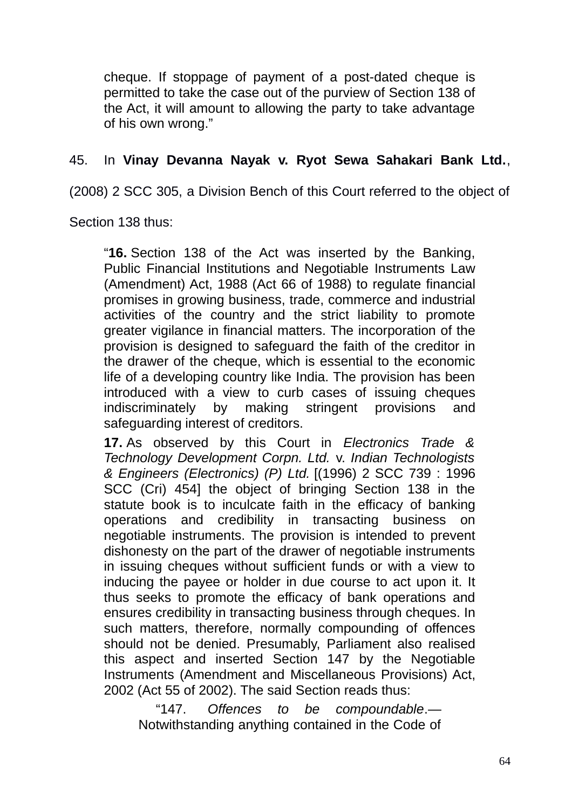cheque. If stoppage of payment of a post-dated cheque is permitted to take the case out of the purview of Section 138 of the Act, it will amount to allowing the party to take advantage of his own wrong."

## 45. In **Vinay Devanna Nayak v. Ryot Sewa Sahakari Bank Ltd.**,

(2008) 2 SCC 305, a Division Bench of this Court referred to the object of

Section 138 thus:

"**16.** Section 138 of the Act was inserted by the Banking, Public Financial Institutions and Negotiable Instruments Law (Amendment) Act, 1988 (Act 66 of 1988) to regulate financial promises in growing business, trade, commerce and industrial activities of the country and the strict liability to promote greater vigilance in financial matters. The incorporation of the provision is designed to safeguard the faith of the creditor in the drawer of the cheque, which is essential to the economic life of a developing country like India. The provision has been introduced with a view to curb cases of issuing cheques indiscriminately by making stringent provisions and safeguarding interest of creditors.

**17.** As observed by this Court in *Electronics Trade & Technology Development Corpn. Ltd.* v. *Indian Technologists & Engineers (Electronics) (P) Ltd.* [(1996) 2 SCC 739 : 1996 SCC (Cri) 454] the object of bringing Section 138 in the statute book is to inculcate faith in the efficacy of banking operations and credibility in transacting business on negotiable instruments. The provision is intended to prevent dishonesty on the part of the drawer of negotiable instruments in issuing cheques without sufficient funds or with a view to inducing the payee or holder in due course to act upon it. It thus seeks to promote the efficacy of bank operations and ensures credibility in transacting business through cheques. In such matters, therefore, normally compounding of offences should not be denied. Presumably, Parliament also realised this aspect and inserted Section 147 by the Negotiable Instruments (Amendment and Miscellaneous Provisions) Act, 2002 (Act 55 of 2002). The said Section reads thus:

"147. *Offences to be compoundable*.— Notwithstanding anything contained in the Code of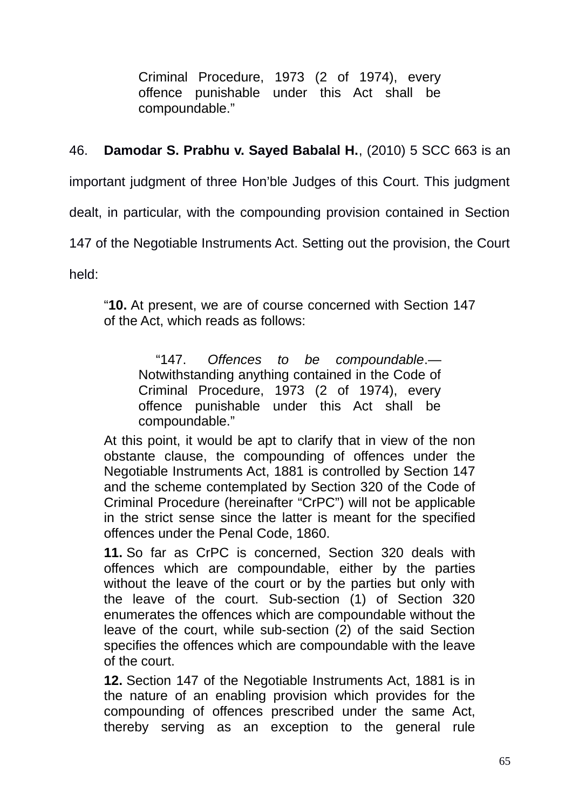Criminal Procedure, 1973 (2 of 1974), every offence punishable under this Act shall be compoundable."

46. **Damodar S. Prabhu v. Sayed Babalal H.**, (2010) 5 SCC 663 is an

important judgment of three Hon'ble Judges of this Court. This judgment

dealt, in particular, with the compounding provision contained in Section

147 of the Negotiable Instruments Act. Setting out the provision, the Court

held:

"**10.** At present, we are of course concerned with Section 147 of the Act, which reads as follows:

"147. *Offences to be compoundable*.— Notwithstanding anything contained in the Code of Criminal Procedure, 1973 (2 of 1974), every offence punishable under this Act shall be compoundable."

At this point, it would be apt to clarify that in view of the non obstante clause, the compounding of offences under the Negotiable Instruments Act, 1881 is controlled by Section 147 and the scheme contemplated by Section 320 of the Code of Criminal Procedure (hereinafter "CrPC") will not be applicable in the strict sense since the latter is meant for the specified offences under the Penal Code, 1860.

**11.** So far as CrPC is concerned, Section 320 deals with offences which are compoundable, either by the parties without the leave of the court or by the parties but only with the leave of the court. Sub-section (1) of Section 320 enumerates the offences which are compoundable without the leave of the court, while sub-section (2) of the said Section specifies the offences which are compoundable with the leave of the court.

**12.** Section 147 of the Negotiable Instruments Act, 1881 is in the nature of an enabling provision which provides for the compounding of offences prescribed under the same Act, thereby serving as an exception to the general rule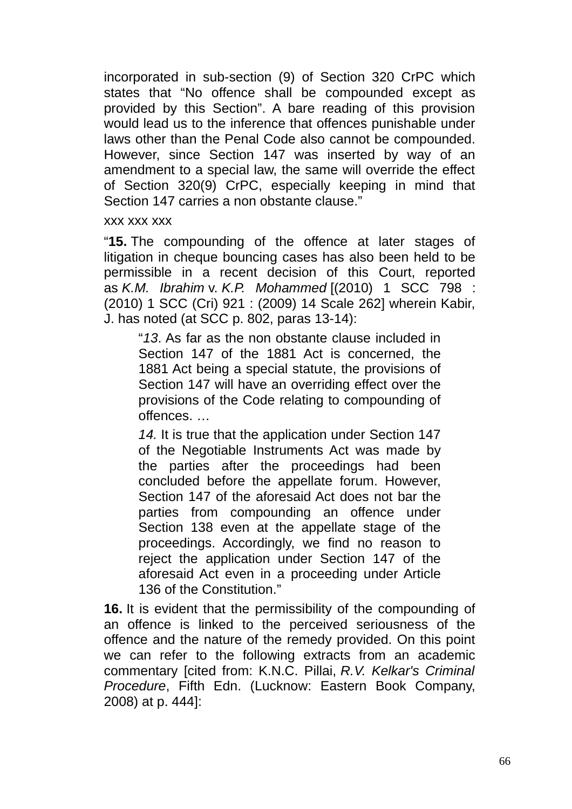incorporated in sub-section (9) of Section 320 CrPC which states that "No offence shall be compounded except as provided by this Section". A bare reading of this provision would lead us to the inference that offences punishable under laws other than the Penal Code also cannot be compounded. However, since Section 147 was inserted by way of an amendment to a special law, the same will override the effect of Section 320(9) CrPC, especially keeping in mind that Section 147 carries a non obstante clause."

#### xxx xxx xxx

"**15.** The compounding of the offence at later stages of litigation in cheque bouncing cases has also been held to be permissible in a recent decision of this Court, reported as *K.M. Ibrahim* v. *K.P. Mohammed* [(2010) 1 SCC 798 : (2010) 1 SCC (Cri) 921 : (2009) 14 Scale 262] wherein Kabir, J. has noted (at SCC p. 802, paras 13-14):

"*13*. As far as the non obstante clause included in Section 147 of the 1881 Act is concerned, the 1881 Act being a special statute, the provisions of Section 147 will have an overriding effect over the provisions of the Code relating to compounding of offences. …

*14.* It is true that the application under Section 147 of the Negotiable Instruments Act was made by the parties after the proceedings had been concluded before the appellate forum. However, Section 147 of the aforesaid Act does not bar the parties from compounding an offence under Section 138 even at the appellate stage of the proceedings. Accordingly, we find no reason to reject the application under Section 147 of the aforesaid Act even in a proceeding under Article 136 of the Constitution."

**16.** It is evident that the permissibility of the compounding of an offence is linked to the perceived seriousness of the offence and the nature of the remedy provided. On this point we can refer to the following extracts from an academic commentary [cited from: K.N.C. Pillai, *R.V. Kelkar's Criminal Procedure*, Fifth Edn. (Lucknow: Eastern Book Company, 2008) at p. 444]: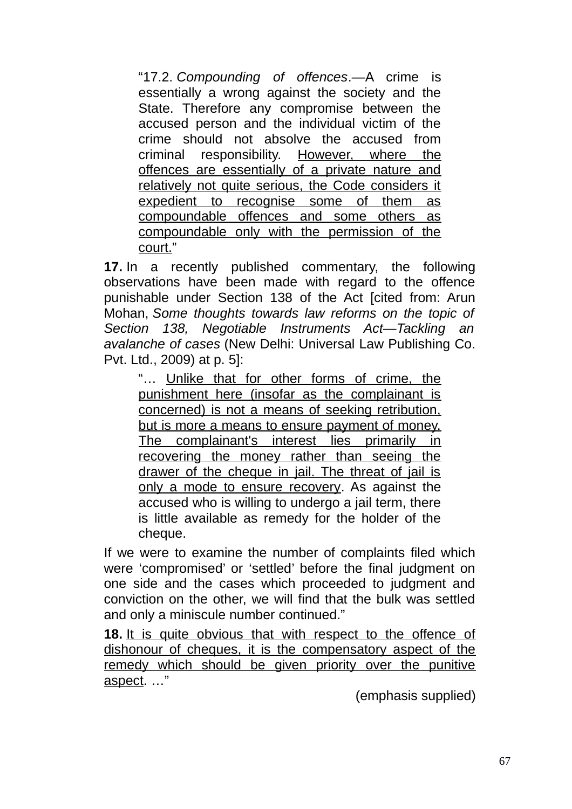"17.2. *Compounding of offences*.—A crime is essentially a wrong against the society and the State. Therefore any compromise between the accused person and the individual victim of the crime should not absolve the accused from criminal responsibility. However, where the offences are essentially of a private nature and relatively not quite serious, the Code considers it expedient to recognise some of them as compoundable offences and some others as compoundable only with the permission of the court."

**17.** In a recently published commentary, the following observations have been made with regard to the offence punishable under Section 138 of the Act [cited from: Arun Mohan, *Some thoughts towards law reforms on the topic of Section 138, Negotiable Instruments Act—Tackling an avalanche of cases* (New Delhi: Universal Law Publishing Co. Pvt. Ltd., 2009) at p. 5]:

"… Unlike that for other forms of crime, the punishment here (insofar as the complainant is concerned) is not a means of seeking retribution, but is more a means to ensure payment of money. The complainant's interest lies primarily in recovering the money rather than seeing the drawer of the cheque in jail. The threat of jail is only a mode to ensure recovery. As against the accused who is willing to undergo a jail term, there is little available as remedy for the holder of the cheque.

If we were to examine the number of complaints filed which were 'compromised' or 'settled' before the final judgment on one side and the cases which proceeded to judgment and conviction on the other, we will find that the bulk was settled and only a miniscule number continued."

**18.** It is quite obvious that with respect to the offence of dishonour of cheques, it is the compensatory aspect of the remedy which should be given priority over the punitive aspect. …"

(emphasis supplied)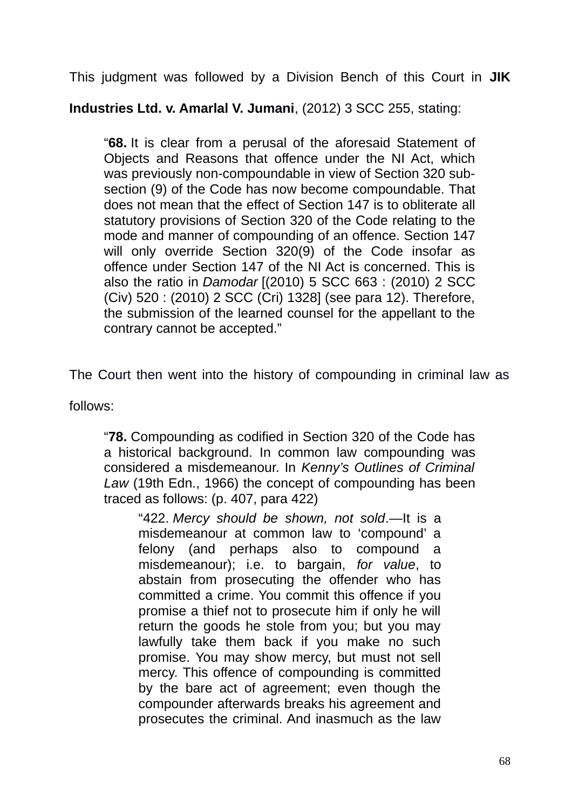This judgment was followed by a Division Bench of this Court in **JIK**

**Industries Ltd. v. Amarlal V. Jumani**, (2012) 3 SCC 255, stating:

"**68.** It is clear from a perusal of the aforesaid Statement of Objects and Reasons that offence under the NI Act, which was previously non-compoundable in view of Section 320 subsection (9) of the Code has now become compoundable. That does not mean that the effect of Section 147 is to obliterate all statutory provisions of Section 320 of the Code relating to the mode and manner of compounding of an offence. Section 147 will only override Section 320(9) of the Code insofar as offence under Section 147 of the NI Act is concerned. This is also the ratio in *Damodar* [(2010) 5 SCC 663 : (2010) 2 SCC (Civ) 520 : (2010) 2 SCC (Cri) 1328] (see para 12). Therefore, the submission of the learned counsel for the appellant to the contrary cannot be accepted."

The Court then went into the history of compounding in criminal law as

follows:

"**78.** Compounding as codified in Section 320 of the Code has a historical background. In common law compounding was considered a misdemeanour. In *Kenny's Outlines of Criminal Law* (19th Edn., 1966) the concept of compounding has been traced as follows: (p. 407, para 422)

"422. *Mercy should be shown, not sold*.—It is a misdemeanour at common law to 'compound' a felony (and perhaps also to compound a misdemeanour); i.e. to bargain, *for value*, to abstain from prosecuting the offender who has committed a crime. You commit this offence if you promise a thief not to prosecute him if only he will return the goods he stole from you; but you may lawfully take them back if you make no such promise. You may show mercy, but must not sell mercy. This offence of compounding is committed by the bare act of agreement; even though the compounder afterwards breaks his agreement and prosecutes the criminal. And inasmuch as the law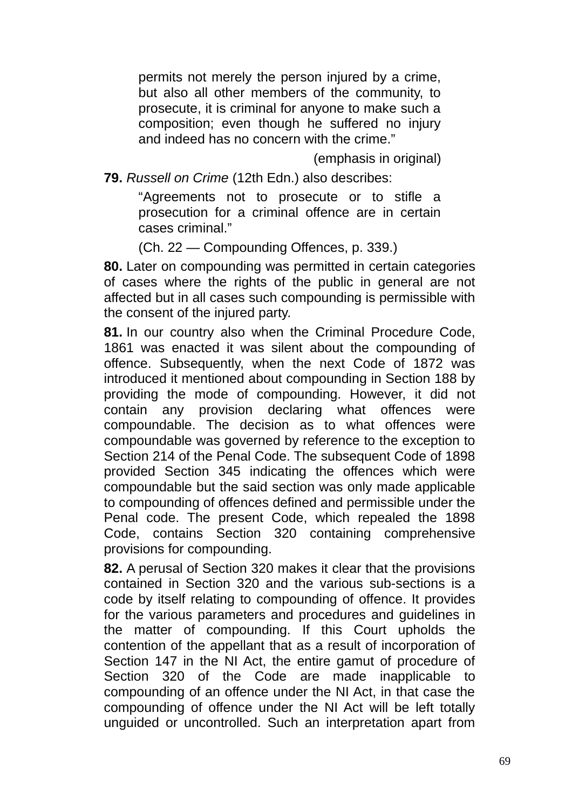permits not merely the person injured by a crime, but also all other members of the community, to prosecute, it is criminal for anyone to make such a composition; even though he suffered no injury and indeed has no concern with the crime."

(emphasis in original)

**79.** *Russell on Crime* (12th Edn.) also describes:

"Agreements not to prosecute or to stifle a prosecution for a criminal offence are in certain cases criminal."

(Ch. 22 — Compounding Offences, p. 339.)

**80.** Later on compounding was permitted in certain categories of cases where the rights of the public in general are not affected but in all cases such compounding is permissible with the consent of the injured party.

**81.** In our country also when the Criminal Procedure Code, 1861 was enacted it was silent about the compounding of offence. Subsequently, when the next Code of 1872 was introduced it mentioned about compounding in Section 188 by providing the mode of compounding. However, it did not contain any provision declaring what offences were compoundable. The decision as to what offences were compoundable was governed by reference to the exception to Section 214 of the Penal Code. The subsequent Code of 1898 provided Section 345 indicating the offences which were compoundable but the said section was only made applicable to compounding of offences defined and permissible under the Penal code. The present Code, which repealed the 1898 Code, contains Section 320 containing comprehensive provisions for compounding.

**82.** A perusal of Section 320 makes it clear that the provisions contained in Section 320 and the various sub-sections is a code by itself relating to compounding of offence. It provides for the various parameters and procedures and guidelines in the matter of compounding. If this Court upholds the contention of the appellant that as a result of incorporation of Section 147 in the NI Act, the entire gamut of procedure of Section 320 of the Code are made inapplicable to compounding of an offence under the NI Act, in that case the compounding of offence under the NI Act will be left totally unguided or uncontrolled. Such an interpretation apart from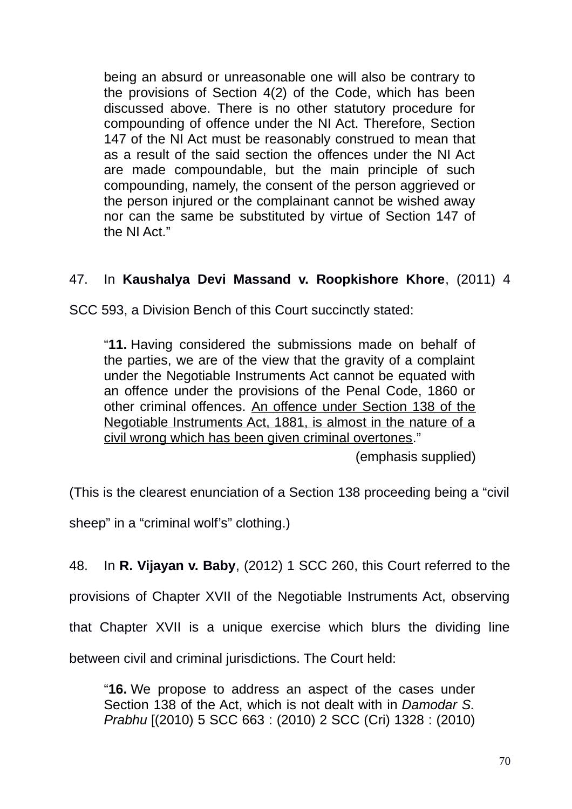being an absurd or unreasonable one will also be contrary to the provisions of Section 4(2) of the Code, which has been discussed above. There is no other statutory procedure for compounding of offence under the NI Act. Therefore, Section 147 of the NI Act must be reasonably construed to mean that as a result of the said section the offences under the NI Act are made compoundable, but the main principle of such compounding, namely, the consent of the person aggrieved or the person injured or the complainant cannot be wished away nor can the same be substituted by virtue of Section 147 of the NI Act."

# 47. In **Kaushalya Devi Massand v. Roopkishore Khore**, (2011) 4

SCC 593, a Division Bench of this Court succinctly stated:

"**11.** Having considered the submissions made on behalf of the parties, we are of the view that the gravity of a complaint under the Negotiable Instruments Act cannot be equated with an offence under the provisions of the Penal Code, 1860 or other criminal offences. An offence under Section 138 of the Negotiable Instruments Act, 1881, is almost in the nature of a civil wrong which has been given criminal overtones."

(emphasis supplied)

(This is the clearest enunciation of a Section 138 proceeding being a "civil

sheep" in a "criminal wolf's" clothing.)

48. In **R. Vijayan v. Baby**, (2012) 1 SCC 260, this Court referred to the

provisions of Chapter XVII of the Negotiable Instruments Act, observing

that Chapter XVII is a unique exercise which blurs the dividing line

between civil and criminal jurisdictions. The Court held:

"**16.** We propose to address an aspect of the cases under Section 138 of the Act, which is not dealt with in *Damodar S. Prabhu* [(2010) 5 SCC 663 : (2010) 2 SCC (Cri) 1328 : (2010)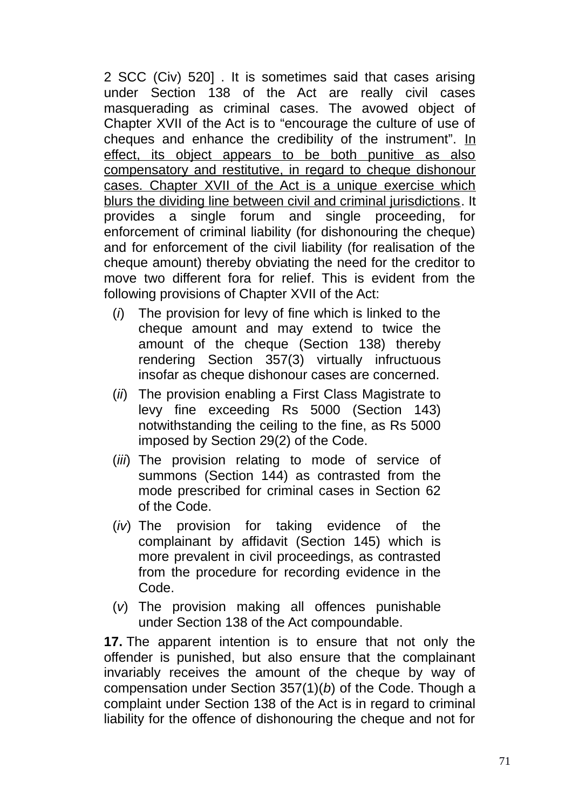2 SCC (Civ) 520] . It is sometimes said that cases arising under Section 138 of the Act are really civil cases masquerading as criminal cases. The avowed object of Chapter XVII of the Act is to "encourage the culture of use of cheques and enhance the credibility of the instrument". In effect, its object appears to be both punitive as also compensatory and restitutive, in regard to cheque dishonour cases. Chapter XVII of the Act is a unique exercise which blurs the dividing line between civil and criminal jurisdictions. It provides a single forum and single proceeding, for enforcement of criminal liability (for dishonouring the cheque) and for enforcement of the civil liability (for realisation of the cheque amount) thereby obviating the need for the creditor to move two different fora for relief. This is evident from the following provisions of Chapter XVII of the Act:

- (*i*) The provision for levy of fine which is linked to the cheque amount and may extend to twice the amount of the cheque (Section 138) thereby rendering Section 357(3) virtually infructuous insofar as cheque dishonour cases are concerned.
- (*ii*) The provision enabling a First Class Magistrate to levy fine exceeding Rs 5000 (Section 143) notwithstanding the ceiling to the fine, as Rs 5000 imposed by Section 29(2) of the Code.
- (*iii*) The provision relating to mode of service of summons (Section 144) as contrasted from the mode prescribed for criminal cases in Section 62 of the Code.
- (*iv*) The provision for taking evidence of the complainant by affidavit (Section 145) which is more prevalent in civil proceedings, as contrasted from the procedure for recording evidence in the Code.
- (*v*) The provision making all offences punishable under Section 138 of the Act compoundable.

**17.** The apparent intention is to ensure that not only the offender is punished, but also ensure that the complainant invariably receives the amount of the cheque by way of compensation under Section 357(1)(*b*) of the Code. Though a complaint under Section 138 of the Act is in regard to criminal liability for the offence of dishonouring the cheque and not for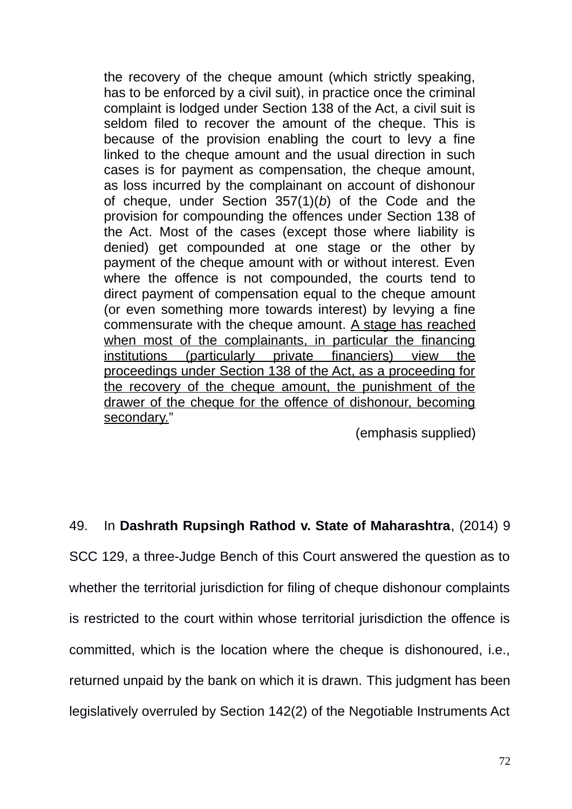the recovery of the cheque amount (which strictly speaking, has to be enforced by a civil suit), in practice once the criminal complaint is lodged under Section 138 of the Act, a civil suit is seldom filed to recover the amount of the cheque. This is because of the provision enabling the court to levy a fine linked to the cheque amount and the usual direction in such cases is for payment as compensation, the cheque amount, as loss incurred by the complainant on account of dishonour of cheque, under Section 357(1)(*b*) of the Code and the provision for compounding the offences under Section 138 of the Act. Most of the cases (except those where liability is denied) get compounded at one stage or the other by payment of the cheque amount with or without interest. Even where the offence is not compounded, the courts tend to direct payment of compensation equal to the cheque amount (or even something more towards interest) by levying a fine commensurate with the cheque amount. A stage has reached when most of the complainants, in particular the financing institutions (particularly private financiers) view the proceedings under Section 138 of the Act, as a proceeding for the recovery of the cheque amount, the punishment of the drawer of the cheque for the offence of dishonour, becoming secondary."

(emphasis supplied)

# 49. In **Dashrath Rupsingh Rathod v. State of Maharashtra**, (2014) 9

SCC 129, a three-Judge Bench of this Court answered the question as to whether the territorial jurisdiction for filing of cheque dishonour complaints is restricted to the court within whose territorial jurisdiction the offence is committed, which is the location where the cheque is dishonoured, i.e., returned unpaid by the bank on which it is drawn. This judgment has been legislatively overruled by Section 142(2) of the Negotiable Instruments Act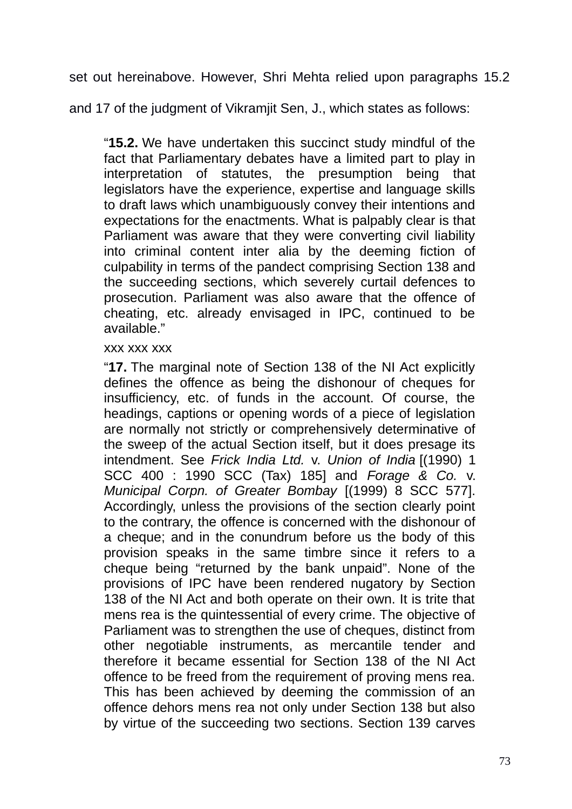set out hereinabove. However, Shri Mehta relied upon paragraphs 15.2

and 17 of the judgment of Vikramjit Sen, J., which states as follows:

"**15.2.** We have undertaken this succinct study mindful of the fact that Parliamentary debates have a limited part to play in interpretation of statutes, the presumption being that legislators have the experience, expertise and language skills to draft laws which unambiguously convey their intentions and expectations for the enactments. What is palpably clear is that Parliament was aware that they were converting civil liability into criminal content inter alia by the deeming fiction of culpability in terms of the pandect comprising Section 138 and the succeeding sections, which severely curtail defences to prosecution. Parliament was also aware that the offence of cheating, etc. already envisaged in IPC, continued to be available."

#### xxx xxx xxx

"**17.** The marginal note of Section 138 of the NI Act explicitly defines the offence as being the dishonour of cheques for insufficiency, etc. of funds in the account. Of course, the headings, captions or opening words of a piece of legislation are normally not strictly or comprehensively determinative of the sweep of the actual Section itself, but it does presage its intendment. See *Frick India Ltd.* v. *Union of India* [(1990) 1 SCC 400 : 1990 SCC (Tax) 185] and *Forage & Co.* v. *Municipal Corpn. of Greater Bombay* [(1999) 8 SCC 577]. Accordingly, unless the provisions of the section clearly point to the contrary, the offence is concerned with the dishonour of a cheque; and in the conundrum before us the body of this provision speaks in the same timbre since it refers to a cheque being "returned by the bank unpaid". None of the provisions of IPC have been rendered nugatory by Section 138 of the NI Act and both operate on their own. It is trite that mens rea is the quintessential of every crime. The objective of Parliament was to strengthen the use of cheques, distinct from other negotiable instruments, as mercantile tender and therefore it became essential for Section 138 of the NI Act offence to be freed from the requirement of proving mens rea. This has been achieved by deeming the commission of an offence dehors mens rea not only under Section 138 but also by virtue of the succeeding two sections. Section 139 carves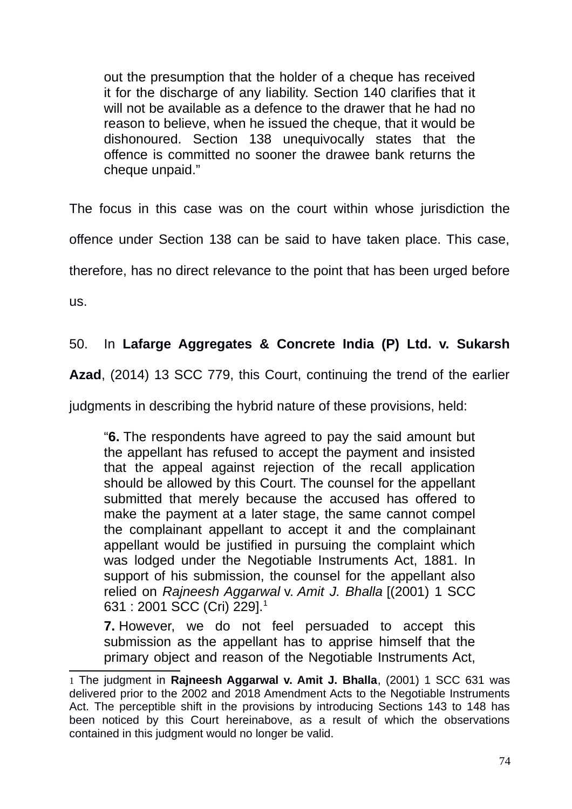out the presumption that the holder of a cheque has received it for the discharge of any liability. Section 140 clarifies that it will not be available as a defence to the drawer that he had no reason to believe, when he issued the cheque, that it would be dishonoured. Section 138 unequivocally states that the offence is committed no sooner the drawee bank returns the cheque unpaid."

The focus in this case was on the court within whose jurisdiction the

offence under Section 138 can be said to have taken place. This case,

therefore, has no direct relevance to the point that has been urged before

us.

# 50. In **Lafarge Aggregates & Concrete India (P) Ltd. v. Sukarsh**

**Azad**, (2014) 13 SCC 779, this Court, continuing the trend of the earlier

judgments in describing the hybrid nature of these provisions, held:

"**6.** The respondents have agreed to pay the said amount but the appellant has refused to accept the payment and insisted that the appeal against rejection of the recall application should be allowed by this Court. The counsel for the appellant submitted that merely because the accused has offered to make the payment at a later stage, the same cannot compel the complainant appellant to accept it and the complainant appellant would be justified in pursuing the complaint which was lodged under the Negotiable Instruments Act, 1881. In support of his submission, the counsel for the appellant also relied on *Rajneesh Aggarwal* v. *Amit J. Bhalla* [(2001) 1 SCC 631 : 2001 SCC (Cri) 229].[1](#page-73-0)

**7.** However, we do not feel persuaded to accept this submission as the appellant has to apprise himself that the primary object and reason of the Negotiable Instruments Act,

<span id="page-73-0"></span><sup>1</sup> The judgment in **Rajneesh Aggarwal v. Amit J. Bhalla**, (2001) 1 SCC 631 was delivered prior to the 2002 and 2018 Amendment Acts to the Negotiable Instruments Act. The perceptible shift in the provisions by introducing Sections 143 to 148 has been noticed by this Court hereinabove, as a result of which the observations contained in this judgment would no longer be valid.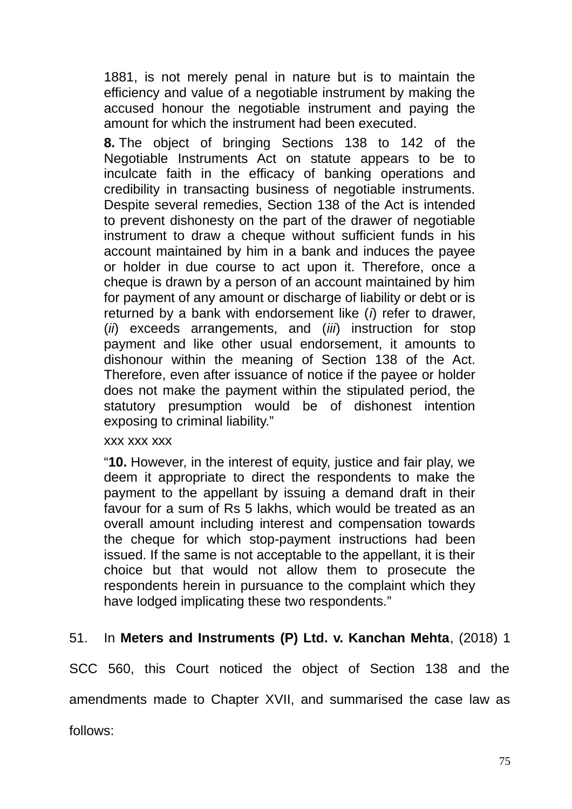1881, is not merely penal in nature but is to maintain the efficiency and value of a negotiable instrument by making the accused honour the negotiable instrument and paying the amount for which the instrument had been executed.

**8.** The object of bringing Sections 138 to 142 of the Negotiable Instruments Act on statute appears to be to inculcate faith in the efficacy of banking operations and credibility in transacting business of negotiable instruments. Despite several remedies, Section 138 of the Act is intended to prevent dishonesty on the part of the drawer of negotiable instrument to draw a cheque without sufficient funds in his account maintained by him in a bank and induces the payee or holder in due course to act upon it. Therefore, once a cheque is drawn by a person of an account maintained by him for payment of any amount or discharge of liability or debt or is returned by a bank with endorsement like (*i*) refer to drawer, (*ii*) exceeds arrangements, and (*iii*) instruction for stop payment and like other usual endorsement, it amounts to dishonour within the meaning of Section 138 of the Act. Therefore, even after issuance of notice if the payee or holder does not make the payment within the stipulated period, the statutory presumption would be of dishonest intention exposing to criminal liability."

#### xxx xxx xxx

"**10.** However, in the interest of equity, justice and fair play, we deem it appropriate to direct the respondents to make the payment to the appellant by issuing a demand draft in their favour for a sum of Rs 5 lakhs, which would be treated as an overall amount including interest and compensation towards the cheque for which stop-payment instructions had been issued. If the same is not acceptable to the appellant, it is their choice but that would not allow them to prosecute the respondents herein in pursuance to the complaint which they have lodged implicating these two respondents."

## 51. In **Meters and Instruments (P) Ltd. v. Kanchan Mehta**, (2018) 1

SCC 560, this Court noticed the object of Section 138 and the amendments made to Chapter XVII, and summarised the case law as

follows: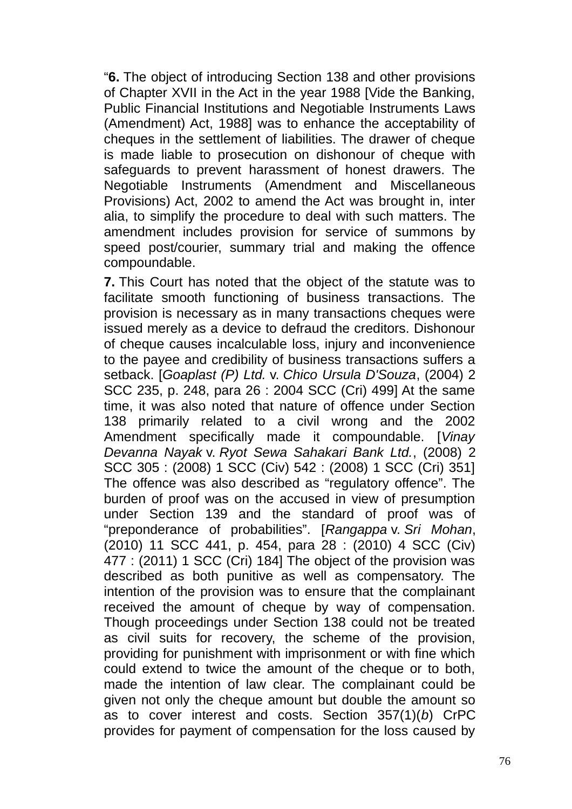"**6.** The object of introducing Section 138 and other provisions of Chapter XVII in the Act in the year 1988 [Vide the Banking, Public Financial Institutions and Negotiable Instruments Laws (Amendment) Act, 1988] was to enhance the acceptability of cheques in the settlement of liabilities. The drawer of cheque is made liable to prosecution on dishonour of cheque with safeguards to prevent harassment of honest drawers. The Negotiable Instruments (Amendment and Miscellaneous Provisions) Act, 2002 to amend the Act was brought in, inter alia, to simplify the procedure to deal with such matters. The amendment includes provision for service of summons by speed post/courier, summary trial and making the offence compoundable.

**7.** This Court has noted that the object of the statute was to facilitate smooth functioning of business transactions. The provision is necessary as in many transactions cheques were issued merely as a device to defraud the creditors. Dishonour of cheque causes incalculable loss, injury and inconvenience to the payee and credibility of business transactions suffers a setback. [*Goaplast (P) Ltd.* v. *Chico Ursula D'Souza*, (2004) 2 SCC 235, p. 248, para 26 : 2004 SCC (Cri) 499] At the same time, it was also noted that nature of offence under Section 138 primarily related to a civil wrong and the 2002 Amendment specifically made it compoundable. [*Vinay Devanna Nayak* v. *Ryot Sewa Sahakari Bank Ltd.*, (2008) 2 SCC 305 : (2008) 1 SCC (Civ) 542 : (2008) 1 SCC (Cri) 351] The offence was also described as "regulatory offence". The burden of proof was on the accused in view of presumption under Section 139 and the standard of proof was of "preponderance of probabilities". [*Rangappa* v. *Sri Mohan*, (2010) 11 SCC 441, p. 454, para 28 : (2010) 4 SCC (Civ) 477 : (2011) 1 SCC (Cri) 184] The object of the provision was described as both punitive as well as compensatory. The intention of the provision was to ensure that the complainant received the amount of cheque by way of compensation. Though proceedings under Section 138 could not be treated as civil suits for recovery, the scheme of the provision, providing for punishment with imprisonment or with fine which could extend to twice the amount of the cheque or to both, made the intention of law clear. The complainant could be given not only the cheque amount but double the amount so as to cover interest and costs. Section 357(1)(*b*) CrPC provides for payment of compensation for the loss caused by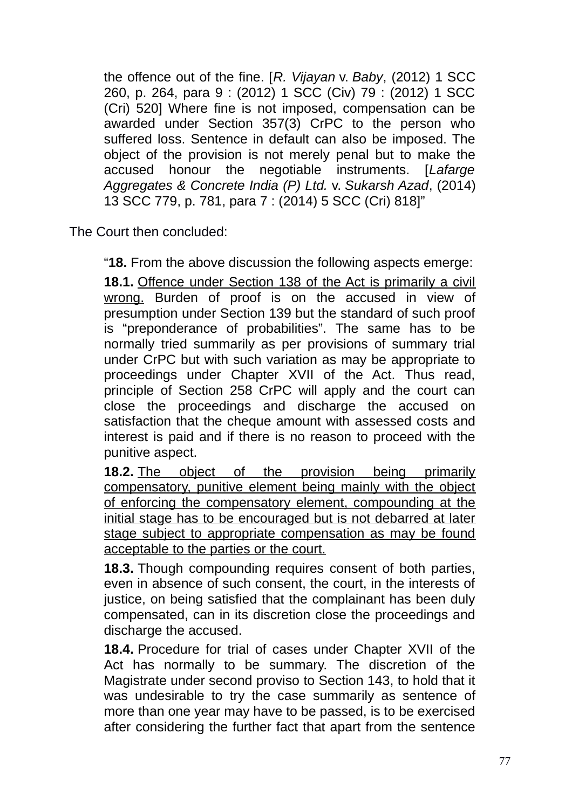the offence out of the fine. [*R. Vijayan* v. *Baby*, (2012) 1 SCC 260, p. 264, para 9 : (2012) 1 SCC (Civ) 79 : (2012) 1 SCC (Cri) 520] Where fine is not imposed, compensation can be awarded under Section 357(3) CrPC to the person who suffered loss. Sentence in default can also be imposed. The object of the provision is not merely penal but to make the accused honour the negotiable instruments. [*Lafarge Aggregates & Concrete India (P) Ltd.* v. *Sukarsh Azad*, (2014) 13 SCC 779, p. 781, para 7 : (2014) 5 SCC (Cri) 818]"

The Court then concluded:

"**18.** From the above discussion the following aspects emerge: **18.1.** Offence under Section 138 of the Act is primarily a civil wrong. Burden of proof is on the accused in view of presumption under Section 139 but the standard of such proof is "preponderance of probabilities". The same has to be normally tried summarily as per provisions of summary trial under CrPC but with such variation as may be appropriate to proceedings under Chapter XVII of the Act. Thus read, principle of Section 258 CrPC will apply and the court can close the proceedings and discharge the accused on satisfaction that the cheque amount with assessed costs and interest is paid and if there is no reason to proceed with the punitive aspect.

18.2. The object of the provision being primarily compensatory, punitive element being mainly with the object of enforcing the compensatory element, compounding at the initial stage has to be encouraged but is not debarred at later stage subject to appropriate compensation as may be found acceptable to the parties or the court.

**18.3.** Though compounding requires consent of both parties, even in absence of such consent, the court, in the interests of justice, on being satisfied that the complainant has been duly compensated, can in its discretion close the proceedings and discharge the accused.

**18.4.** Procedure for trial of cases under Chapter XVII of the Act has normally to be summary. The discretion of the Magistrate under second proviso to Section 143, to hold that it was undesirable to try the case summarily as sentence of more than one year may have to be passed, is to be exercised after considering the further fact that apart from the sentence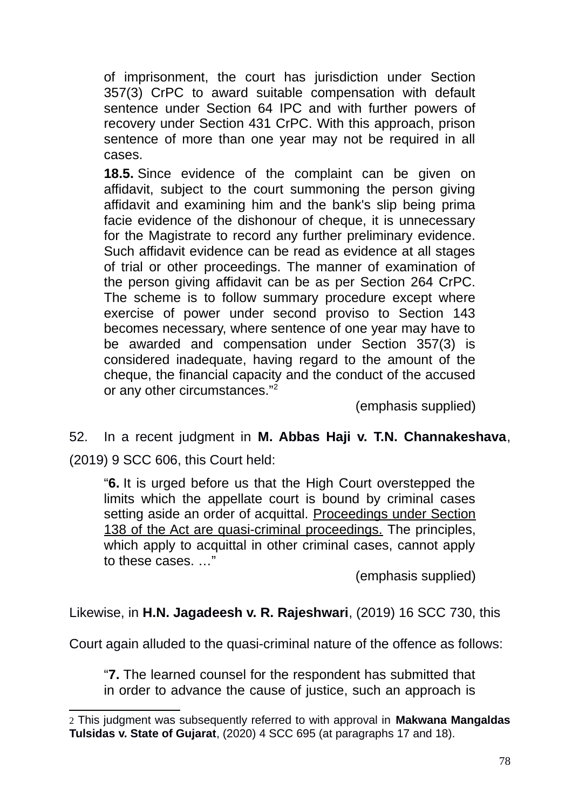of imprisonment, the court has jurisdiction under Section 357(3) CrPC to award suitable compensation with default sentence under Section 64 IPC and with further powers of recovery under Section 431 CrPC. With this approach, prison sentence of more than one year may not be required in all cases.

**18.5.** Since evidence of the complaint can be given on affidavit, subject to the court summoning the person giving affidavit and examining him and the bank's slip being prima facie evidence of the dishonour of cheque, it is unnecessary for the Magistrate to record any further preliminary evidence. Such affidavit evidence can be read as evidence at all stages of trial or other proceedings. The manner of examination of the person giving affidavit can be as per Section 264 CrPC. The scheme is to follow summary procedure except where exercise of power under second proviso to Section 143 becomes necessary, where sentence of one year may have to be awarded and compensation under Section 357(3) is considered inadequate, having regard to the amount of the cheque, the financial capacity and the conduct of the accused or any other circumstances."[2](#page-77-0)

(emphasis supplied)

52. In a recent judgment in **M. Abbas Haji v. T.N. Channakeshava**, (2019) 9 SCC 606, this Court held:

"**6.** It is urged before us that the High Court overstepped the limits which the appellate court is bound by criminal cases setting aside an order of acquittal. Proceedings under Section 138 of the Act are quasi-criminal proceedings. The principles, which apply to acquittal in other criminal cases, cannot apply to these cases. …"

(emphasis supplied)

Likewise, in **H.N. Jagadeesh v. R. Rajeshwari**, (2019) 16 SCC 730, this

Court again alluded to the quasi-criminal nature of the offence as follows:

"**7.** The learned counsel for the respondent has submitted that in order to advance the cause of justice, such an approach is

<span id="page-77-0"></span><sup>2</sup> This judgment was subsequently referred to with approval in **Makwana Mangaldas Tulsidas v. State of Gujarat**, (2020) 4 SCC 695 (at paragraphs 17 and 18).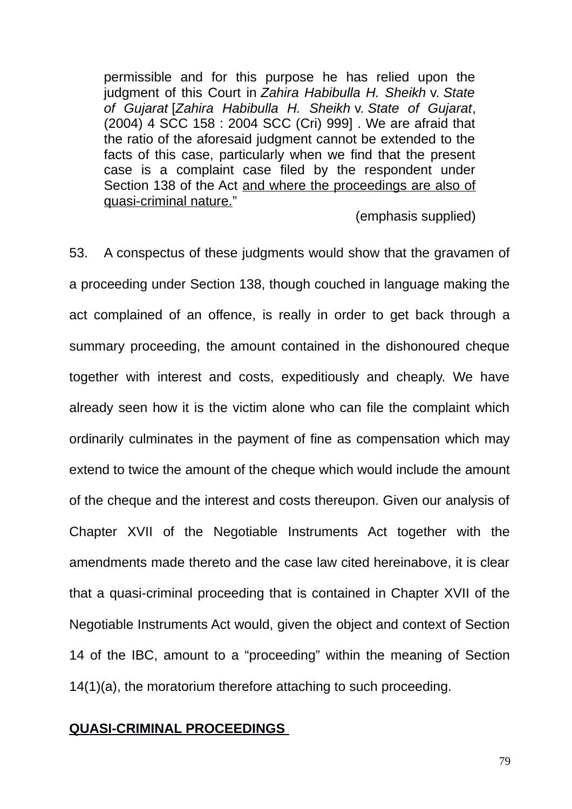permissible and for this purpose he has relied upon the judgment of this Court in *Zahira Habibulla H. Sheikh* v. *State of Gujarat* [*Zahira Habibulla H. Sheikh* v. *State of Gujarat*, (2004) 4 SCC 158 : 2004 SCC (Cri) 999] . We are afraid that the ratio of the aforesaid judgment cannot be extended to the facts of this case, particularly when we find that the present case is a complaint case filed by the respondent under Section 138 of the Act and where the proceedings are also of quasi-criminal nature."

(emphasis supplied)

53. A conspectus of these judgments would show that the gravamen of a proceeding under Section 138, though couched in language making the act complained of an offence, is really in order to get back through a summary proceeding, the amount contained in the dishonoured cheque together with interest and costs, expeditiously and cheaply. We have already seen how it is the victim alone who can file the complaint which ordinarily culminates in the payment of fine as compensation which may extend to twice the amount of the cheque which would include the amount of the cheque and the interest and costs thereupon. Given our analysis of Chapter XVII of the Negotiable Instruments Act together with the amendments made thereto and the case law cited hereinabove, it is clear that a quasi-criminal proceeding that is contained in Chapter XVII of the Negotiable Instruments Act would, given the object and context of Section 14 of the IBC, amount to a "proceeding" within the meaning of Section 14(1)(a), the moratorium therefore attaching to such proceeding.

#### **QUASI-CRIMINAL PROCEEDINGS**

79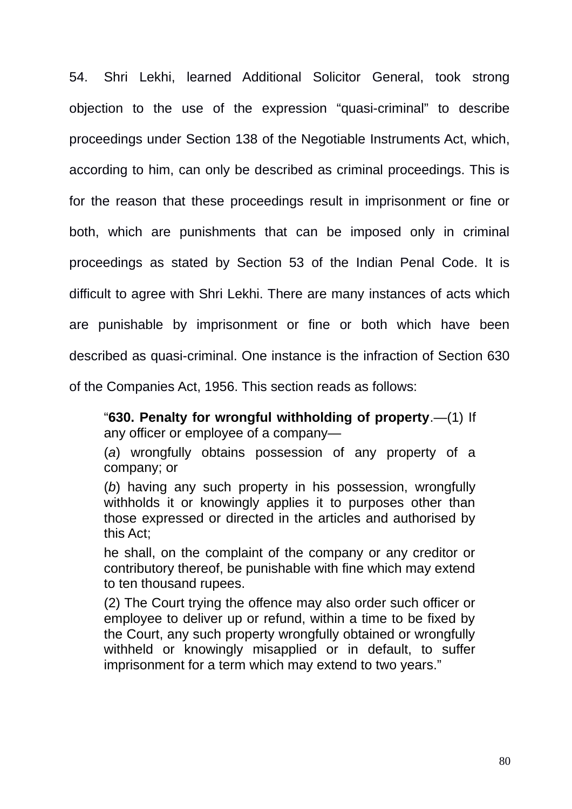54. Shri Lekhi, learned Additional Solicitor General, took strong objection to the use of the expression "quasi-criminal" to describe proceedings under Section 138 of the Negotiable Instruments Act, which, according to him, can only be described as criminal proceedings. This is for the reason that these proceedings result in imprisonment or fine or both, which are punishments that can be imposed only in criminal proceedings as stated by Section 53 of the Indian Penal Code. It is difficult to agree with Shri Lekhi. There are many instances of acts which are punishable by imprisonment or fine or both which have been described as quasi-criminal. One instance is the infraction of Section 630 of the Companies Act, 1956. This section reads as follows:

"**630. Penalty for wrongful withholding of property**.—(1) If any officer or employee of a company—

(*a*) wrongfully obtains possession of any property of a company; or

(*b*) having any such property in his possession, wrongfully withholds it or knowingly applies it to purposes other than those expressed or directed in the articles and authorised by this Act;

he shall, on the complaint of the company or any creditor or contributory thereof, be punishable with fine which may extend to ten thousand rupees.

(2) The Court trying the offence may also order such officer or employee to deliver up or refund, within a time to be fixed by the Court, any such property wrongfully obtained or wrongfully withheld or knowingly misapplied or in default, to suffer imprisonment for a term which may extend to two years."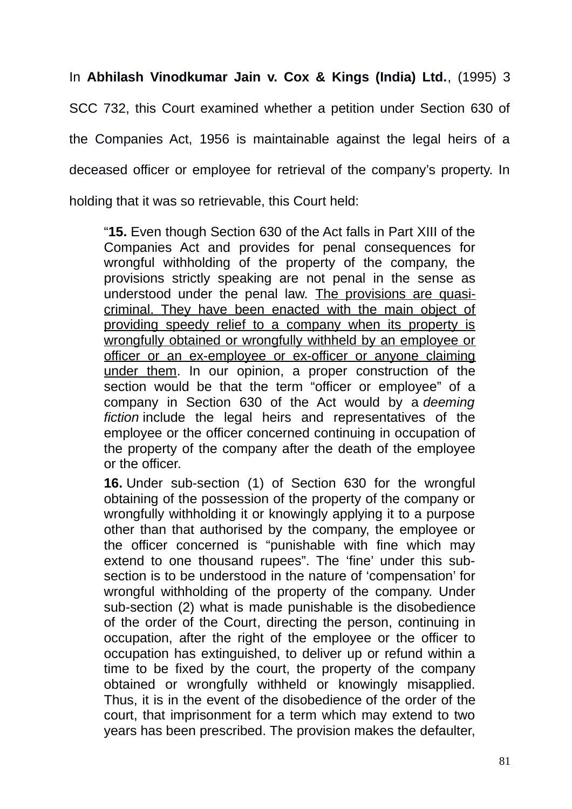In **Abhilash Vinodkumar Jain v. Cox & Kings (India) Ltd.**, (1995) 3

SCC 732, this Court examined whether a petition under Section 630 of

the Companies Act, 1956 is maintainable against the legal heirs of a

deceased officer or employee for retrieval of the company's property. In

holding that it was so retrievable, this Court held:

"**15.** Even though Section 630 of the Act falls in Part XIII of the Companies Act and provides for penal consequences for wrongful withholding of the property of the company, the provisions strictly speaking are not penal in the sense as understood under the penal law. The provisions are quasicriminal. They have been enacted with the main object of providing speedy relief to a company when its property is wrongfully obtained or wrongfully withheld by an employee or officer or an ex-employee or ex-officer or anyone claiming under them. In our opinion, a proper construction of the section would be that the term "officer or employee" of a company in Section 630 of the Act would by a *deeming fiction* include the legal heirs and representatives of the employee or the officer concerned continuing in occupation of the property of the company after the death of the employee or the officer.

**16.** Under sub-section (1) of Section 630 for the wrongful obtaining of the possession of the property of the company or wrongfully withholding it or knowingly applying it to a purpose other than that authorised by the company, the employee or the officer concerned is "punishable with fine which may extend to one thousand rupees". The 'fine' under this subsection is to be understood in the nature of 'compensation' for wrongful withholding of the property of the company. Under sub-section (2) what is made punishable is the disobedience of the order of the Court, directing the person, continuing in occupation, after the right of the employee or the officer to occupation has extinguished, to deliver up or refund within a time to be fixed by the court, the property of the company obtained or wrongfully withheld or knowingly misapplied. Thus, it is in the event of the disobedience of the order of the court, that imprisonment for a term which may extend to two years has been prescribed. The provision makes the defaulter,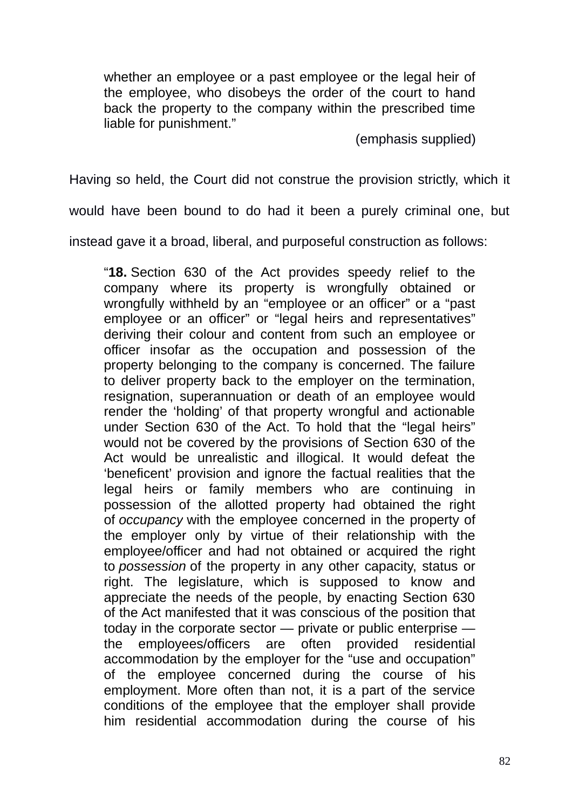whether an employee or a past employee or the legal heir of the employee, who disobeys the order of the court to hand back the property to the company within the prescribed time liable for punishment."

(emphasis supplied)

Having so held, the Court did not construe the provision strictly, which it

would have been bound to do had it been a purely criminal one, but

instead gave it a broad, liberal, and purposeful construction as follows:

"**18.** Section 630 of the Act provides speedy relief to the company where its property is wrongfully obtained or wrongfully withheld by an "employee or an officer" or a "past employee or an officer" or "legal heirs and representatives" deriving their colour and content from such an employee or officer insofar as the occupation and possession of the property belonging to the company is concerned. The failure to deliver property back to the employer on the termination, resignation, superannuation or death of an employee would render the 'holding' of that property wrongful and actionable under Section 630 of the Act. To hold that the "legal heirs" would not be covered by the provisions of Section 630 of the Act would be unrealistic and illogical. It would defeat the 'beneficent' provision and ignore the factual realities that the legal heirs or family members who are continuing in possession of the allotted property had obtained the right of *occupancy* with the employee concerned in the property of the employer only by virtue of their relationship with the employee/officer and had not obtained or acquired the right to *possession* of the property in any other capacity, status or right. The legislature, which is supposed to know and appreciate the needs of the people, by enacting Section 630 of the Act manifested that it was conscious of the position that today in the corporate sector — private or public enterprise the employees/officers are often provided residential accommodation by the employer for the "use and occupation" of the employee concerned during the course of his employment. More often than not, it is a part of the service conditions of the employee that the employer shall provide him residential accommodation during the course of his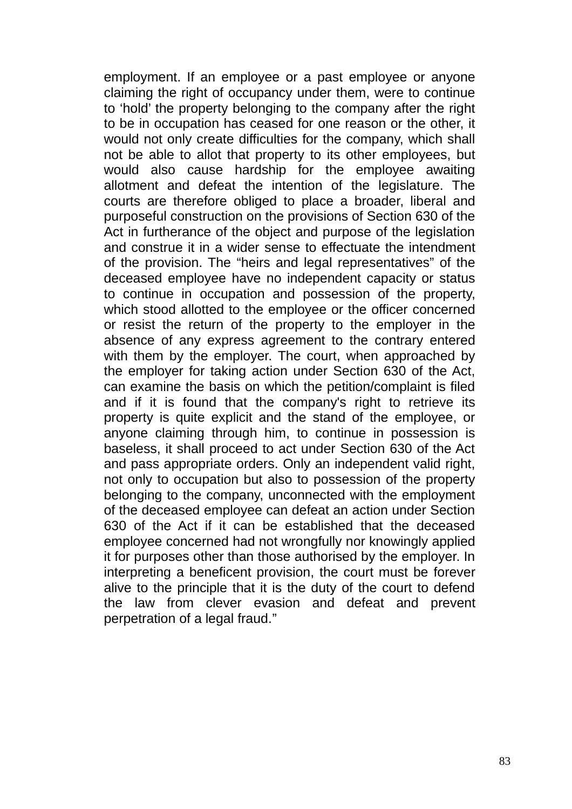employment. If an employee or a past employee or anyone claiming the right of occupancy under them, were to continue to 'hold' the property belonging to the company after the right to be in occupation has ceased for one reason or the other, it would not only create difficulties for the company, which shall not be able to allot that property to its other employees, but would also cause hardship for the employee awaiting allotment and defeat the intention of the legislature. The courts are therefore obliged to place a broader, liberal and purposeful construction on the provisions of Section 630 of the Act in furtherance of the object and purpose of the legislation and construe it in a wider sense to effectuate the intendment of the provision. The "heirs and legal representatives" of the deceased employee have no independent capacity or status to continue in occupation and possession of the property, which stood allotted to the employee or the officer concerned or resist the return of the property to the employer in the absence of any express agreement to the contrary entered with them by the employer. The court, when approached by the employer for taking action under Section 630 of the Act, can examine the basis on which the petition/complaint is filed and if it is found that the company's right to retrieve its property is quite explicit and the stand of the employee, or anyone claiming through him, to continue in possession is baseless, it shall proceed to act under Section 630 of the Act and pass appropriate orders. Only an independent valid right, not only to occupation but also to possession of the property belonging to the company, unconnected with the employment of the deceased employee can defeat an action under Section 630 of the Act if it can be established that the deceased employee concerned had not wrongfully nor knowingly applied it for purposes other than those authorised by the employer. In interpreting a beneficent provision, the court must be forever alive to the principle that it is the duty of the court to defend the law from clever evasion and defeat and prevent perpetration of a legal fraud."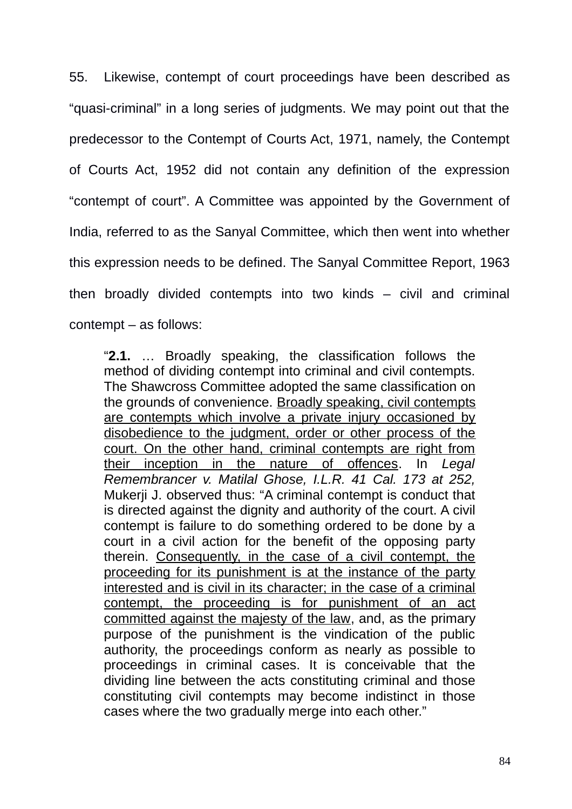55. Likewise, contempt of court proceedings have been described as "quasi-criminal" in a long series of judgments. We may point out that the predecessor to the Contempt of Courts Act, 1971, namely, the Contempt of Courts Act, 1952 did not contain any definition of the expression "contempt of court". A Committee was appointed by the Government of India, referred to as the Sanyal Committee, which then went into whether this expression needs to be defined. The Sanyal Committee Report, 1963 then broadly divided contempts into two kinds – civil and criminal contempt – as follows:

"**2.1.** … Broadly speaking, the classification follows the method of dividing contempt into criminal and civil contempts. The Shawcross Committee adopted the same classification on the grounds of convenience. Broadly speaking, civil contempts are contempts which involve a private injury occasioned by disobedience to the judgment, order or other process of the court. On the other hand, criminal contempts are right from their inception in the nature of offences. In *Legal Remembrancer v. Matilal Ghose, I.L.R. 41 Cal. 173 at 252,* Mukerji J. observed thus: "A criminal contempt is conduct that is directed against the dignity and authority of the court. A civil contempt is failure to do something ordered to be done by a court in a civil action for the benefit of the opposing party therein. Consequently, in the case of a civil contempt, the proceeding for its punishment is at the instance of the party interested and is civil in its character; in the case of a criminal contempt, the proceeding is for punishment of an act committed against the majesty of the law, and, as the primary purpose of the punishment is the vindication of the public authority, the proceedings conform as nearly as possible to proceedings in criminal cases. It is conceivable that the dividing line between the acts constituting criminal and those constituting civil contempts may become indistinct in those cases where the two gradually merge into each other."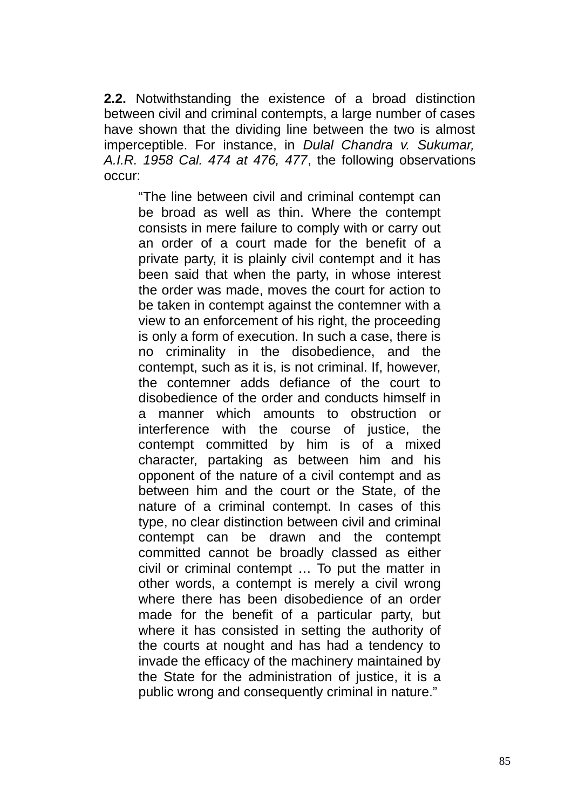**2.2.** Notwithstanding the existence of a broad distinction between civil and criminal contempts, a large number of cases have shown that the dividing line between the two is almost imperceptible. For instance, in *Dulal Chandra v. Sukumar, A.I.R. 1958 Cal. 474 at 476, 477*, the following observations occur:

"The line between civil and criminal contempt can be broad as well as thin. Where the contempt consists in mere failure to comply with or carry out an order of a court made for the benefit of a private party, it is plainly civil contempt and it has been said that when the party, in whose interest the order was made, moves the court for action to be taken in contempt against the contemner with a view to an enforcement of his right, the proceeding is only a form of execution. In such a case, there is no criminality in the disobedience, and the contempt, such as it is, is not criminal. If, however, the contemner adds defiance of the court to disobedience of the order and conducts himself in a manner which amounts to obstruction or interference with the course of justice, the contempt committed by him is of a mixed character, partaking as between him and his opponent of the nature of a civil contempt and as between him and the court or the State, of the nature of a criminal contempt. In cases of this type, no clear distinction between civil and criminal contempt can be drawn and the contempt committed cannot be broadly classed as either civil or criminal contempt … To put the matter in other words, a contempt is merely a civil wrong where there has been disobedience of an order made for the benefit of a particular party, but where it has consisted in setting the authority of the courts at nought and has had a tendency to invade the efficacy of the machinery maintained by the State for the administration of justice, it is a public wrong and consequently criminal in nature."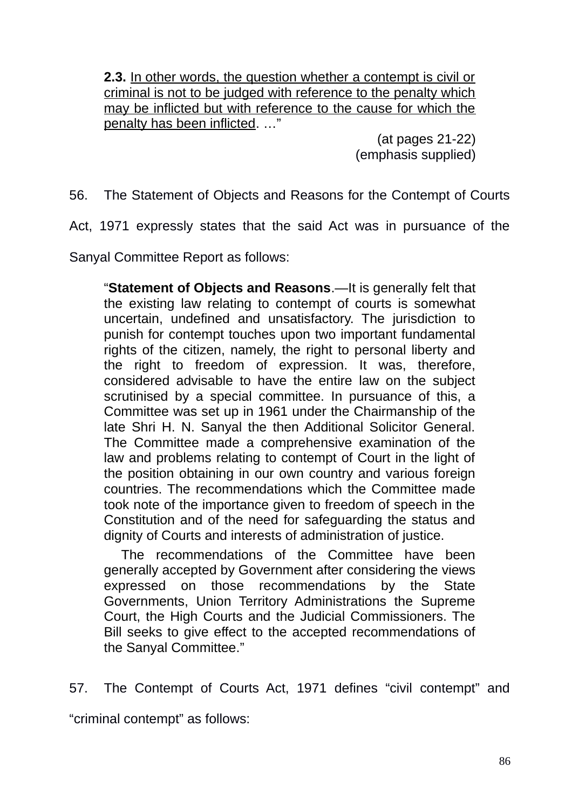**2.3.** In other words, the question whether a contempt is civil or criminal is not to be judged with reference to the penalty which may be inflicted but with reference to the cause for which the penalty has been inflicted. …"

> (at pages 21-22) (emphasis supplied)

56. The Statement of Objects and Reasons for the Contempt of Courts

Act, 1971 expressly states that the said Act was in pursuance of the

Sanyal Committee Report as follows:

"**Statement of Objects and Reasons**.—It is generally felt that the existing law relating to contempt of courts is somewhat uncertain, undefined and unsatisfactory. The jurisdiction to punish for contempt touches upon two important fundamental rights of the citizen, namely, the right to personal liberty and the right to freedom of expression. It was, therefore, considered advisable to have the entire law on the subject scrutinised by a special committee. In pursuance of this, a Committee was set up in 1961 under the Chairmanship of the late Shri H. N. Sanyal the then Additional Solicitor General. The Committee made a comprehensive examination of the law and problems relating to contempt of Court in the light of the position obtaining in our own country and various foreign countries. The recommendations which the Committee made took note of the importance given to freedom of speech in the Constitution and of the need for safeguarding the status and dignity of Courts and interests of administration of justice.

The recommendations of the Committee have been generally accepted by Government after considering the views expressed on those recommendations by the State Governments, Union Territory Administrations the Supreme Court, the High Courts and the Judicial Commissioners. The Bill seeks to give effect to the accepted recommendations of the Sanyal Committee."

57. The Contempt of Courts Act, 1971 defines "civil contempt" and "criminal contempt" as follows: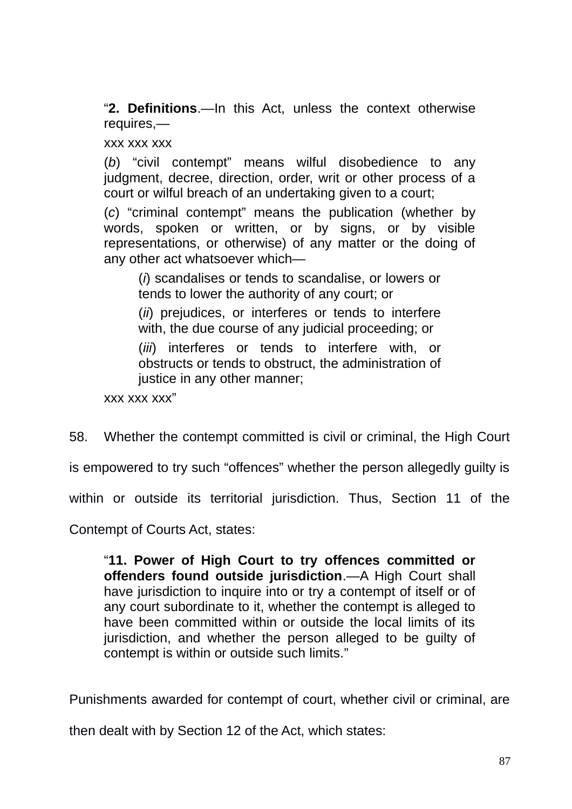"**2. Definitions**.—In this Act, unless the context otherwise requires,—

xxx xxx xxx

(*b*) "civil contempt" means wilful disobedience to any judgment, decree, direction, order, writ or other process of a court or wilful breach of an undertaking given to a court;

(*c*) "criminal contempt" means the publication (whether by words, spoken or written, or by signs, or by visible representations, or otherwise) of any matter or the doing of any other act whatsoever which—

(*i*) scandalises or tends to scandalise, or lowers or tends to lower the authority of any court; or

(*ii*) prejudices, or interferes or tends to interfere with, the due course of any judicial proceeding; or

(*iii*) interferes or tends to interfere with, or obstructs or tends to obstruct, the administration of justice in any other manner;

xxx xxx xxx"

58. Whether the contempt committed is civil or criminal, the High Court

is empowered to try such "offences" whether the person allegedly guilty is

within or outside its territorial jurisdiction. Thus, Section 11 of the

Contempt of Courts Act, states:

"**11. Power of High Court to try offences committed or offenders found outside jurisdiction**.—A High Court shall have jurisdiction to inquire into or try a contempt of itself or of any court subordinate to it, whether the contempt is alleged to have been committed within or outside the local limits of its jurisdiction, and whether the person alleged to be guilty of contempt is within or outside such limits."

Punishments awarded for contempt of court, whether civil or criminal, are

then dealt with by Section 12 of the Act, which states: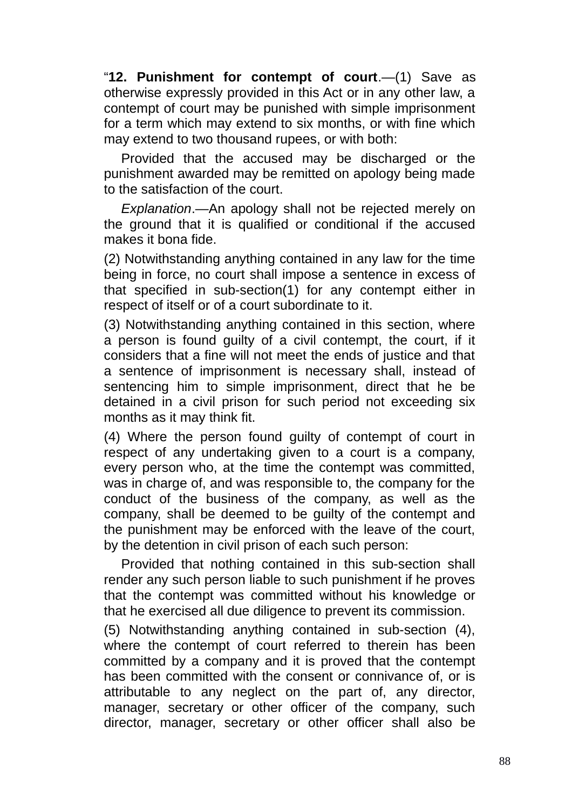"**12. Punishment for contempt of court**.—(1) Save as otherwise expressly provided in this Act or in any other law, a contempt of court may be punished with simple imprisonment for a term which may extend to six months, or with fine which may extend to two thousand rupees, or with both:

Provided that the accused may be discharged or the punishment awarded may be remitted on apology being made to the satisfaction of the court.

*Explanation*.—An apology shall not be rejected merely on the ground that it is qualified or conditional if the accused makes it bona fide.

(2) Notwithstanding anything contained in any law for the time being in force, no court shall impose a sentence in excess of that specified in sub-section(1) for any contempt either in respect of itself or of a court subordinate to it.

(3) Notwithstanding anything contained in this section, where a person is found guilty of a civil contempt, the court, if it considers that a fine will not meet the ends of justice and that a sentence of imprisonment is necessary shall, instead of sentencing him to simple imprisonment, direct that he be detained in a civil prison for such period not exceeding six months as it may think fit.

(4) Where the person found guilty of contempt of court in respect of any undertaking given to a court is a company, every person who, at the time the contempt was committed, was in charge of, and was responsible to, the company for the conduct of the business of the company, as well as the company, shall be deemed to be guilty of the contempt and the punishment may be enforced with the leave of the court, by the detention in civil prison of each such person:

Provided that nothing contained in this sub-section shall render any such person liable to such punishment if he proves that the contempt was committed without his knowledge or that he exercised all due diligence to prevent its commission.

(5) Notwithstanding anything contained in sub-section (4), where the contempt of court referred to therein has been committed by a company and it is proved that the contempt has been committed with the consent or connivance of, or is attributable to any neglect on the part of, any director, manager, secretary or other officer of the company, such director, manager, secretary or other officer shall also be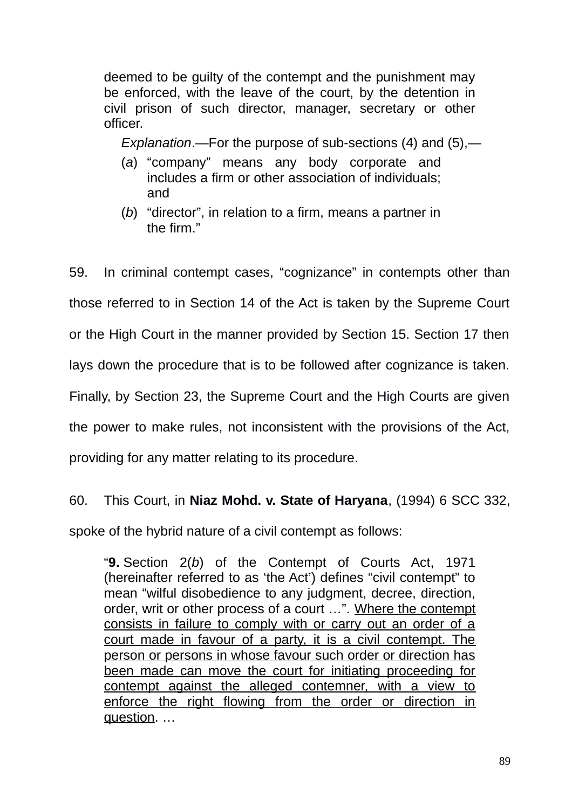deemed to be guilty of the contempt and the punishment may be enforced, with the leave of the court, by the detention in civil prison of such director, manager, secretary or other officer.

*Explanation*.—For the purpose of sub-sections (4) and (5),—

- (*a*) "company" means any body corporate and includes a firm or other association of individuals; and
- (*b*) "director", in relation to a firm, means a partner in the firm."

59. In criminal contempt cases, "cognizance" in contempts other than those referred to in Section 14 of the Act is taken by the Supreme Court or the High Court in the manner provided by Section 15. Section 17 then lays down the procedure that is to be followed after cognizance is taken. Finally, by Section 23, the Supreme Court and the High Courts are given the power to make rules, not inconsistent with the provisions of the Act, providing for any matter relating to its procedure.

60. This Court, in **Niaz Mohd. v. State of Haryana**, (1994) 6 SCC 332,

spoke of the hybrid nature of a civil contempt as follows:

"**9.** Section 2(*b*) of the Contempt of Courts Act, 1971 (hereinafter referred to as 'the Act') defines "civil contempt" to mean "wilful disobedience to any judgment, decree, direction, order, writ or other process of a court …". Where the contempt consists in failure to comply with or carry out an order of a court made in favour of a party, it is a civil contempt. The person or persons in whose favour such order or direction has been made can move the court for initiating proceeding for contempt against the alleged contemner, with a view to enforce the right flowing from the order or direction in question. …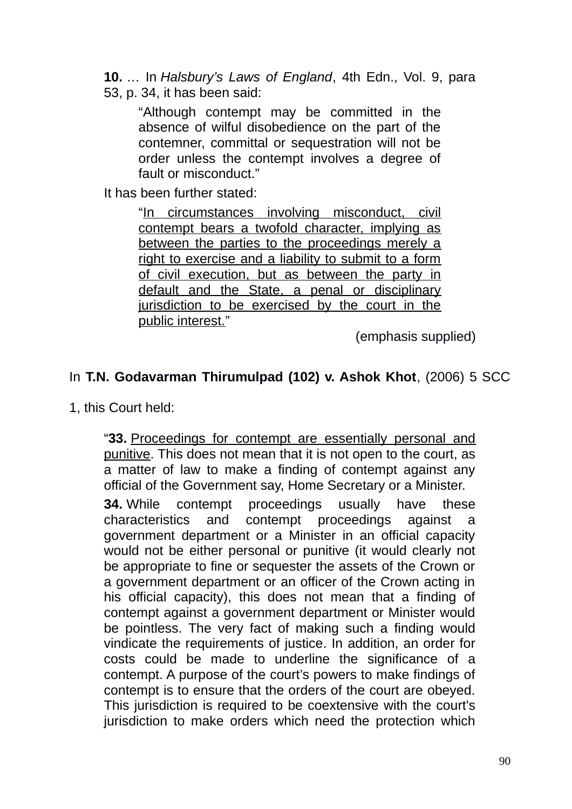- **10.** … In *Halsbury's Laws of England*, 4th Edn., Vol. 9, para
- 53, p. 34, it has been said:

"Although contempt may be committed in the absence of wilful disobedience on the part of the contemner, committal or sequestration will not be order unless the contempt involves a degree of fault or misconduct."

It has been further stated:

"In circumstances involving misconduct, civil contempt bears a twofold character, implying as between the parties to the proceedings merely a right to exercise and a liability to submit to a form of civil execution, but as between the party in default and the State, a penal or disciplinary jurisdiction to be exercised by the court in the public interest."

(emphasis supplied)

## In **T.N. Godavarman Thirumulpad (102) v. Ashok Khot**, (2006) 5 SCC

1, this Court held:

"**33.** Proceedings for contempt are essentially personal and punitive. This does not mean that it is not open to the court, as a matter of law to make a finding of contempt against any official of the Government say, Home Secretary or a Minister.

**34.** While contempt proceedings usually have these characteristics and contempt proceedings against a government department or a Minister in an official capacity would not be either personal or punitive (it would clearly not be appropriate to fine or sequester the assets of the Crown or a government department or an officer of the Crown acting in his official capacity), this does not mean that a finding of contempt against a government department or Minister would be pointless. The very fact of making such a finding would vindicate the requirements of justice. In addition, an order for costs could be made to underline the significance of a contempt. A purpose of the court's powers to make findings of contempt is to ensure that the orders of the court are obeyed. This jurisdiction is required to be coextensive with the court's jurisdiction to make orders which need the protection which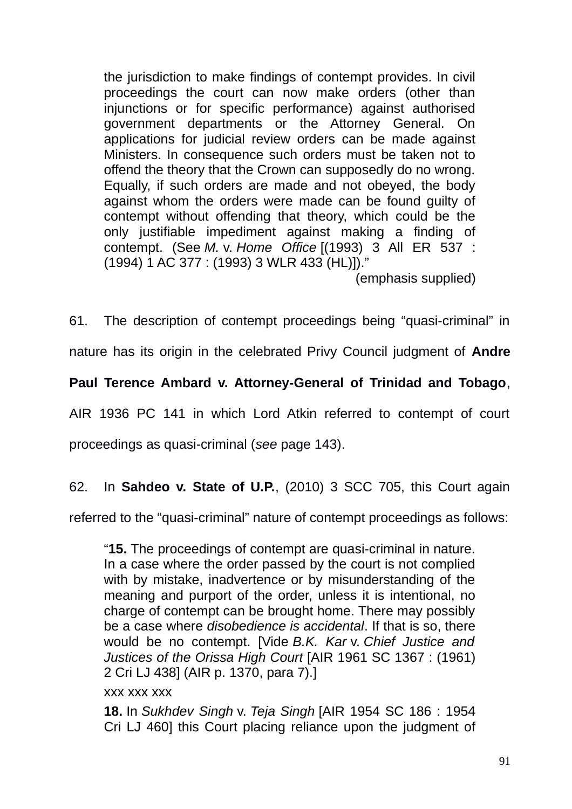the jurisdiction to make findings of contempt provides. In civil proceedings the court can now make orders (other than injunctions or for specific performance) against authorised government departments or the Attorney General. On applications for judicial review orders can be made against Ministers. In consequence such orders must be taken not to offend the theory that the Crown can supposedly do no wrong. Equally, if such orders are made and not obeyed, the body against whom the orders were made can be found guilty of contempt without offending that theory, which could be the only justifiable impediment against making a finding of contempt. (See *M.* v. *Home Office* [(1993) 3 All ER 537 : (1994) 1 AC 377 : (1993) 3 WLR 433 (HL)])."

(emphasis supplied)

61. The description of contempt proceedings being "quasi-criminal" in

nature has its origin in the celebrated Privy Council judgment of **Andre**

**Paul Terence Ambard v. Attorney-General of Trinidad and Tobago**,

AIR 1936 PC 141 in which Lord Atkin referred to contempt of court

proceedings as quasi-criminal (*see* page 143).

62. In **Sahdeo v. State of U.P.**, (2010) 3 SCC 705, this Court again

referred to the "quasi-criminal" nature of contempt proceedings as follows:

"**15.** The proceedings of contempt are quasi-criminal in nature. In a case where the order passed by the court is not complied with by mistake, inadvertence or by misunderstanding of the meaning and purport of the order, unless it is intentional, no charge of contempt can be brought home. There may possibly be a case where *disobedience is accidental*. If that is so, there would be no contempt. [Vide *B.K. Kar* v. *Chief Justice and Justices of the Orissa High Court* [AIR 1961 SC 1367 : (1961) 2 Cri LJ 438] (AIR p. 1370, para 7).]

xxx xxx xxx

**18.** In *Sukhdev Singh* v. *Teja Singh* [AIR 1954 SC 186 : 1954 Cri LJ 460] this Court placing reliance upon the judgment of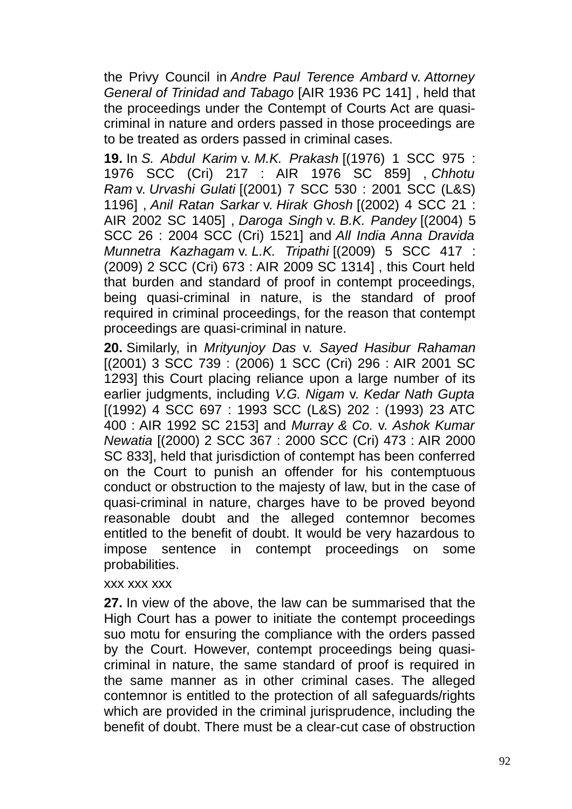the Privy Council in *Andre Paul Terence Ambard* v. *Attorney General of Trinidad and Tabago* [AIR 1936 PC 141] , held that the proceedings under the Contempt of Courts Act are quasicriminal in nature and orders passed in those proceedings are to be treated as orders passed in criminal cases.

**19.** In *S. Abdul Karim* v. *M.K. Prakash* [(1976) 1 SCC 975 : 1976 SCC (Cri) 217 : AIR 1976 SC 859] , *Chhotu Ram* v. *Urvashi Gulati* [(2001) 7 SCC 530 : 2001 SCC (L&S) 1196] , *Anil Ratan Sarkar* v. *Hirak Ghosh* [(2002) 4 SCC 21 : AIR 2002 SC 1405] , *Daroga Singh* v. *B.K. Pandey* [(2004) 5 SCC 26 : 2004 SCC (Cri) 1521] and *All India Anna Dravida Munnetra Kazhagam* v. *L.K. Tripathi* [(2009) 5 SCC 417 : (2009) 2 SCC (Cri) 673 : AIR 2009 SC 1314] , this Court held that burden and standard of proof in contempt proceedings, being quasi-criminal in nature, is the standard of proof required in criminal proceedings, for the reason that contempt proceedings are quasi-criminal in nature.

**20.** Similarly, in *Mrityunjoy Das* v. *Sayed Hasibur Rahaman* [(2001) 3 SCC 739 : (2006) 1 SCC (Cri) 296 : AIR 2001 SC 1293] this Court placing reliance upon a large number of its earlier judgments, including *V.G. Nigam* v. *Kedar Nath Gupta* [(1992) 4 SCC 697 : 1993 SCC (L&S) 202 : (1993) 23 ATC 400 : AIR 1992 SC 2153] and *Murray & Co.* v. *Ashok Kumar Newatia* [(2000) 2 SCC 367 : 2000 SCC (Cri) 473 : AIR 2000 SC 833], held that jurisdiction of contempt has been conferred on the Court to punish an offender for his contemptuous conduct or obstruction to the majesty of law, but in the case of quasi-criminal in nature, charges have to be proved beyond reasonable doubt and the alleged contemnor becomes entitled to the benefit of doubt. It would be very hazardous to impose sentence in contempt proceedings on some probabilities.

#### xxx xxx xxx

**27.** In view of the above, the law can be summarised that the High Court has a power to initiate the contempt proceedings suo motu for ensuring the compliance with the orders passed by the Court. However, contempt proceedings being quasicriminal in nature, the same standard of proof is required in the same manner as in other criminal cases. The alleged contemnor is entitled to the protection of all safeguards/rights which are provided in the criminal jurisprudence, including the benefit of doubt. There must be a clear-cut case of obstruction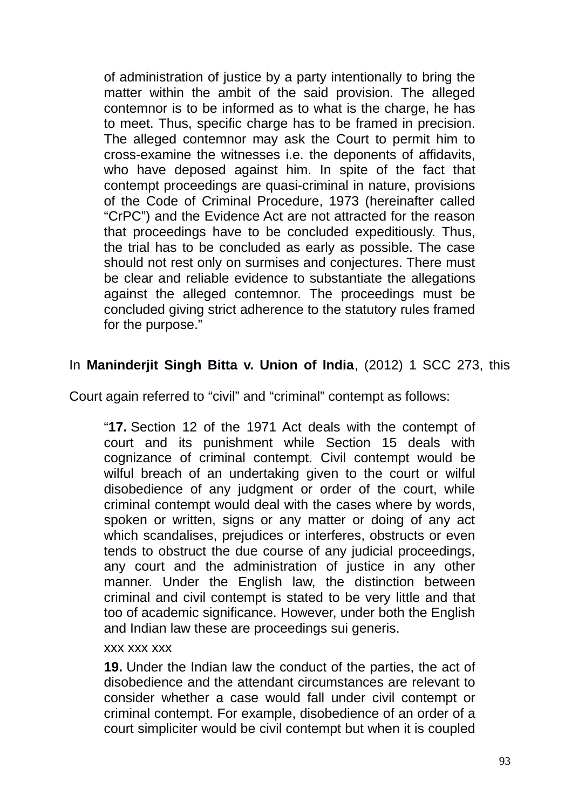of administration of justice by a party intentionally to bring the matter within the ambit of the said provision. The alleged contemnor is to be informed as to what is the charge, he has to meet. Thus, specific charge has to be framed in precision. The alleged contemnor may ask the Court to permit him to cross-examine the witnesses i.e. the deponents of affidavits, who have deposed against him. In spite of the fact that contempt proceedings are quasi-criminal in nature, provisions of the Code of Criminal Procedure, 1973 (hereinafter called "CrPC") and the Evidence Act are not attracted for the reason that proceedings have to be concluded expeditiously. Thus, the trial has to be concluded as early as possible. The case should not rest only on surmises and conjectures. There must be clear and reliable evidence to substantiate the allegations against the alleged contemnor. The proceedings must be concluded giving strict adherence to the statutory rules framed for the purpose."

## In **Maninderjit Singh Bitta v. Union of India**, (2012) 1 SCC 273, this

Court again referred to "civil" and "criminal" contempt as follows:

"**17.** Section 12 of the 1971 Act deals with the contempt of court and its punishment while Section 15 deals with cognizance of criminal contempt. Civil contempt would be wilful breach of an undertaking given to the court or wilful disobedience of any judgment or order of the court, while criminal contempt would deal with the cases where by words, spoken or written, signs or any matter or doing of any act which scandalises, prejudices or interferes, obstructs or even tends to obstruct the due course of any judicial proceedings, any court and the administration of justice in any other manner. Under the English law, the distinction between criminal and civil contempt is stated to be very little and that too of academic significance. However, under both the English and Indian law these are proceedings sui generis.

#### xxx xxx xxx

**19.** Under the Indian law the conduct of the parties, the act of disobedience and the attendant circumstances are relevant to consider whether a case would fall under civil contempt or criminal contempt. For example, disobedience of an order of a court simpliciter would be civil contempt but when it is coupled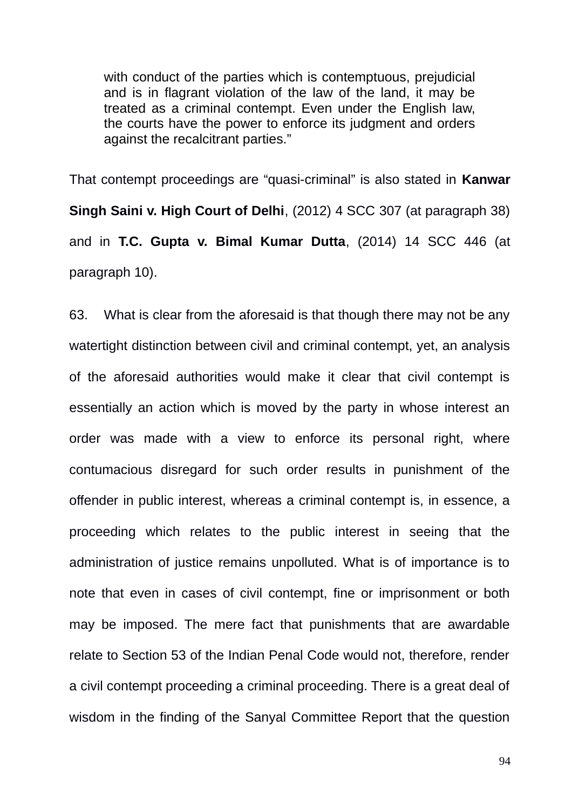with conduct of the parties which is contemptuous, prejudicial and is in flagrant violation of the law of the land, it may be treated as a criminal contempt. Even under the English law, the courts have the power to enforce its judgment and orders against the recalcitrant parties."

That contempt proceedings are "quasi-criminal" is also stated in **Kanwar Singh Saini v. High Court of Delhi**, (2012) 4 SCC 307 (at paragraph 38) and in **T.C. Gupta v. Bimal Kumar Dutta**, (2014) 14 SCC 446 (at paragraph 10).

63. What is clear from the aforesaid is that though there may not be any watertight distinction between civil and criminal contempt, yet, an analysis of the aforesaid authorities would make it clear that civil contempt is essentially an action which is moved by the party in whose interest an order was made with a view to enforce its personal right, where contumacious disregard for such order results in punishment of the offender in public interest, whereas a criminal contempt is, in essence, a proceeding which relates to the public interest in seeing that the administration of justice remains unpolluted. What is of importance is to note that even in cases of civil contempt, fine or imprisonment or both may be imposed. The mere fact that punishments that are awardable relate to Section 53 of the Indian Penal Code would not, therefore, render a civil contempt proceeding a criminal proceeding. There is a great deal of wisdom in the finding of the Sanyal Committee Report that the question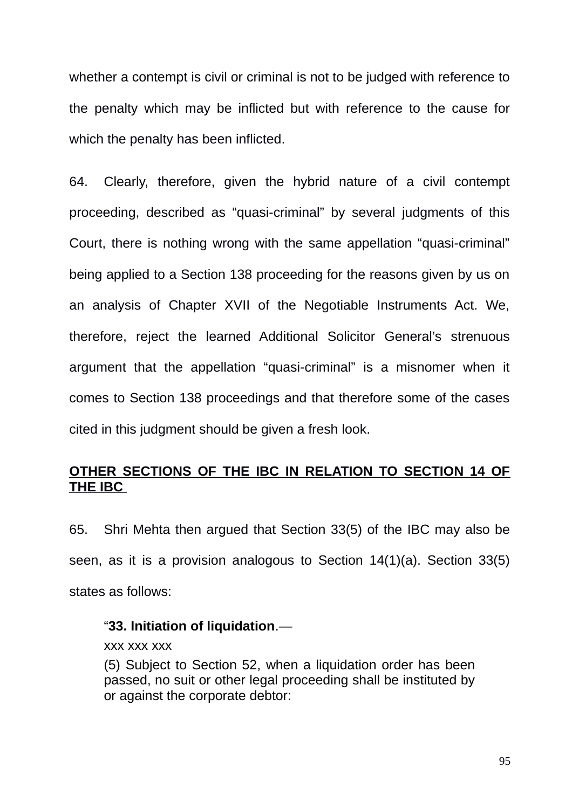whether a contempt is civil or criminal is not to be judged with reference to the penalty which may be inflicted but with reference to the cause for which the penalty has been inflicted.

64. Clearly, therefore, given the hybrid nature of a civil contempt proceeding, described as "quasi-criminal" by several judgments of this Court, there is nothing wrong with the same appellation "quasi-criminal" being applied to a Section 138 proceeding for the reasons given by us on an analysis of Chapter XVII of the Negotiable Instruments Act. We, therefore, reject the learned Additional Solicitor General's strenuous argument that the appellation "quasi-criminal" is a misnomer when it comes to Section 138 proceedings and that therefore some of the cases cited in this judgment should be given a fresh look.

### **OTHER SECTIONS OF THE IBC IN RELATION TO SECTION 14 OF THE IBC**

65. Shri Mehta then argued that Section 33(5) of the IBC may also be seen, as it is a provision analogous to Section 14(1)(a). Section 33(5) states as follows:

#### "**33. Initiation of liquidation**.—

xxx xxx xxx

(5) Subject to Section 52, when a liquidation order has been passed, no suit or other legal proceeding shall be instituted by or against the corporate debtor: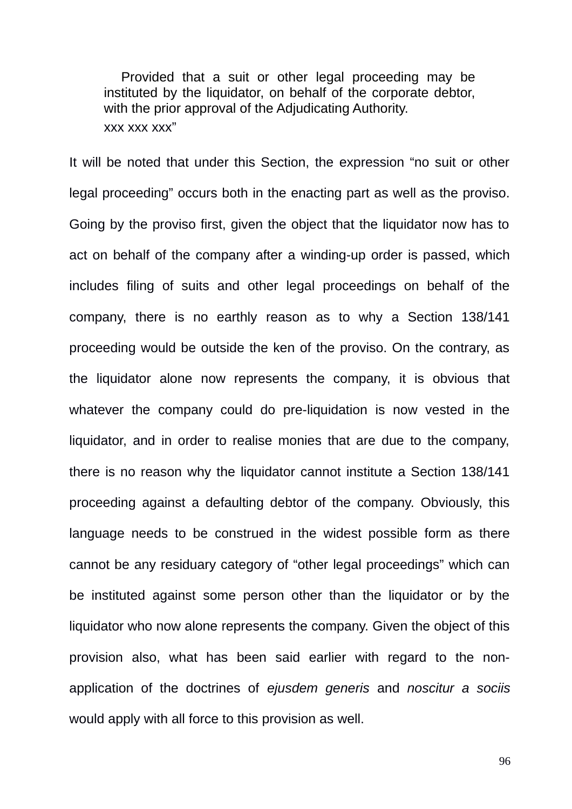Provided that a suit or other legal proceeding may be instituted by the liquidator, on behalf of the corporate debtor, with the prior approval of the Adjudicating Authority. xxx xxx xxx"

It will be noted that under this Section, the expression "no suit or other legal proceeding" occurs both in the enacting part as well as the proviso. Going by the proviso first, given the object that the liquidator now has to act on behalf of the company after a winding-up order is passed, which includes filing of suits and other legal proceedings on behalf of the company, there is no earthly reason as to why a Section 138/141 proceeding would be outside the ken of the proviso. On the contrary, as the liquidator alone now represents the company, it is obvious that whatever the company could do pre-liquidation is now vested in the liquidator, and in order to realise monies that are due to the company, there is no reason why the liquidator cannot institute a Section 138/141 proceeding against a defaulting debtor of the company. Obviously, this language needs to be construed in the widest possible form as there cannot be any residuary category of "other legal proceedings" which can be instituted against some person other than the liquidator or by the liquidator who now alone represents the company. Given the object of this provision also, what has been said earlier with regard to the nonapplication of the doctrines of *ejusdem generis* and *noscitur a sociis* would apply with all force to this provision as well.

96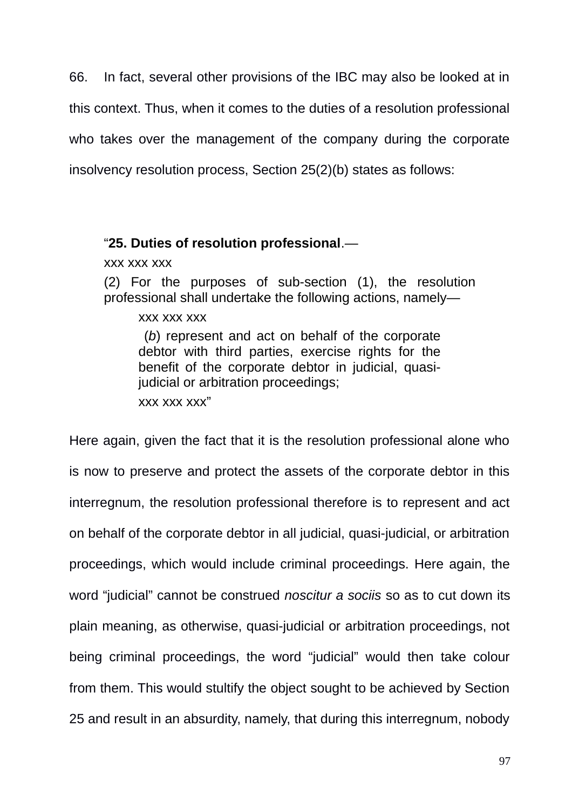66. In fact, several other provisions of the IBC may also be looked at in this context. Thus, when it comes to the duties of a resolution professional who takes over the management of the company during the corporate insolvency resolution process, Section 25(2)(b) states as follows:

#### "**25. Duties of resolution professional**.—

xxx xxx xxx

(2) For the purposes of sub-section (1), the resolution professional shall undertake the following actions, namely—

xxx xxx xxx

 (*b*) represent and act on behalf of the corporate debtor with third parties, exercise rights for the benefit of the corporate debtor in judicial, quasijudicial or arbitration proceedings;

xxx xxx xxx"

Here again, given the fact that it is the resolution professional alone who is now to preserve and protect the assets of the corporate debtor in this interregnum, the resolution professional therefore is to represent and act on behalf of the corporate debtor in all judicial, quasi-judicial, or arbitration proceedings, which would include criminal proceedings. Here again, the word "judicial" cannot be construed *noscitur a sociis* so as to cut down its plain meaning, as otherwise, quasi-judicial or arbitration proceedings, not being criminal proceedings, the word "judicial" would then take colour from them. This would stultify the object sought to be achieved by Section 25 and result in an absurdity, namely, that during this interregnum, nobody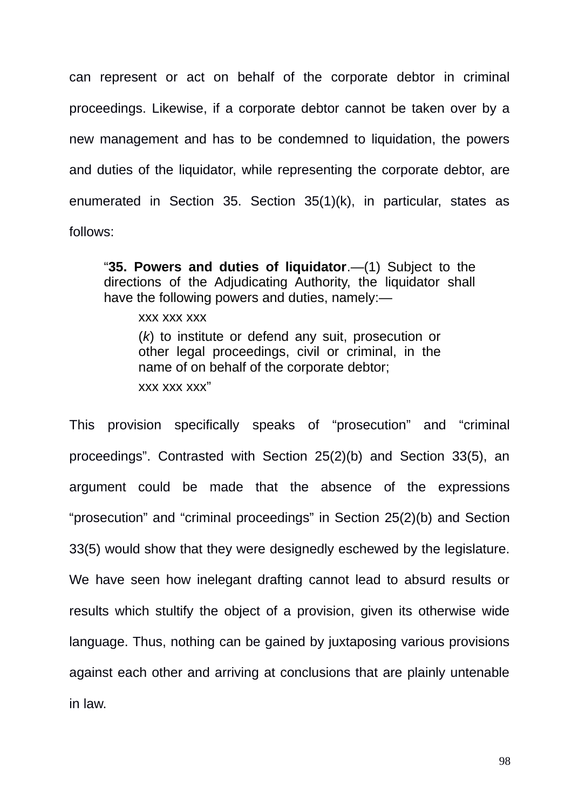can represent or act on behalf of the corporate debtor in criminal proceedings. Likewise, if a corporate debtor cannot be taken over by a new management and has to be condemned to liquidation, the powers and duties of the liquidator, while representing the corporate debtor, are enumerated in Section 35. Section 35(1)(k), in particular, states as follows:

"**35. Powers and duties of liquidator**.—(1) Subject to the directions of the Adjudicating Authority, the liquidator shall have the following powers and duties, namely:—

xxx xxx xxx

(*k*) to institute or defend any suit, prosecution or other legal proceedings, civil or criminal, in the name of on behalf of the corporate debtor; xxx xxx xxx"

This provision specifically speaks of "prosecution" and "criminal proceedings". Contrasted with Section 25(2)(b) and Section 33(5), an argument could be made that the absence of the expressions "prosecution" and "criminal proceedings" in Section 25(2)(b) and Section 33(5) would show that they were designedly eschewed by the legislature. We have seen how inelegant drafting cannot lead to absurd results or results which stultify the object of a provision, given its otherwise wide language. Thus, nothing can be gained by juxtaposing various provisions against each other and arriving at conclusions that are plainly untenable in law.

98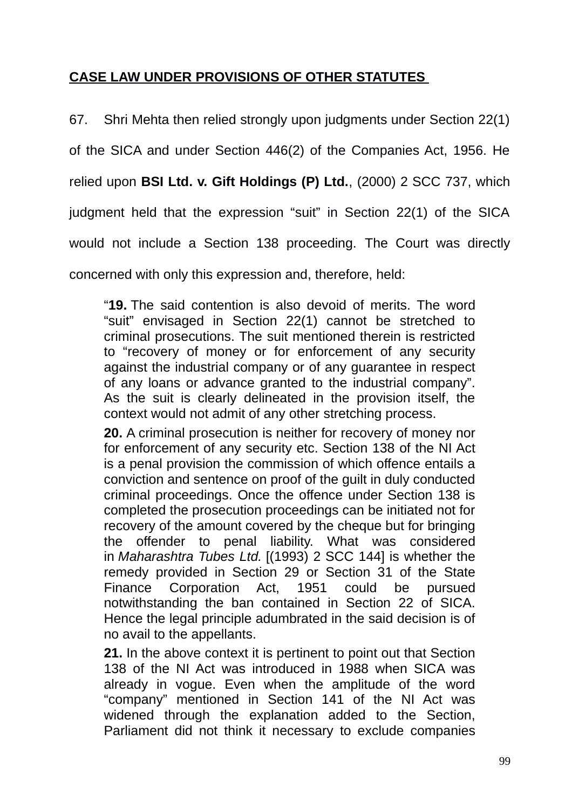### **CASE LAW UNDER PROVISIONS OF OTHER STATUTES**

67. Shri Mehta then relied strongly upon judgments under Section 22(1) of the SICA and under Section 446(2) of the Companies Act, 1956. He relied upon **BSI Ltd. v. Gift Holdings (P) Ltd.**, (2000) 2 SCC 737, which judgment held that the expression "suit" in Section 22(1) of the SICA would not include a Section 138 proceeding. The Court was directly concerned with only this expression and, therefore, held:

"**19.** The said contention is also devoid of merits. The word "suit" envisaged in Section 22(1) cannot be stretched to criminal prosecutions. The suit mentioned therein is restricted to "recovery of money or for enforcement of any security against the industrial company or of any guarantee in respect of any loans or advance granted to the industrial company". As the suit is clearly delineated in the provision itself, the context would not admit of any other stretching process.

**20.** A criminal prosecution is neither for recovery of money nor for enforcement of any security etc. Section 138 of the NI Act is a penal provision the commission of which offence entails a conviction and sentence on proof of the guilt in duly conducted criminal proceedings. Once the offence under Section 138 is completed the prosecution proceedings can be initiated not for recovery of the amount covered by the cheque but for bringing the offender to penal liability. What was considered in *Maharashtra Tubes Ltd.* [(1993) 2 SCC 144] is whether the remedy provided in Section 29 or Section 31 of the State Finance Corporation Act, 1951 could be pursued notwithstanding the ban contained in Section 22 of SICA. Hence the legal principle adumbrated in the said decision is of no avail to the appellants.

**21.** In the above context it is pertinent to point out that Section 138 of the NI Act was introduced in 1988 when SICA was already in vogue. Even when the amplitude of the word "company" mentioned in Section 141 of the NI Act was widened through the explanation added to the Section, Parliament did not think it necessary to exclude companies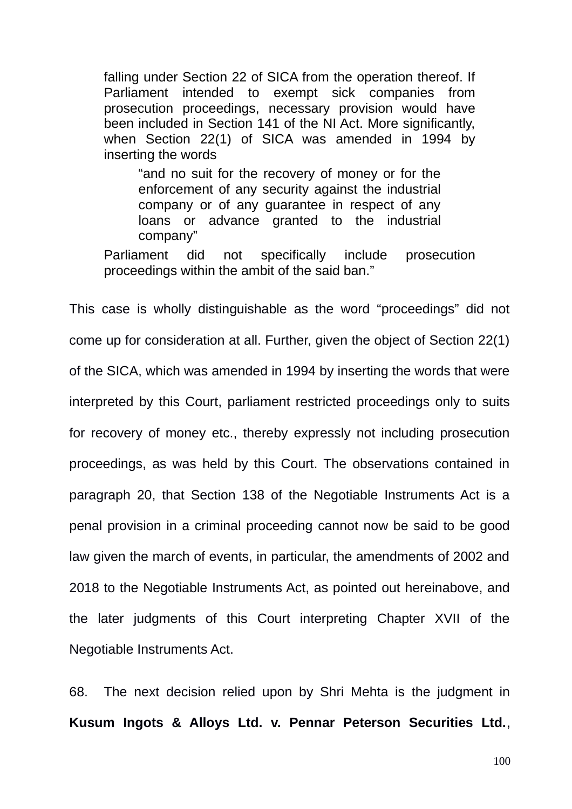falling under Section 22 of SICA from the operation thereof. If Parliament intended to exempt sick companies from prosecution proceedings, necessary provision would have been included in Section 141 of the NI Act. More significantly, when Section 22(1) of SICA was amended in 1994 by inserting the words

"and no suit for the recovery of money or for the enforcement of any security against the industrial company or of any guarantee in respect of any loans or advance granted to the industrial company"

Parliament did not specifically include prosecution proceedings within the ambit of the said ban."

This case is wholly distinguishable as the word "proceedings" did not come up for consideration at all. Further, given the object of Section 22(1) of the SICA, which was amended in 1994 by inserting the words that were interpreted by this Court, parliament restricted proceedings only to suits for recovery of money etc., thereby expressly not including prosecution proceedings, as was held by this Court. The observations contained in paragraph 20, that Section 138 of the Negotiable Instruments Act is a penal provision in a criminal proceeding cannot now be said to be good law given the march of events, in particular, the amendments of 2002 and 2018 to the Negotiable Instruments Act, as pointed out hereinabove, and the later judgments of this Court interpreting Chapter XVII of the Negotiable Instruments Act.

68. The next decision relied upon by Shri Mehta is the judgment in **Kusum Ingots & Alloys Ltd. v. Pennar Peterson Securities Ltd.**,

100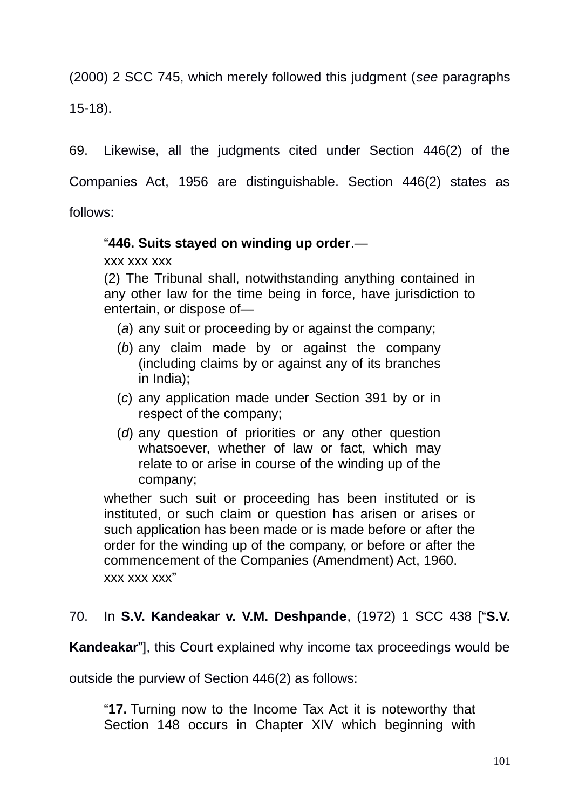(2000) 2 SCC 745, which merely followed this judgment (*see* paragraphs 15-18).

69. Likewise, all the judgments cited under Section 446(2) of the Companies Act, 1956 are distinguishable. Section 446(2) states as follows:

### "**446. Suits stayed on winding up order**.—

xxx xxx xxx

(2) The Tribunal shall, notwithstanding anything contained in any other law for the time being in force, have jurisdiction to entertain, or dispose of—

- (*a*) any suit or proceeding by or against the company;
- (*b*) any claim made by or against the company (including claims by or against any of its branches in India);
- (*c*) any application made under Section 391 by or in respect of the company;
- (*d*) any question of priorities or any other question whatsoever, whether of law or fact, which may relate to or arise in course of the winding up of the company;

whether such suit or proceeding has been instituted or is instituted, or such claim or question has arisen or arises or such application has been made or is made before or after the order for the winding up of the company, or before or after the commencement of the Companies (Amendment) Act, 1960. xxx xxx xxx"

### 70. In **S.V. Kandeakar v. V.M. Deshpande**, (1972) 1 SCC 438 ["**S.V.**

**Kandeakar**"], this Court explained why income tax proceedings would be

outside the purview of Section 446(2) as follows:

"**17.** Turning now to the Income Tax Act it is noteworthy that Section 148 occurs in Chapter XIV which beginning with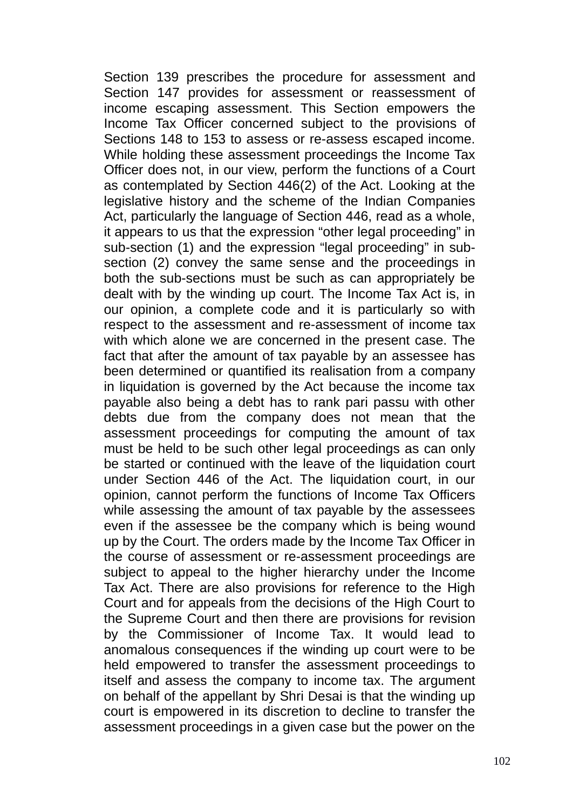Section 139 prescribes the procedure for assessment and Section 147 provides for assessment or reassessment of income escaping assessment. This Section empowers the Income Tax Officer concerned subject to the provisions of Sections 148 to 153 to assess or re-assess escaped income. While holding these assessment proceedings the Income Tax Officer does not, in our view, perform the functions of a Court as contemplated by Section 446(2) of the Act. Looking at the legislative history and the scheme of the Indian Companies Act, particularly the language of Section 446, read as a whole, it appears to us that the expression "other legal proceeding" in sub-section (1) and the expression "legal proceeding" in subsection (2) convey the same sense and the proceedings in both the sub-sections must be such as can appropriately be dealt with by the winding up court. The Income Tax Act is, in our opinion, a complete code and it is particularly so with respect to the assessment and re-assessment of income tax with which alone we are concerned in the present case. The fact that after the amount of tax payable by an assessee has been determined or quantified its realisation from a company in liquidation is governed by the Act because the income tax payable also being a debt has to rank pari passu with other debts due from the company does not mean that the assessment proceedings for computing the amount of tax must be held to be such other legal proceedings as can only be started or continued with the leave of the liquidation court under Section 446 of the Act. The liquidation court, in our opinion, cannot perform the functions of Income Tax Officers while assessing the amount of tax payable by the assessees even if the assessee be the company which is being wound up by the Court. The orders made by the Income Tax Officer in the course of assessment or re-assessment proceedings are subject to appeal to the higher hierarchy under the Income Tax Act. There are also provisions for reference to the High Court and for appeals from the decisions of the High Court to the Supreme Court and then there are provisions for revision by the Commissioner of Income Tax. It would lead to anomalous consequences if the winding up court were to be held empowered to transfer the assessment proceedings to itself and assess the company to income tax. The argument on behalf of the appellant by Shri Desai is that the winding up court is empowered in its discretion to decline to transfer the assessment proceedings in a given case but the power on the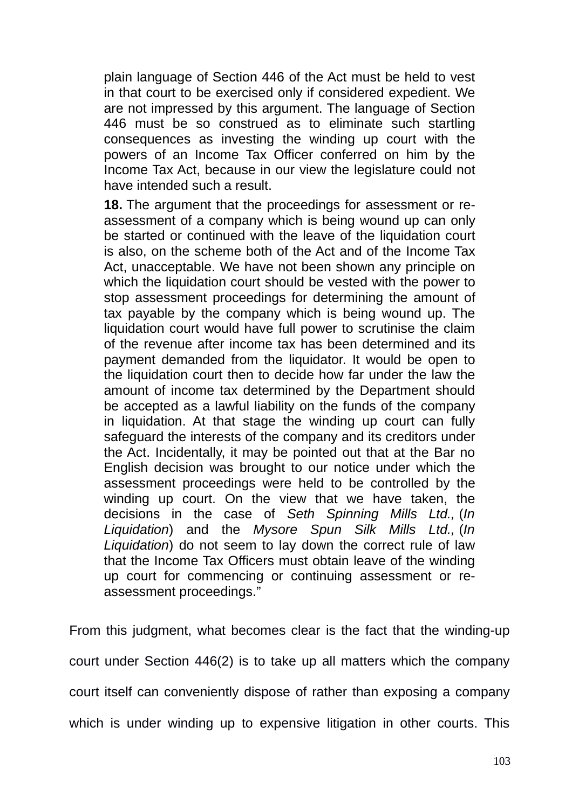plain language of Section 446 of the Act must be held to vest in that court to be exercised only if considered expedient. We are not impressed by this argument. The language of Section 446 must be so construed as to eliminate such startling consequences as investing the winding up court with the powers of an Income Tax Officer conferred on him by the Income Tax Act, because in our view the legislature could not have intended such a result.

**18.** The argument that the proceedings for assessment or reassessment of a company which is being wound up can only be started or continued with the leave of the liquidation court is also, on the scheme both of the Act and of the Income Tax Act, unacceptable. We have not been shown any principle on which the liquidation court should be vested with the power to stop assessment proceedings for determining the amount of tax payable by the company which is being wound up. The liquidation court would have full power to scrutinise the claim of the revenue after income tax has been determined and its payment demanded from the liquidator. It would be open to the liquidation court then to decide how far under the law the amount of income tax determined by the Department should be accepted as a lawful liability on the funds of the company in liquidation. At that stage the winding up court can fully safeguard the interests of the company and its creditors under the Act. Incidentally, it may be pointed out that at the Bar no English decision was brought to our notice under which the assessment proceedings were held to be controlled by the winding up court. On the view that we have taken, the decisions in the case of *Seth Spinning Mills Ltd.,* (*In Liquidation*) and the *Mysore Spun Silk Mills Ltd.,* (*In Liquidation*) do not seem to lay down the correct rule of law that the Income Tax Officers must obtain leave of the winding up court for commencing or continuing assessment or reassessment proceedings."

From this judgment, what becomes clear is the fact that the winding-up court under Section 446(2) is to take up all matters which the company court itself can conveniently dispose of rather than exposing a company which is under winding up to expensive litigation in other courts. This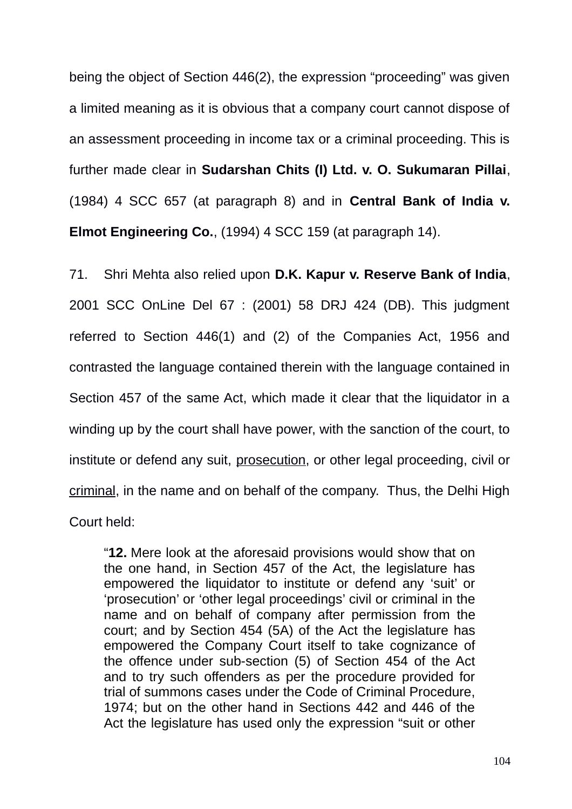being the object of Section 446(2), the expression "proceeding" was given a limited meaning as it is obvious that a company court cannot dispose of an assessment proceeding in income tax or a criminal proceeding. This is further made clear in **Sudarshan Chits (I) Ltd. v. O. Sukumaran Pillai**, (1984) 4 SCC 657 (at paragraph 8) and in **Central Bank of India v. Elmot Engineering Co.**, (1994) 4 SCC 159 (at paragraph 14).

71. Shri Mehta also relied upon **D.K. Kapur v. Reserve Bank of India**, 2001 SCC OnLine Del 67 : (2001) 58 DRJ 424 (DB). This judgment referred to Section 446(1) and (2) of the Companies Act, 1956 and contrasted the language contained therein with the language contained in Section 457 of the same Act, which made it clear that the liquidator in a winding up by the court shall have power, with the sanction of the court, to institute or defend any suit, prosecution, or other legal proceeding, civil or criminal, in the name and on behalf of the company. Thus, the Delhi High Court held:

"**12.** Mere look at the aforesaid provisions would show that on the one hand, in Section 457 of the Act, the legislature has empowered the liquidator to institute or defend any 'suit' or 'prosecution' or 'other legal proceedings' civil or criminal in the name and on behalf of company after permission from the court; and by Section 454 (5A) of the Act the legislature has empowered the Company Court itself to take cognizance of the offence under sub-section (5) of Section 454 of the Act and to try such offenders as per the procedure provided for trial of summons cases under the Code of Criminal Procedure, 1974; but on the other hand in Sections 442 and 446 of the Act the legislature has used only the expression "suit or other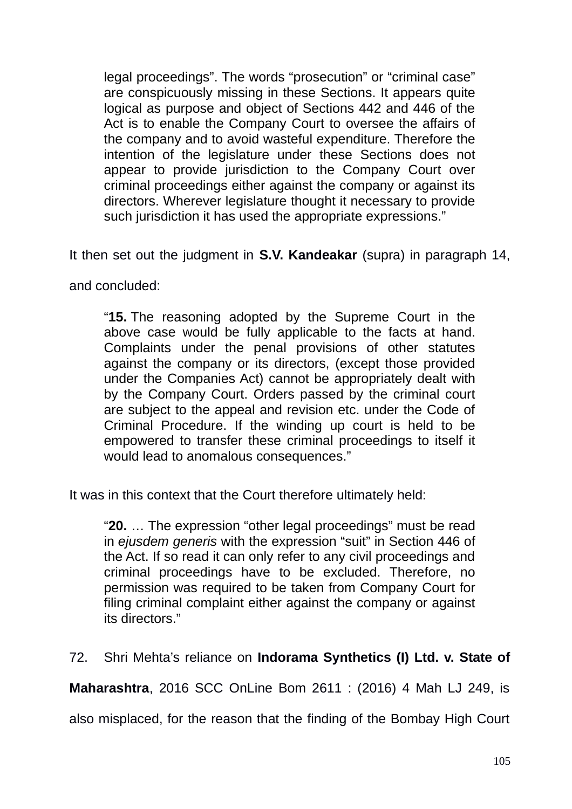legal proceedings". The words "prosecution" or "criminal case" are conspicuously missing in these Sections. It appears quite logical as purpose and object of Sections 442 and 446 of the Act is to enable the Company Court to oversee the affairs of the company and to avoid wasteful expenditure. Therefore the intention of the legislature under these Sections does not appear to provide jurisdiction to the Company Court over criminal proceedings either against the company or against its directors. Wherever legislature thought it necessary to provide such jurisdiction it has used the appropriate expressions."

It then set out the judgment in **S.V. Kandeakar** (supra) in paragraph 14,

and concluded:

"**15.** The reasoning adopted by the Supreme Court in the above case would be fully applicable to the facts at hand. Complaints under the penal provisions of other statutes against the company or its directors, (except those provided under the Companies Act) cannot be appropriately dealt with by the Company Court. Orders passed by the criminal court are subject to the appeal and revision etc. under the Code of Criminal Procedure. If the winding up court is held to be empowered to transfer these criminal proceedings to itself it would lead to anomalous consequences."

It was in this context that the Court therefore ultimately held:

"**20.** … The expression "other legal proceedings" must be read in *ejusdem generis* with the expression "suit" in Section 446 of the Act. If so read it can only refer to any civil proceedings and criminal proceedings have to be excluded. Therefore, no permission was required to be taken from Company Court for filing criminal complaint either against the company or against its directors."

72. Shri Mehta's reliance on **Indorama Synthetics (I) Ltd. v. State of**

**Maharashtra**, 2016 SCC OnLine Bom 2611 : (2016) 4 Mah LJ 249, is

also misplaced, for the reason that the finding of the Bombay High Court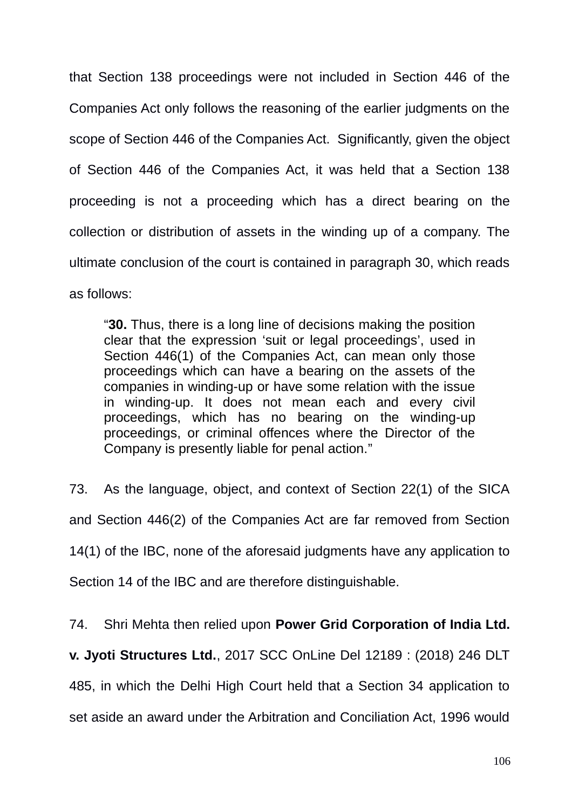that Section 138 proceedings were not included in Section 446 of the Companies Act only follows the reasoning of the earlier judgments on the scope of Section 446 of the Companies Act. Significantly, given the object of Section 446 of the Companies Act, it was held that a Section 138 proceeding is not a proceeding which has a direct bearing on the collection or distribution of assets in the winding up of a company. The ultimate conclusion of the court is contained in paragraph 30, which reads as follows:

"**30.** Thus, there is a long line of decisions making the position clear that the expression 'suit or legal proceedings', used in Section 446(1) of the Companies Act, can mean only those proceedings which can have a bearing on the assets of the companies in winding-up or have some relation with the issue in winding-up. It does not mean each and every civil proceedings, which has no bearing on the winding-up proceedings, or criminal offences where the Director of the Company is presently liable for penal action."

73. As the language, object, and context of Section 22(1) of the SICA and Section 446(2) of the Companies Act are far removed from Section 14(1) of the IBC, none of the aforesaid judgments have any application to Section 14 of the IBC and are therefore distinguishable.

74. Shri Mehta then relied upon **Power Grid Corporation of India Ltd.**

**v. Jyoti Structures Ltd.**, 2017 SCC OnLine Del 12189 : (2018) 246 DLT 485, in which the Delhi High Court held that a Section 34 application to set aside an award under the Arbitration and Conciliation Act, 1996 would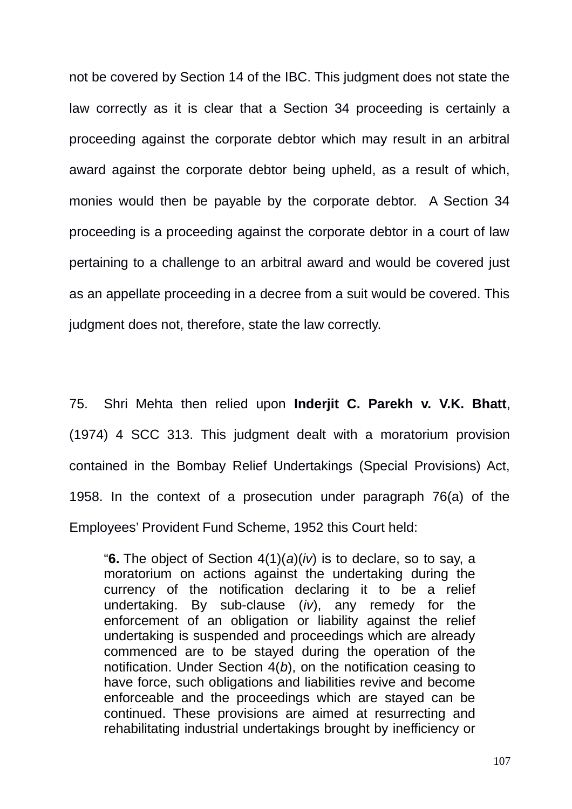not be covered by Section 14 of the IBC. This judgment does not state the law correctly as it is clear that a Section 34 proceeding is certainly a proceeding against the corporate debtor which may result in an arbitral award against the corporate debtor being upheld, as a result of which, monies would then be payable by the corporate debtor. A Section 34 proceeding is a proceeding against the corporate debtor in a court of law pertaining to a challenge to an arbitral award and would be covered just as an appellate proceeding in a decree from a suit would be covered. This judgment does not, therefore, state the law correctly.

75. Shri Mehta then relied upon **Inderjit C. Parekh v. V.K. Bhatt**, (1974) 4 SCC 313. This judgment dealt with a moratorium provision contained in the Bombay Relief Undertakings (Special Provisions) Act, 1958. In the context of a prosecution under paragraph 76(a) of the Employees' Provident Fund Scheme, 1952 this Court held:

"**6.** The object of Section 4(1)(*a*)(*iv*) is to declare, so to say, a moratorium on actions against the undertaking during the currency of the notification declaring it to be a relief undertaking. By sub-clause (*iv*), any remedy for the enforcement of an obligation or liability against the relief undertaking is suspended and proceedings which are already commenced are to be stayed during the operation of the notification. Under Section 4(*b*), on the notification ceasing to have force, such obligations and liabilities revive and become enforceable and the proceedings which are stayed can be continued. These provisions are aimed at resurrecting and rehabilitating industrial undertakings brought by inefficiency or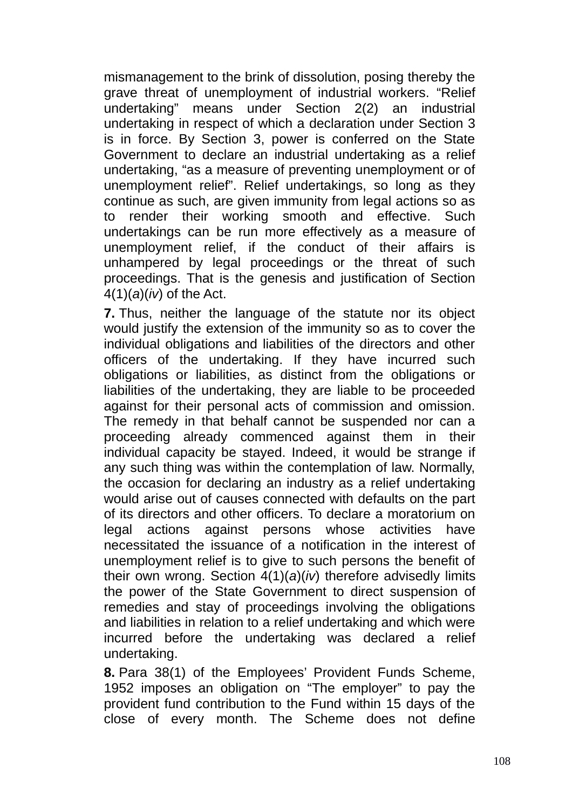mismanagement to the brink of dissolution, posing thereby the grave threat of unemployment of industrial workers. "Relief undertaking" means under Section 2(2) an industrial undertaking in respect of which a declaration under Section 3 is in force. By Section 3, power is conferred on the State Government to declare an industrial undertaking as a relief undertaking, "as a measure of preventing unemployment or of unemployment relief". Relief undertakings, so long as they continue as such, are given immunity from legal actions so as to render their working smooth and effective. Such undertakings can be run more effectively as a measure of unemployment relief, if the conduct of their affairs is unhampered by legal proceedings or the threat of such proceedings. That is the genesis and justification of Section 4(1)(*a*)(*iv*) of the Act.

**7.** Thus, neither the language of the statute nor its object would justify the extension of the immunity so as to cover the individual obligations and liabilities of the directors and other officers of the undertaking. If they have incurred such obligations or liabilities, as distinct from the obligations or liabilities of the undertaking, they are liable to be proceeded against for their personal acts of commission and omission. The remedy in that behalf cannot be suspended nor can a proceeding already commenced against them in their individual capacity be stayed. Indeed, it would be strange if any such thing was within the contemplation of law. Normally, the occasion for declaring an industry as a relief undertaking would arise out of causes connected with defaults on the part of its directors and other officers. To declare a moratorium on legal actions against persons whose activities have necessitated the issuance of a notification in the interest of unemployment relief is to give to such persons the benefit of their own wrong. Section 4(1)(*a*)(*iv*) therefore advisedly limits the power of the State Government to direct suspension of remedies and stay of proceedings involving the obligations and liabilities in relation to a relief undertaking and which were incurred before the undertaking was declared a relief undertaking.

**8.** Para 38(1) of the Employees' Provident Funds Scheme, 1952 imposes an obligation on "The employer" to pay the provident fund contribution to the Fund within 15 days of the close of every month. The Scheme does not define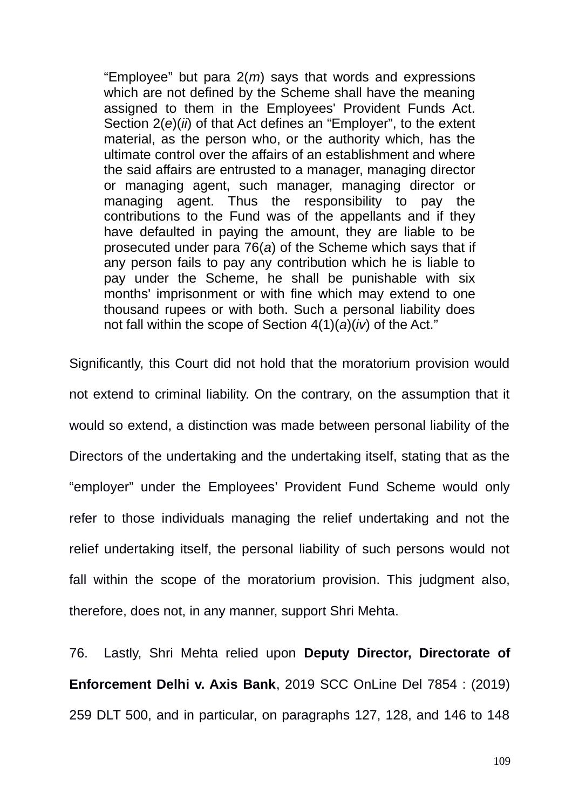"Employee" but para 2(*m*) says that words and expressions which are not defined by the Scheme shall have the meaning assigned to them in the Employees' Provident Funds Act. Section 2(*e*)(*ii*) of that Act defines an "Employer", to the extent material, as the person who, or the authority which, has the ultimate control over the affairs of an establishment and where the said affairs are entrusted to a manager, managing director or managing agent, such manager, managing director or managing agent. Thus the responsibility to pay the contributions to the Fund was of the appellants and if they have defaulted in paying the amount, they are liable to be prosecuted under para 76(*a*) of the Scheme which says that if any person fails to pay any contribution which he is liable to pay under the Scheme, he shall be punishable with six months' imprisonment or with fine which may extend to one thousand rupees or with both. Such a personal liability does not fall within the scope of Section 4(1)(*a*)(*iv*) of the Act."

Significantly, this Court did not hold that the moratorium provision would not extend to criminal liability. On the contrary, on the assumption that it would so extend, a distinction was made between personal liability of the Directors of the undertaking and the undertaking itself, stating that as the "employer" under the Employees' Provident Fund Scheme would only refer to those individuals managing the relief undertaking and not the relief undertaking itself, the personal liability of such persons would not fall within the scope of the moratorium provision. This judgment also, therefore, does not, in any manner, support Shri Mehta.

76. Lastly, Shri Mehta relied upon **Deputy Director, Directorate of Enforcement Delhi v. Axis Bank**, 2019 SCC OnLine Del 7854 : (2019) 259 DLT 500, and in particular, on paragraphs 127, 128, and 146 to 148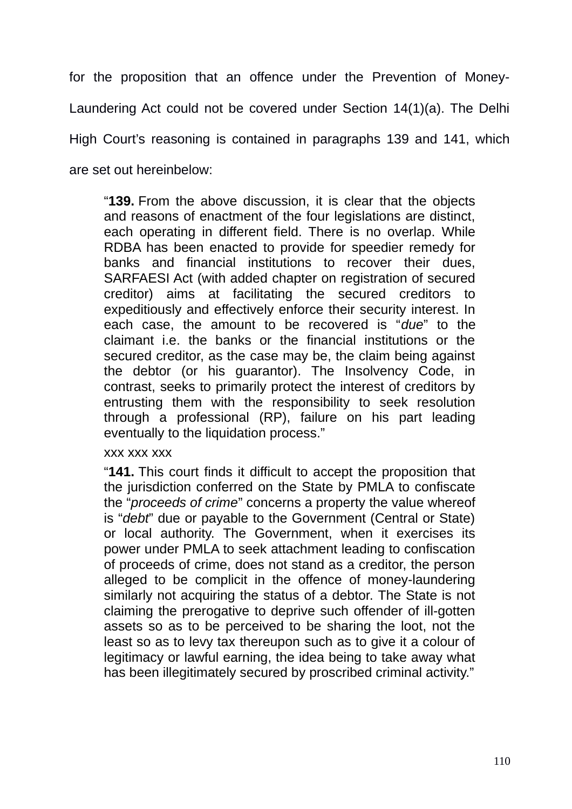for the proposition that an offence under the Prevention of Money-Laundering Act could not be covered under Section 14(1)(a). The Delhi High Court's reasoning is contained in paragraphs 139 and 141, which are set out hereinbelow:

"**139.** From the above discussion, it is clear that the objects and reasons of enactment of the four legislations are distinct, each operating in different field. There is no overlap. While RDBA has been enacted to provide for speedier remedy for banks and financial institutions to recover their dues, SARFAESI Act (with added chapter on registration of secured creditor) aims at facilitating the secured creditors to expeditiously and effectively enforce their security interest. In each case, the amount to be recovered is "*due*" to the claimant i.e. the banks or the financial institutions or the secured creditor, as the case may be, the claim being against the debtor (or his guarantor). The Insolvency Code, in contrast, seeks to primarily protect the interest of creditors by entrusting them with the responsibility to seek resolution through a professional (RP), failure on his part leading eventually to the liquidation process."

### xxx xxx xxx

"**141.** This court finds it difficult to accept the proposition that the jurisdiction conferred on the State by PMLA to confiscate the "*proceeds of crime*" concerns a property the value whereof is "*debt*" due or payable to the Government (Central or State) or local authority. The Government, when it exercises its power under PMLA to seek attachment leading to confiscation of proceeds of crime, does not stand as a creditor, the person alleged to be complicit in the offence of money-laundering similarly not acquiring the status of a debtor. The State is not claiming the prerogative to deprive such offender of ill-gotten assets so as to be perceived to be sharing the loot, not the least so as to levy tax thereupon such as to give it a colour of legitimacy or lawful earning, the idea being to take away what has been illegitimately secured by proscribed criminal activity."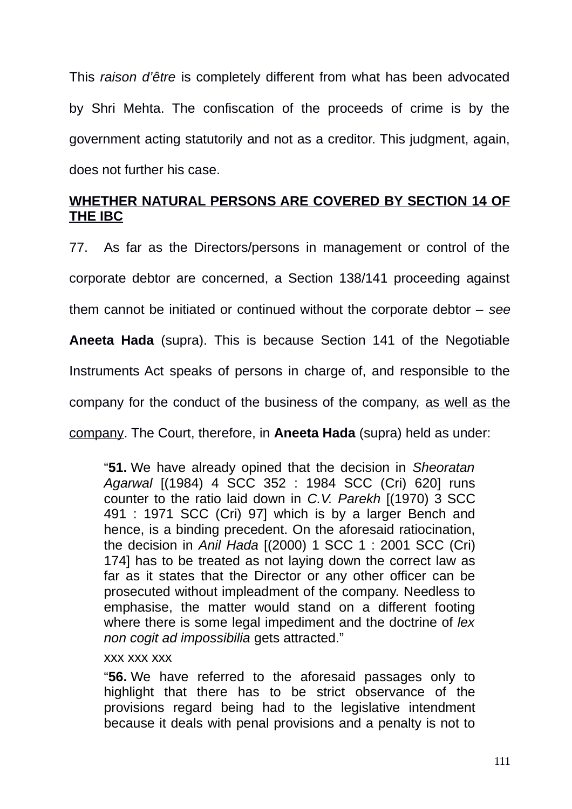This *raison d'être* is completely different from what has been advocated by Shri Mehta. The confiscation of the proceeds of crime is by the government acting statutorily and not as a creditor. This judgment, again, does not further his case.

# **WHETHER NATURAL PERSONS ARE COVERED BY SECTION 14 OF THE IBC**

77. As far as the Directors/persons in management or control of the corporate debtor are concerned, a Section 138/141 proceeding against them cannot be initiated or continued without the corporate debtor – *see* **Aneeta Hada** (supra). This is because Section 141 of the Negotiable Instruments Act speaks of persons in charge of, and responsible to the company for the conduct of the business of the company, as well as the company. The Court, therefore, in **Aneeta Hada** (supra) held as under:

"**51.** We have already opined that the decision in *Sheoratan Agarwal* [(1984) 4 SCC 352 : 1984 SCC (Cri) 620] runs counter to the ratio laid down in *C.V. Parekh* [(1970) 3 SCC 491 : 1971 SCC (Cri) 97] which is by a larger Bench and hence, is a binding precedent. On the aforesaid ratiocination, the decision in *Anil Hada* [(2000) 1 SCC 1 : 2001 SCC (Cri) 174] has to be treated as not laying down the correct law as far as it states that the Director or any other officer can be prosecuted without impleadment of the company. Needless to emphasise, the matter would stand on a different footing where there is some legal impediment and the doctrine of *lex non cogit ad impossibilia* gets attracted."

#### xxx xxx xxx

"**56.** We have referred to the aforesaid passages only to highlight that there has to be strict observance of the provisions regard being had to the legislative intendment because it deals with penal provisions and a penalty is not to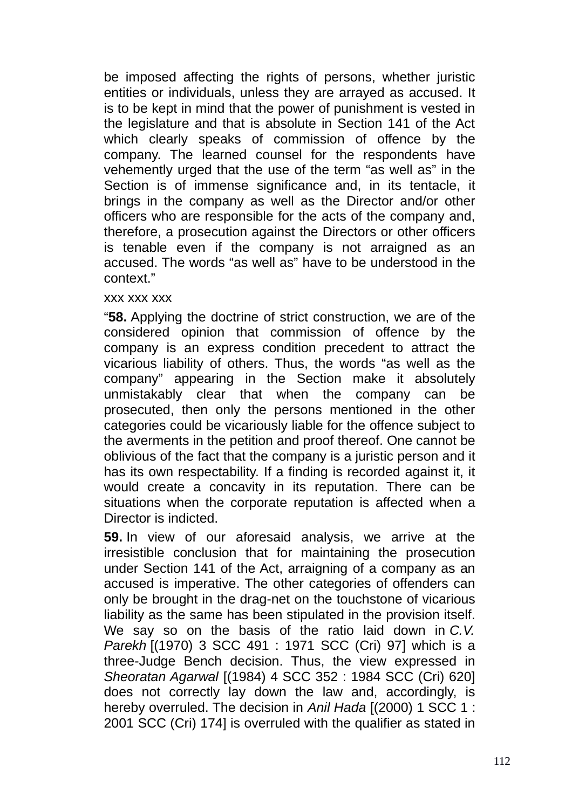be imposed affecting the rights of persons, whether juristic entities or individuals, unless they are arrayed as accused. It is to be kept in mind that the power of punishment is vested in the legislature and that is absolute in Section 141 of the Act which clearly speaks of commission of offence by the company. The learned counsel for the respondents have vehemently urged that the use of the term "as well as" in the Section is of immense significance and, in its tentacle, it brings in the company as well as the Director and/or other officers who are responsible for the acts of the company and, therefore, a prosecution against the Directors or other officers is tenable even if the company is not arraigned as an accused. The words "as well as" have to be understood in the context."

### xxx xxx xxx

"**58.** Applying the doctrine of strict construction, we are of the considered opinion that commission of offence by the company is an express condition precedent to attract the vicarious liability of others. Thus, the words "as well as the company" appearing in the Section make it absolutely unmistakably clear that when the company can be prosecuted, then only the persons mentioned in the other categories could be vicariously liable for the offence subject to the averments in the petition and proof thereof. One cannot be oblivious of the fact that the company is a juristic person and it has its own respectability. If a finding is recorded against it, it would create a concavity in its reputation. There can be situations when the corporate reputation is affected when a Director is indicted.

**59.** In view of our aforesaid analysis, we arrive at the irresistible conclusion that for maintaining the prosecution under Section 141 of the Act, arraigning of a company as an accused is imperative. The other categories of offenders can only be brought in the drag-net on the touchstone of vicarious liability as the same has been stipulated in the provision itself. We say so on the basis of the ratio laid down in *C.V. Parekh* [(1970) 3 SCC 491 : 1971 SCC (Cri) 97] which is a three-Judge Bench decision. Thus, the view expressed in *Sheoratan Agarwal* [(1984) 4 SCC 352 : 1984 SCC (Cri) 620] does not correctly lay down the law and, accordingly, is hereby overruled. The decision in *Anil Hada* [(2000) 1 SCC 1 : 2001 SCC (Cri) 174] is overruled with the qualifier as stated in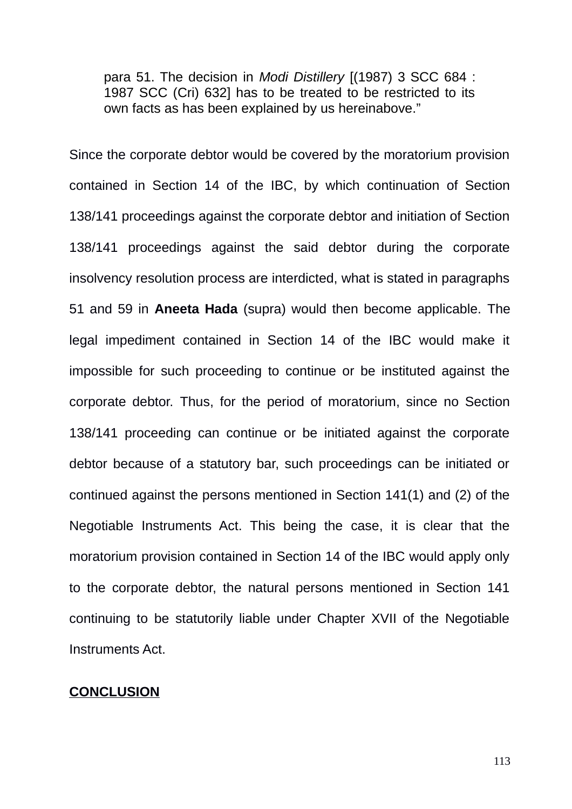para 51. The decision in *Modi Distillery* [(1987) 3 SCC 684 : 1987 SCC (Cri) 632] has to be treated to be restricted to its own facts as has been explained by us hereinabove."

Since the corporate debtor would be covered by the moratorium provision contained in Section 14 of the IBC, by which continuation of Section 138/141 proceedings against the corporate debtor and initiation of Section 138/141 proceedings against the said debtor during the corporate insolvency resolution process are interdicted, what is stated in paragraphs 51 and 59 in **Aneeta Hada** (supra) would then become applicable. The legal impediment contained in Section 14 of the IBC would make it impossible for such proceeding to continue or be instituted against the corporate debtor. Thus, for the period of moratorium, since no Section 138/141 proceeding can continue or be initiated against the corporate debtor because of a statutory bar, such proceedings can be initiated or continued against the persons mentioned in Section 141(1) and (2) of the Negotiable Instruments Act. This being the case, it is clear that the moratorium provision contained in Section 14 of the IBC would apply only to the corporate debtor, the natural persons mentioned in Section 141 continuing to be statutorily liable under Chapter XVII of the Negotiable Instruments Act.

#### **CONCLUSION**

113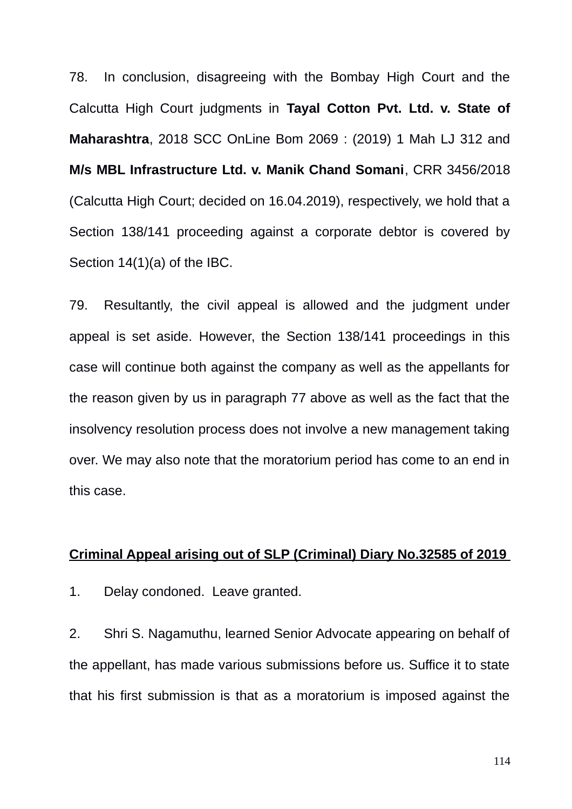78. In conclusion, disagreeing with the Bombay High Court and the Calcutta High Court judgments in **Tayal Cotton Pvt. Ltd. v. State of Maharashtra**, 2018 SCC OnLine Bom 2069 : (2019) 1 Mah LJ 312 and **M/s MBL Infrastructure Ltd. v. Manik Chand Somani**, CRR 3456/2018 (Calcutta High Court; decided on 16.04.2019), respectively, we hold that a Section 138/141 proceeding against a corporate debtor is covered by Section 14(1)(a) of the IBC.

79. Resultantly, the civil appeal is allowed and the judgment under appeal is set aside. However, the Section 138/141 proceedings in this case will continue both against the company as well as the appellants for the reason given by us in paragraph 77 above as well as the fact that the insolvency resolution process does not involve a new management taking over. We may also note that the moratorium period has come to an end in this case.

## **Criminal Appeal arising out of SLP ( Criminal) Diary No.32585 of 2019**

1. Delay condoned. Leave granted.

2. Shri S. Nagamuthu, learned Senior Advocate appearing on behalf of the appellant, has made various submissions before us. Suffice it to state that his first submission is that as a moratorium is imposed against the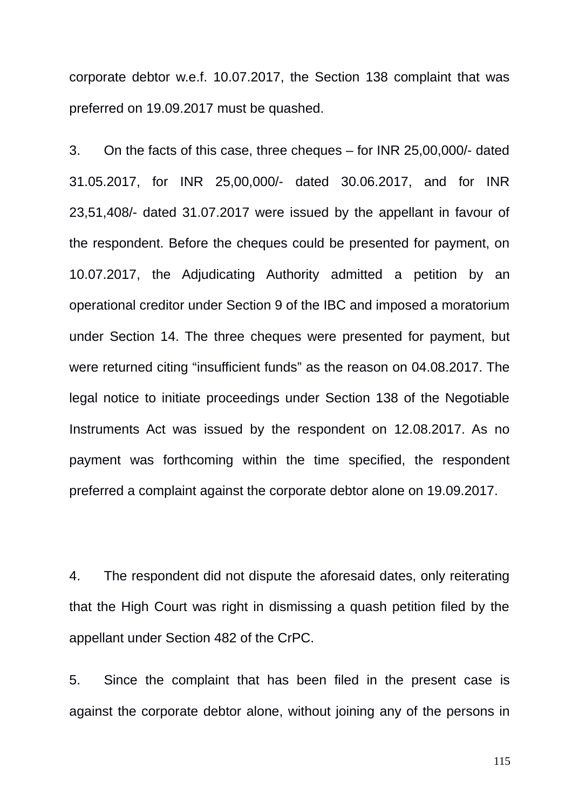corporate debtor w.e.f. 10.07.2017, the Section 138 complaint that was preferred on 19.09.2017 must be quashed.

3. On the facts of this case, three cheques – for INR 25,00,000/- dated 31.05.2017, for INR 25,00,000/- dated 30.06.2017, and for INR 23,51,408/- dated 31.07.2017 were issued by the appellant in favour of the respondent. Before the cheques could be presented for payment, on 10.07.2017, the Adjudicating Authority admitted a petition by an operational creditor under Section 9 of the IBC and imposed a moratorium under Section 14. The three cheques were presented for payment, but were returned citing "insufficient funds" as the reason on 04.08.2017. The legal notice to initiate proceedings under Section 138 of the Negotiable Instruments Act was issued by the respondent on 12.08.2017. As no payment was forthcoming within the time specified, the respondent preferred a complaint against the corporate debtor alone on 19.09.2017.

4. The respondent did not dispute the aforesaid dates, only reiterating that the High Court was right in dismissing a quash petition filed by the appellant under Section 482 of the CrPC.

5. Since the complaint that has been filed in the present case is against the corporate debtor alone, without joining any of the persons in

115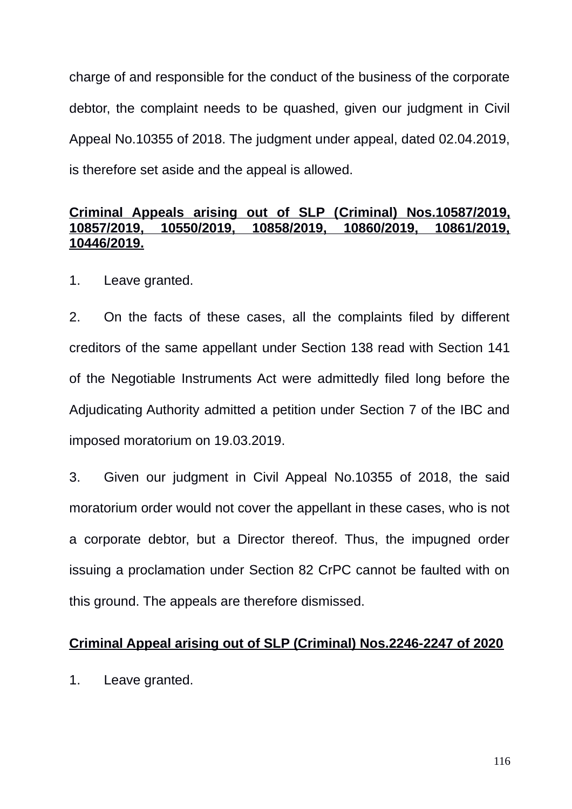charge of and responsible for the conduct of the business of the corporate debtor, the complaint needs to be quashed, given our judgment in Civil Appeal No.10355 of 2018. The judgment under appeal, dated 02.04.2019, is therefore set aside and the appeal is allowed.

## **Criminal Appeals arising out of SLP ( Criminal) Nos.10587/2019, 10857/2019, 10550/2019, 10858/2019, 10860/2019, 10861/2019, 10446/2019.**

1. Leave granted.

2. On the facts of these cases, all the complaints filed by different creditors of the same appellant under Section 138 read with Section 141 of the Negotiable Instruments Act were admittedly filed long before the Adjudicating Authority admitted a petition under Section 7 of the IBC and imposed moratorium on 19.03.2019.

3. Given our judgment in Civil Appeal No.10355 of 2018, the said moratorium order would not cover the appellant in these cases, who is not a corporate debtor, but a Director thereof. Thus, the impugned order issuing a proclamation under Section 82 CrPC cannot be faulted with on this ground. The appeals are therefore dismissed.

### **Criminal Appeal arising out of SLP (Criminal) Nos.2246-2247 of 2020**

1. Leave granted.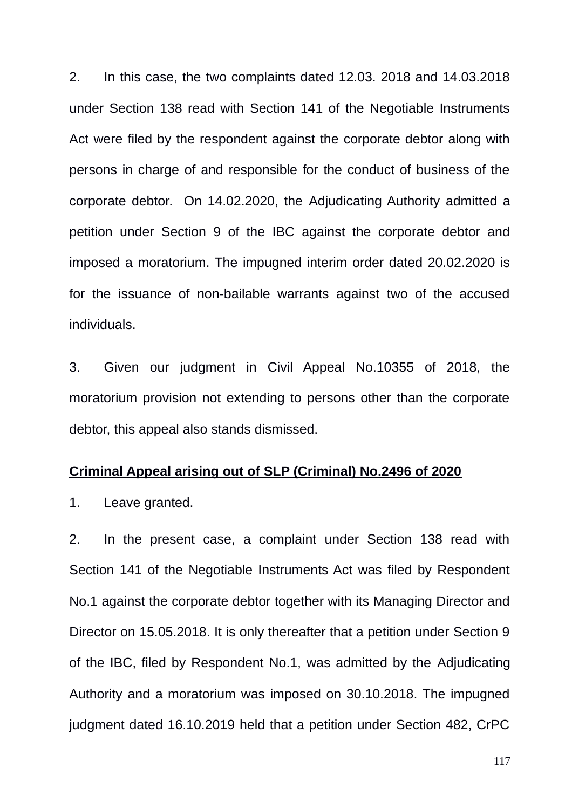2. In this case, the two complaints dated 12.03. 2018 and 14.03.2018 under Section 138 read with Section 141 of the Negotiable Instruments Act were filed by the respondent against the corporate debtor along with persons in charge of and responsible for the conduct of business of the corporate debtor. On 14.02.2020, the Adjudicating Authority admitted a petition under Section 9 of the IBC against the corporate debtor and imposed a moratorium. The impugned interim order dated 20.02.2020 is for the issuance of non-bailable warrants against two of the accused individuals.

3. Given our judgment in Civil Appeal No.10355 of 2018, the moratorium provision not extending to persons other than the corporate debtor, this appeal also stands dismissed.

#### **Criminal Appeal arising out of SLP (Criminal) No.2496 of 2020**

1. Leave granted.

2. In the present case, a complaint under Section 138 read with Section 141 of the Negotiable Instruments Act was filed by Respondent No.1 against the corporate debtor together with its Managing Director and Director on 15.05.2018. It is only thereafter that a petition under Section 9 of the IBC, filed by Respondent No.1, was admitted by the Adjudicating Authority and a moratorium was imposed on 30.10.2018. The impugned judgment dated 16.10.2019 held that a petition under Section 482, CrPC

117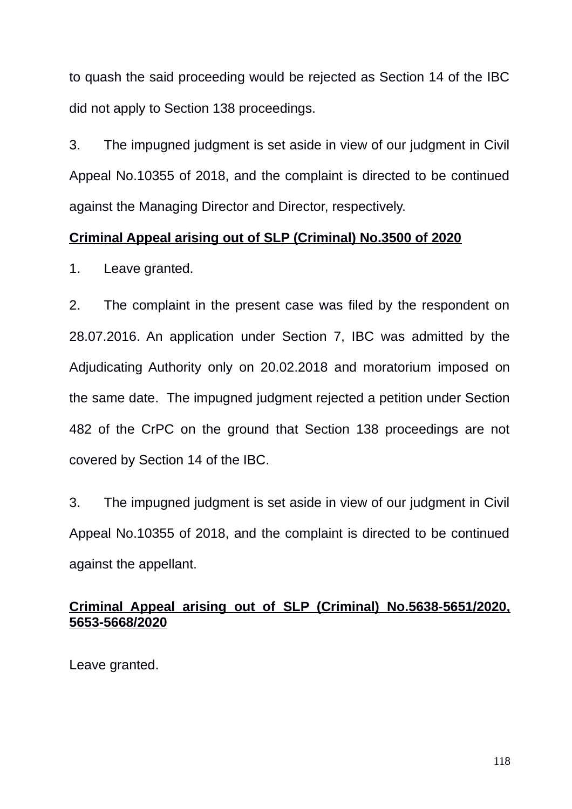to quash the said proceeding would be rejected as Section 14 of the IBC did not apply to Section 138 proceedings.

3. The impugned judgment is set aside in view of our judgment in Civil Appeal No.10355 of 2018, and the complaint is directed to be continued against the Managing Director and Director, respectively.

### **Criminal Appeal arising out of SLP (Criminal) No.3500 of 2020**

1. Leave granted.

2. The complaint in the present case was filed by the respondent on 28.07.2016. An application under Section 7, IBC was admitted by the Adjudicating Authority only on 20.02.2018 and moratorium imposed on the same date. The impugned judgment rejected a petition under Section 482 of the CrPC on the ground that Section 138 proceedings are not covered by Section 14 of the IBC.

3. The impugned judgment is set aside in view of our judgment in Civil Appeal No.10355 of 2018, and the complaint is directed to be continued against the appellant.

## **Criminal Appeal arising out of SLP (Criminal) No.5638-5651/2020, 5653-5668/2020**

Leave granted.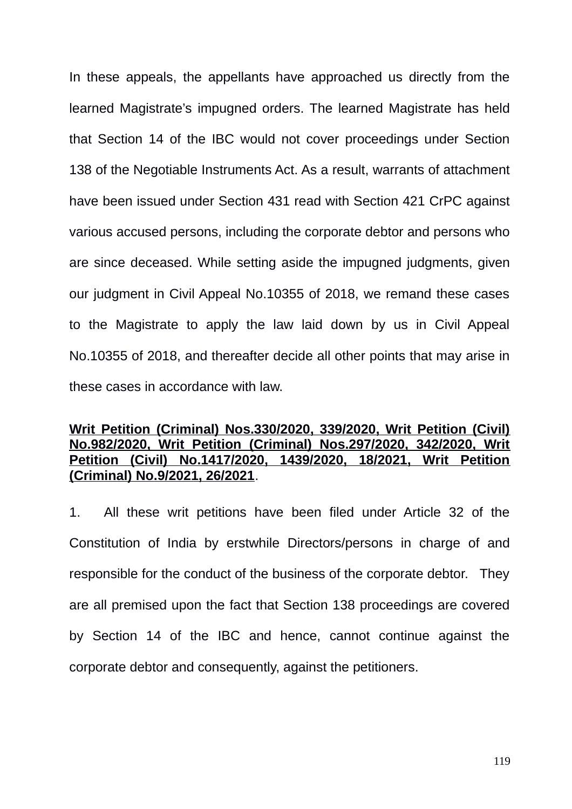In these appeals, the appellants have approached us directly from the learned Magistrate's impugned orders. The learned Magistrate has held that Section 14 of the IBC would not cover proceedings under Section 138 of the Negotiable Instruments Act. As a result, warrants of attachment have been issued under Section 431 read with Section 421 CrPC against various accused persons, including the corporate debtor and persons who are since deceased. While setting aside the impugned judgments, given our judgment in Civil Appeal No.10355 of 2018, we remand these cases to the Magistrate to apply the law laid down by us in Civil Appeal No.10355 of 2018, and thereafter decide all other points that may arise in these cases in accordance with law.

## **Writ Petition (Criminal) Nos.330/2020, 339/2020, Writ Petition (Civil) No.982/2020, Writ Petition (Criminal) Nos.297/2020, 342/2020, Writ Petition (Civil) No.1417/2020, 1439/2020, 18/2021, Writ Petition (Criminal) No.9/2021, 26/2021**.

1. All these writ petitions have been filed under Article 32 of the Constitution of India by erstwhile Directors/persons in charge of and responsible for the conduct of the business of the corporate debtor. They are all premised upon the fact that Section 138 proceedings are covered by Section 14 of the IBC and hence, cannot continue against the corporate debtor and consequently, against the petitioners.